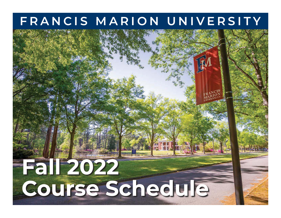# **FRANCIS MARION UNIVERSITY**

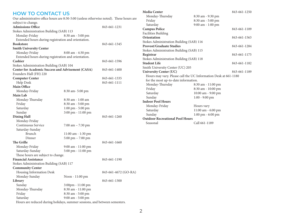#### **HOW TO CONTACT US** Our administrative office hours are 8:30-5:00 (unless otherwise noted). These hours are subject to change. **Admissions Office** 843-661-1231 Stokes Administration Building (SAB) 113 Monday-Friday 8:30 am - 5:00 pm Extended hours during registration and orientation. **Bookstore** 843-661-1345 **Smith University Center** Monday-Friday 8:00 am - 4:30 pm Extended hours during registration and orientation. **Cashier** 843-661-1596 Stokes Administration Building (SAB) 104 **Center for Academic Success and Advisement (CASA)** 843-661-1400 Founders Hall (FH) 220 **Computer Center** 843-661-1335 Help Desk 843-661-1111 **Main Office** Monday-Friday 8:30 am- 5:00 pm **Main Lab** Monday-Thursday 8:30 am - 1:00 am Friday 8:30 am - 5:00 pm Saturday 1:00 pm - 5:00 pm Sunday 3:00 pm - 11:00 pm **Dining Hall** 843-661-1260 Monday-Friday Continuous Service 7:00 am – 7:30 pm Saturday-Sunday Brunch 11:00 am - 1:30 pm Dinner 5:00 pm – 7:00 pm **The Grille** 843-661-1660 Monday-Friday 9:00 am - 11:00 pm Saturday-Sunday 5:00 pm - 11:00 pm These hours are subject to change. **Financial Assistance** 843-661-1190 Stokes Administration Building (SAB) 117 **Community Center** Housing Information Desk 843-661-4672 (GO-RA) Monday-Sunday Noon - 11:00 pm **Library** 843-661-1300 Sunday 3:00pm - 11:00 pm Monday-Thursday 8:30 am - 11:00 pm Friday 8:30 am - 5:00 pm **Media Center** 843-661-1250 Monday-Thursday 8:30 am - 9:30 pm Friday 8:30 am - 5:00 pm Saturday 9:00 am - 1:00 pm **Campus Police** 843-661-1109 Facilities Building **Orientation** 843-661-1563 Stokes Administration Building (SAB) 116 **Provost/Graduate Studies** 843-661-1284 Stokes Administration Building (SAB) 115 **Registrar** 843-661-1175 Stokes Administration Building (SAB) 118 **Student Life** 843-661-1182 Smith University Center (UC) 205 **University Center (UC)** 843-661-1189 Hours may vary. Please call the UC Information Desk at 661-1180 for the most up-to-date information. Monday-Thursday 8:30 am - 11:00 pm Friday 8:30 am - 10:00 pm Saturday 10:00 am - 9:00 pm Sunday 1:00 - 9:00 pm **Indoor Pool Hours** Monday-Friday Hours vary Saturday 11:00 am - 6:00 pm Sunday 1:00 pm - 6:00 pm **Outdoor Recreational Pool Hours** Seasonal Call 661-1189

Hours are reduced during holidays, summer sessions, and between semesters.

Saturday 9:00 am - 5:00 pm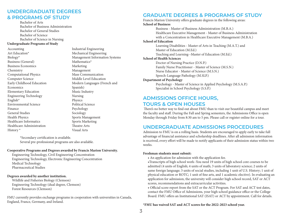## **UNDERGRADUATE DEGREES & PROGRAMS OF STUDY**

 Bachelor of Arts Bachelor of Business Administration Bachelor of General Studies Bachelor of Science Bachelor of Science in Nursing

#### **Undergraduate Programs of Study**

Accounting Art Education\* Biology\* Business (General) Business Economics Chemistry Computational Physics Computer Science Early Childhood Education **Economics** Elementary Education Engineering Technology English\* Environmental Science Finance General Studies Health Physics Healthcare Informatics Healthcare Administration History \*

Industrial Engineering Mechanical Engineering Management Information Systems Mathematics\* Marketing Management Mass Communication Middle Level Education Modern Languages (French and Spanish) Music Industry Nursing Physics Political Science Psychology Sociology Sports Management Sports Marketing Theatre Arts

 \*Secondary certification is available. Several pre-professional programs are also available.

#### **Cooperative Programs and Degrees awarded by Francis Marion University.**

Visual Arts

 Engineering Technology, Civil Engineering Concentration Engineering Technology, Electronic Engineering Concentration Medical Technology Pharmaceutical Studies

#### **Degrees awarded by another institution.**

 Wildlife and Fisheries Biology (Clemson) Engineering Technology (dual degree, Clemson) Forest Resources (Clemson)

FMU currently provides exchange programs in cooperation with universities in Canada, England, France, Germany, and Ireland.

## **GRADUATE DEGREES & PROGRAMS OF STUDY**

Francis Marion University offers graduate degrees in the following areas: **School of Business** Business - Master of Business Administration (M.B.A.) Healthcare Executive Management - Master of Business Administration with a Concentration in Healthcare Executive Management (M.B.A.) **School of Education** Learning Disabilities - Master of Arts in Teaching (M.A.T.) and Master of Education (M.Ed.) Teaching and Learning--Master of Education (M.Ed.) **School of Health Sciences** Doctor of Nursing Practice (D.N.P.) Family Nurse Practitioner - Master of Science (M.S.N.) Nurse Educator - Master of Science (M.S.N.) Speech-Language Pathology (M.SLP.) **Department of Psychology**

 Psychology - Master of Science in Applied Psychology (M.S.A.P.) Specialist in School Psychology (S.S.P.)

## **ADMISSIONS OFFICE HOURS, TOURS & OPEN HOUSES**

 There's no better way to find out about FMU than to visit our beautiful campus and meet the faculty and staff. During the Fall and Spring semesters, the Admissions Office is open Monday through Friday from 8:30 am to 5 pm. Please call or register online for a tour.

## **UNDERGRADUATE ADMISSIONS PROCEDURES**

Admission to FMU is on a rolling basis. Students are encouraged to apply early to take full advantage of financial assistance and scholarship deadlines. After all admission information is received, every effort will be made to notify applicants of their admission status within two weeks.

#### **Freshman students must submit:**

• An application for admission with the application fee.

•Transcripts of high school work–You need 19 units of high school core courses to be admitted (4 units of English; 4 units of math; 3 units of laboratory science; 2 units of same foreign language; 3 units of social studies, including 1 unit of U.S. History; 1 unit of physical education or ROTC; 1 unit of fine arts, and 1 academic elective). In evaluating an application for admission, the university will consider high school record, SAT or ACT scores, recommendations and extracurricular activities.

• Official score report from the SAT or the ACT Program. For SAT and ACT test dates, contact the FMU Office of Admissions, your high school guidance office or the College Board. FMU offers an Institutional SAT (ISAT) or ACT by appointment. Call for details.

**\*FMU has waived SAT and ACT scores for the 2022-2023 school year.**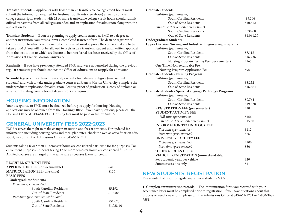**Transfer Students** – Applicants with fewer than 22 transferable college credit hours must submit the information required for freshman applicants (see above) as well as official college transcripts. Students with 22 or more transferable college credit hours should submit official transcripts from all colleges attended and an application for admission along with the application fee.

**Transient Students** – If you are planning to apply credits earned at FMU to a degree at another institution, you must submit a completed transient form. The dean or registrar of the institution to which credits are to be transferred must approve the courses that are to be taken at FMU. You will not be allowed to register as a transient student until written approval from the institution to which credits are to be transferred has been received by the Office of Admissions at Francis Marion University.

**Readmits** – If you have previously attended FMU and were not enrolled during the previous regular semester, you should contact the Office of Admissions to reapply for admission.

**Second-Degree** – If you have previously earned a baccalaureate degree (unclassified students) and wish to take undergraduate courses at Francis Marion University, complete the undergraduate application for admission. Positive proof of graduation (a copy of diploma or a transcript stating completion of degree work) is required.

### **HOUSING INFORMATION**

Your acceptance to FMU must be finalized before you apply for housing. Housing applications may be obtained from the Housing Office. If you have questions, please call the Housing Office at 843-661-1330. Housing fees must be paid in full by Aug.15.

## **GENERAL UNIVERSITY FEES 2022-2023**

FMU reserves the right to make changes in tuition and fees at any time. For updated fee information including housing costs and meal plan rates, check the web at www.fmarion.edu/ about/fees or call the Admissions Office at 843-661-1231.

Students taking fewer than 10 semester hours are considered part-time for fee purposes. For enrollment purposes, students taking 12 or more semester hours are considered full-time. Audited courses are charged at the same rate as courses taken for credit.

#### **REQUIRED STUDENT FEES**

| <b>APPLICATION FEE (non-refundable)</b> | \$41       |
|-----------------------------------------|------------|
| <b>MATRICULATION FEE (one-time)</b>     | \$126      |
| <b>BASIC FEES</b>                       |            |
| <b>Undergraduate Students</b>           |            |
| Full-time (per semester)                |            |
| South Carolina Residents                | \$5,192    |
| Out-of-State Residents                  | \$10,384   |
| Part-time (per semester credit hour)    |            |
| South Carolina Residents                | \$519.20   |
| Out-of-State Residents                  | \$1,038.40 |
|                                         |            |

#### **Graduate Students**

| Full-time (per semester)                                          |            |
|-------------------------------------------------------------------|------------|
| South Carolina Residents                                          | \$5,306    |
| Out-of-State Residents                                            | \$10,612   |
| Part-time (per semester credit hour)                              |            |
| South Carolina Residents                                          | \$530.60   |
| Out-of-State Residents                                            | \$1,061.20 |
| <b>Undergraduate Students</b>                                     |            |
| <b>Upper Division Nursing and Industrial Engineering Programs</b> |            |
| Full-time (per semester)                                          |            |
| South Carolina Residents                                          | \$8,118    |
| Out-of-State Residents                                            | \$16,236   |
| Nursing Program Testing Fee (per semester)                        | \$163      |
| One Time, Non-refundable Fee:                                     |            |
| Nursing Program Application Fee                                   | \$95       |
| <b>Graduate Students - Nursing Program</b>                        |            |
| Full-time (per semester)                                          |            |
| South Carolina Residents                                          | \$8,232    |
| Out-of-State Residents                                            | \$16,464   |
| <b>Graduate Students - Speech-Language Pathology Programs</b>     |            |
| Full-time (per semester)                                          |            |
| South Carolina Residents                                          | \$9,764    |
| Out-of-State Residents                                            | \$19,528   |
| <b>REGISTRATION FEE (per semester)</b>                            | \$20       |
| <b>STUDENT ACTIVITY FEE</b>                                       |            |
| Full-time (per semester)                                          | \$156      |
| Part-time (per semester credit hour)                              | \$15.60    |
| <b>INFORMATION TECHNOLOGY FEE</b>                                 |            |
| Full-time (per semester)                                          | \$112      |
| Part-time (per semester)                                          | \$56       |
| <b>UNIVERSITY FACILITY FEE</b>                                    |            |
| Full-time (per semester)                                          | \$100      |
| Part-time (per semester)                                          | \$50       |
| <b>OTHER STUDENT FEES</b>                                         |            |
| <b>VEHICLE REGISTRATION (non-refundable)</b>                      |            |
| Per academic year, per vehicle                                    | \$20       |
| Summer sessions only                                              | \$11       |

## **NEW STUDENTS: REGISTRATION**

Please note that prior to registering, all new students MUST:

**1. Complete immunization records –** The immunization form you received with your acceptance letter must be completed prior to registration. If you have questions about this process or need a new form, please call the Admissions Office at 843-661-1231 or 1-800-368- 7551.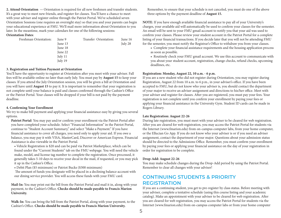**2. Attend Orientation -–** Orientation is required for all new freshmen and transfer students. It's a great way to meet new friends, and register for classes. You'll have a chance to meet with your adviser and register online through the Patriot Portal. We've scheduled seven Orientation Sessions (one requires an overnight stay) so that you and your parents can begin your educational experience at FMU. We'll mail more information about Orientation to you later. In the meantime, mark your calendars for one of the following sessions:

#### **Orientation Dates**:

| Freshman Orientation: | June 9    | Transfer Orientation: | June 16 |
|-----------------------|-----------|-----------------------|---------|
|                       | June 13   |                       | July 28 |
|                       | June 18   |                       |         |
|                       | June 22   |                       |         |
|                       | July $11$ |                       |         |
|                       | July 19   |                       |         |

#### **3. Registration and Tuition Payment at Orientation**

You'll have the opportunity to register at Orientation after you meet with your adviser. Fall fees will be available online no later than early July. You must pay by **August 15** to keep your classes. If you attend the July Orientation session, you will be given a bill at Orientation and you will have until **August 15** to pay it. It is important to remember that your registration is not complete until your balance is paid and classes confirmed through the Cashier's Office or the Patriot Portal. Your classes will be dropped if your bill is not paid by the payment deadline.

#### **4. Confirming Your Enrollment**

We try to make bill payment and applying your financial assistance easy by giving you several options.

**Patriot Portal**: You may pay and/or confirm your enrollment via the Patriot Portal after you have completed your schedule. Select "Financial Information" in the Patriot Portal, continue to "Student Account Summary," and select "Make a Payment." If you have financial assistance to cover all charges, you need only to apply your aid. If you owe a balance, you may pay it with VISA, MasterCard, Discover or American Express. Financial Assistance is also viewable in the Patriot Portal.

• Vehicle Registration is \$20 and can be paid via Patriot Marketplace, which can be found under the "Current Students" tab on the FMU webpage. You will need the vehicle make, model, and license tag number to complete the registration. Once processed, it generally takes 5-10 days to receive your decal in the mail, if requested, or you may pick it up in the Cashier's Office.

• Debit Plan (\$5 minimum) or Patriot Bucks (\$300 minimum)

 The amount of funds you designate will be placed in a declining balance account with our dining service provider. You will access these funds with your FMU card.

**Mail-In:** You may print out the bill from the Patriot Portal and mail it in, along with your payment, to the Cashier's Office. **Checks should be made payable to Francis Marion University.**

**Walk-In:** You can bring the bill from the Patriot Portal, along with your payment, to the Cashier's Office. **Checks should be made payable to Francis Marion University.**

Remember, to ensure that your schedule is not canceled, you must do one of the above three options by the payment deadline of **August 15.** 

**NOTE**: If you have enough available financial assistance to pay all of your University's charges, your available aid will automatically be used to confirm your classes for the semester. An email will be sent to your FMU gmail account to notify you that your aid was used to confirm your classes. Please review your student account in the Patriot Portal for a complete listing of your financial transactions. If you decide later that you will not be attending FMU for the semester, you must notify the Registrar's Office to withdraw you from your classes.

- Complete your financial assistance requirements and the housing application process as soon as possible.
- Routinely check your FMU gmail account. We use this account to communicate with you about your student account, registration, change checks, refund checks, upcoming deadlines, etc.

#### **Registration: Monday, August 22, 10 a.m. - 6 p.m.**

If you are a new student who did not register during Orientation, you may register during Registration, August 22 from 10 a.m. to 6 p.m., in your adviser's office. If you have been accepted to FMU, but do not know who your adviser is, you should contact the department of your major to receive an adviser assignment and directions to his/her office. Meet with your adviser and register for classes. After you are registered, you must pay your fees. Your registration is not complete until you confirm your enrollment by paying your fees or applying your financial assistance in the University Gym. Student ID cards can be made in Rogers Library.

#### **Late Registration: August 22-26**

During late registration, you must meet with your adviser to be cleared for web registration. After you are cleared for web registration, you may access the Patriot Portal for students via the Internet (www.fmarion.edu) from on-campus computer labs, from your home computer, or the Ellucian Go App. If you do not know who your adviser is or if you need an adviser assignment, contact the department of your major. Questions about your admission status should be directed to the Admissions Office. Remember, you must confirm your enrollment by paying your fees or applying your financial assistance on the day of your registration in order for registration to be complete.

#### **Drop-Add: August 22-26**

You may make schedule changes during the Drop-Add period by using the Patriot Portal. Remember to clear all changes with your adviser!

## **CONTINUING STUDENTS & PRIORITY REGISTRATION**

If you are a continuing student, you get to pre-register by class status. Before meeting with your adviser, complete a tentative schedule (using this course listing and your academic catalog). Make an appointment with your adviser to be cleared for web registration. After you are cleared for web registration, you may access the Patriot Portal for students via the Internet (www.fmarion.edu) from on-campus computer labs or from your home computer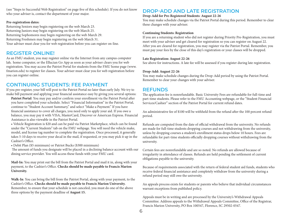(see "Steps to Successful Web Registration" on page five of this schedule). If you do not know who your adviser is, contact the department of your major.

#### **Pre-registration dates:**

Returning Seniors may begin registering on the web March 23. Returning Juniors may begin registering on the web March 25. Returning Sophomores may begin registering on the web March 29. Returning Freshmen may begin registering on the web March 31. Your adviser must clear you for web registration before you can register on-line.

## **REGISTER ONLINE!**

As an FMU student, you may register online via the Internet from any campus computer lab, home computer, or the Ellucian Go App as soon as your adviser clears you for web registration. You may access the Patriot Portal for students from the FMU home page (www. fmarion.edu) to register for classes. Your adviser must clear you for web registration before you can register online.

## **CONTINUING STUDENTS: FEE PAYMENT**

If you pre-register, your bill will post to the Patriot Portal no later than early July. We try to make bill payment and applying your financial assistance easy by giving you several options:

**Patriot Portal**: You may pay and/or confirm your enrollment via the Patriot Portal after you have completed your schedule. Select "Financial Information" in the Patriot Portal, continue to "Student Account Summary," and select "Make a Payment." If you have financial assistance to cover all charges, you need only to apply your aid. If you owe a balance, you may pay it with VISA, MasterCard, Discover or American Express. Financial Assistance is also viewable in the Patriot Portal.

• Vehicle Registration is \$20 and can be paid via Patriot Marketplace, which can be found under the "Current Students" tab on the FMU webpage. You will need the vehicle make, model, and license tag number to complete the registration. Once processed, it generally takes 5-10 days to receive your decal in the mail, if requested, or you may pick it up in the Cashier's Office.

• Debit Plan (\$5 minimum) or Patriot Bucks (\$300 minimum)

 The amount of funds you designate will be placed in a declining balance account with our dining service provider. You will access these funds with your FMU card.

**Mail-In:** You may print out the bill from the Patriot Portal and mail it in, along with your payment, to the Cashier's Office. **Checks should be made payable to Francis Marion University.** 

**Walk-In**: You can bring the bill from the Patriot Portal, along with your payment, to the Cashier's Office. **Checks should be made payable to Francis Marion University.** Remember, to ensure that your schedule is not canceled, you must do one of the above three options by the payment deadline of **August 15.** 

## **DROP-ADD AND LATE REGISTRATION**

#### **Drop-Add for Pre-Registered Students**: **August 22-26**

You may make schedule changes via the Patriot Portal during this period. Remember to clear these changes with your adviser.

#### **Continuing Students: Registration**

If you are a returning student who did not register during Priority Pre-Registration, you must meet with your adviser and get cleared for registration so you can register on August 22. After you are cleared for registration, you may register via the Patriot Portal. Remember, you must pay your fees by the close of this day's registration or your classes will be dropped.

#### **Late Registration: August 22-26**

See above for instructions. A late fee will be assessed if you register during late registration.

#### **Drop-Add: August 22-26**

You may make schedule changes during the Drop-Add period by using the Patriot Portal. Remember to clear your changes with your adviser.

### **REFUNDS**

The application fee is nonrefundable. Basic University Fees are refundable for full-time and part-time students. Please refer to the FMU Accounting webpage, or the "Student Financial Services/Cashier" section of the Patriot Portal for current refund dates.

An administrative fee of \$100 will be withheld from the refund after the 100 percent refund period.

Refunds are computed from the date of official withdrawal from the university. No refunds are made for full-time students dropping courses and not withdrawing from the university, unless by dropping courses a student's enrollment status drops below 10 hours. Fees are refundable for part-time students officially dropping courses without withdrawing from the university.

Certain fees are nonrefundable and are so noted. No refunds are allowed because of irregularity in attendance of classes. Refunds are held pending the settlement of current obligations payable to the university.

Because of requirements associated with the return of federal student aid funds, students who receive federal financial assistance and completely withdraw from the university during a refund period may still owe the university.

An appeals process exists for students or parents who believe that individual circumstances warrant exceptions from published policy.

Appeals must be in writing and are processed by the University's Withdrawal Appeals Committee. Address appeals to the Withdrawal Appeals Committee, Office of the Registrar, Francis Marion University, PO Box 100547, Florence, SC 29502-0547.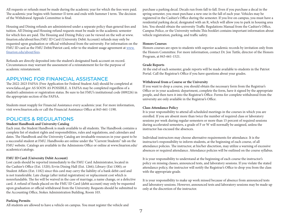All requests or refunds must be made during the academic year for which the fees were paid. The academic year begins with Summer II term and ends with Summer I term. The decision of the Withdrawal Appeals Committee is final.

Housing and Dining refunds are administered under a separate policy than general fees and tuition. All Dining and Housing refund requests must be made in the academic semester for which fees are paid. The Housing and Dining Policy can be viewed on the web at www. fmarion.edu/about/fees.FMU ID Card (University Debit Account) refunds may only be requested upon graduation or official withdrawal from the university. For information on the FMU ID card as the FMU Debit/Patriot card, refer to the student usage agreement at www. fmarion.edu/about/fees.

Refunds are directly deposited into the student's designated bank account on record. Circumstances may warrant the assessment of a reinstatement fee for the purpose of academic reinstatement.

## **APPLYING FOR FINANCIAL ASSISTANCE**

The 2022-2023 FAFSA (Free Application for Federal Student Aid) should be completed at www.fafsa.ed.gov AS SOON AS POSSIBLE. A FAFSA may be completed regardless of a student's admission or registration status. Be sure to list FMU's institutional code (009226) in the appropriate section of the FAFSA.

Students must reapply for Financial Assistance every academic year. For more information, visit www.fmarion.edu or call the Financial Assistance Office at 843-661-1190.

## **POLICIES & REGULATIONS**

#### **Student Handbook and University Catalog**

Each year, the Student Handbook is made available to all students. The Handbook contains a complete list of student rights and responsibilities, rules and regulations, and calendars and dates. The Handbook and the University Catalog are invaluable resources in your quest to be a successful student at FMU. Handbooks are online under the "Current Students" tab on the FMU website. Catalogs are available in the Admissions Office or online at www.fmarion.edu/ academics/catalogs.

#### **FMU ID Card (University Debit Account)**

Lost cards should be reported immediately to the FMU Card Administrator, located in the Cashier's Office (Ext. 1320); Ervin Dining Hall (Ext. 1266); Library (Ext 1300); or Student Affairs (Ext. 1182) since this card may carry the liability of a bank debit card and is not transferable. Late charge (after initial registration) or replacement cost which is nonrefundable. The fee will be waived in the case of marriage, a name change, or a defective card. A refund of funds placed on the FMU ID Card (debit account) may only be requested upon graduation or official withdrawal from the University. Requests should be submitted to the Accounting Office, Stokes Administration Building, Room 103.

purchase a parking decal. Decals run from fall to fall. Even if you purchase a decal in the spring semester, you must purchase a new one in the fall of each year. Vehicles may be registered in the Cashier's Office during the semester. If you live on campus, you must have a residential parking decal, designated with an R, which will allow you to park in housing area lots. You should obtain the university Traffic Regulations Manual from the Cashier's Office, Campus Police, or the University website.This booklet contains important information about vehicle registration, parking, and traffic safety.

#### **Honors Courses**

Honors courses are open to students with superior academic records by invitation only from the Honors Committee. For more information, contact Dr. Jon Tuttle, director of the Honors Program, at 843-661-1521.

#### **Grade Reports**

At the end of each semester, grade reports will be made available to students in the Patriot Portal. Call the Registrar's Office if you have questions about your grades.

#### **Withdrawal from a Course or the University**

If you want to drop a course, you should obtain the necessary form from the Registrar's Office or in your academic department, complete the form, have it signed by the appropriate people, and then turn it into the Registrar's Office. Forms for complete withdrawal from the university are only available in the Registrar's Office.

#### **Class Attendance Policy**

It is your responsibility to attend all scheduled meetings in the courses in which you are enrolled. If you are absent more than twice the number of required class or laboratory sessions per week during regular semesters or more than 15 percent of required sessions during accelerated semesters, a grade of F or W will normally be assigned, unless the instructor has excused the absences.

Individual instructors may choose alternative requirements for attendance. It is the instructor's responsibility to inform students, at the beginning of each course, of all attendance policies. The instructor, at his/her discretion, may utilize a warning of excessive absences or required attendance. Attendance policies will be outlined on the course syllabus.

It is your responsibility to understand at the beginning of each course the instructor's policy on missing classes, announced tests, and laboratory sessions. If you violate the stated attendance policy, the instructor will notify the Registrar's Office to drop you from the class with the appropriate grade.

It is your responsibility to make up work missed because of absence from announced tests and laboratory sessions. However, announced tests and laboratory sessions may be made up only at the discretion of the instructor.

#### **Parking Permits**

All students are allowed to have a vehicle on campus. You must register the vehicle and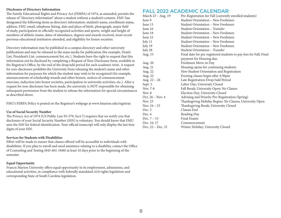#### **Disclosure of Directory Information**

The Family Educational Rights and Privacy Act (FERPA) of 1974, as amended, permits the release of "directory information" about a student without a student's consent. FMU has designated the following items as directory information: student's name, enrollment status, address, FMU email, telephone listing, date and place of birth, photograph, major field of study, participation in officially recognized activities and sports, weight and height of members of athletic teams, dates of attendance, degrees and awards received, most recent previous educational institution attended, and eligibility for honor societies.

Directory information may be published in a campus directory and other university publications and may be released to the mass media for publication (for example, Dean's List, President's List, commencement list, etc.). Students have the right to request that this information not be disclosed by completing a Request of Non-Disclosure form, available in the Registrar's Office, by the end of the drop/add period for each academic term. A request for non-disclosure prohibits the University from releasing the student's name and other information for purposes for which the student may wish to be recognized (for example, announcements of scholarship awards and other honors, notices of commencement exercises, induction into honor societies, participation in university activities, etc.). After a request for non-disclosure has been made, the university is NOT responsible for obtaining subsequent permission from the student to release the information for special circumstances as described above.

FMU's FERPA Policy is posted on the Registrar's webpage at www.fmarion.edu/registrar.

#### **Use of Social Security Number**

The Privacy Act of 1974 (US Public Law 93-579, Sect.7) requires that we notify you that disclosure of your Social Security Number (SSN) is voluntary. You should know that FMU uses the SSN for federal identification. Your official transcript will only display the last four digits of your SSN.

#### **Services for Students with Disabilities**

Effort will be made to ensure that classes offered will be accessible to individuals with disabilities. If you plan to enroll and need assistance relating to a disability, contact the Office of Counseling and Testing (843-661-1840) at least 10 days prior to the beginning of the semester.

#### **Equal Opportunity**

Francis Marion University offers equal opportunity in its employment, admissions, and educational activities, in compliance with federally mandated civil rights legislation and corresponding State of South Carolina legislation.

## **FALL 2022 ACADEMIC CALENDAR**

| March 23 - Aug. 19 | Pre-Registration for Fall (currently enrolled students)                                        |
|--------------------|------------------------------------------------------------------------------------------------|
| June 9             | Student Orientation - New Freshmen                                                             |
| June 13            | Student Orientation - New Freshmen                                                             |
| June 16            | Student Orientation - Transfer                                                                 |
| June 18            | <b>Student Orientation – New Freshmen</b>                                                      |
| June 22            | Student Orientation - New Freshmen                                                             |
| July 11            | Student Orientation - New Freshmen                                                             |
| July 19            | <b>Student Orientation – New Freshmen</b>                                                      |
| July 28            | Student Orientation - Transfer                                                                 |
| Aug. 15            | Final date for pre-registered students to pay fees for Fall; Final<br>payment for Housing due. |
| Aug. 20            | Freshmen Move-in Day                                                                           |
| Aug. 21            | Housing opens for continuing students                                                          |
| Aug. 22            | New Student Orientation and Registration                                                       |
| Aug. 22            | Evening classes begin after 4:30pm                                                             |
| Aug. 22 - 26       | Late Registration Drop/Add Period                                                              |
| Sept. 5            | Labor Day; University Closed                                                                   |
| Nov. 7-8           | Fall Break; University Open; No Classes                                                        |
| Nov. 8             | Election Day; University Closed                                                                |
| Oct. 26 - Nov. 4   | Advising and Priority Pre-Registration (Spring)                                                |
| <b>Nov. 23</b>     | Thanksgiving Holiday Begins: No Classes; University Open                                       |
| Nov. $24 - 25$     | Thanksgiving Break; University Closed                                                          |
| Dec. 5             | Classes End                                                                                    |
| Dec. 6             | Reading Day                                                                                    |
| Dec. 7 - 13        | Final Exams                                                                                    |
| Dec. 16, 17        | Commencement                                                                                   |
| Dec. 22 – Dec. 31  | Winter Holiday; University Closed                                                              |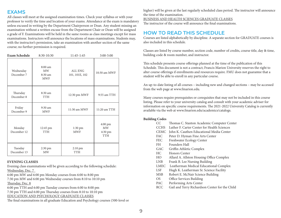## **EXAMS**

All classes will meet at the assigned examination times. Check your syllabus or with your professor to verify the time and location of your exams. Attendance at the exam is mandatory unless excused in writing by the Department Chairperson or Dean. Any student missing an examination without a written excuse from the Department Chair or Dean will be assigned a grade of F. Examinations will be held in the same rooms as class meetings except for mass examinations. Instructors will announce the locations of mass examinations. Students may, with the instructor's permission, take an examination with another section of the same course; no further permission is required.

| <b>Exam Schedule</b>    | 8:30-10:30                                      | 11:45-1:45                      | $3:00 - 5:00$                                           |
|-------------------------|-------------------------------------------------|---------------------------------|---------------------------------------------------------|
| Wednesday<br>December 7 | $8:00$ am<br><b>MW</b><br>8:30 am<br><b>MWF</b> | ALL ENG<br>101, 101E, 102       | 10:30 am MWF                                            |
| Thursday<br>December 8  | 8:30 am<br><b>TTH</b>                           | 12:30 pm MWF                    | 9:55 am TTH                                             |
| Friday<br>December 9    | 9:30 am<br><b>MWF</b>                           | 11:30 am MWF                    | 11:20 am TTH                                            |
| Monday<br>December 12   | 12:45 pm<br><b>TTH</b>                          | $1:30 \text{ pm}$<br><b>MWF</b> | 4:00 pm<br><b>MW</b><br>$4:30 \text{ pm}$<br><b>TTH</b> |
| Tuesday<br>December 13  | 2:30 pm<br><b>MW</b>                            | 2:10 pm<br><b>TTH</b>           |                                                         |

#### **EVENING CLASSES**

Evening class examinations will be given according to the following schedule: Wednesday, Dec. 7

6:00 pm MW and 6:00 pm Monday courses from 6:00 to 8:00 pm

7:30 pm MW and 6:00 pm Wednesday courses from 8:10 to 10:10 pm Thursday, Dec. 8

6:00 pm TTH and 6:00 pm Tuesday courses from 6:00 to 8:00 pm

7:30 pm TTH and 6:00 pm Thursday courses from 8:10 to 10:10 pm

EDUCATION AND PSYCHOLOGY GRADUATE CLASSES

The final examinations in all graduate Education and Psychology courses (500-level or

higher) will be given at the last regularly scheduled class period. The instructor will announce the time of the examination.

BUSINESS AND HEALTH SCIENCES GRADUATE CLASSES

The instructor of the course will announce the final examinations.

## **HOW TO READ THIS SCHEDULE**

Courses are listed alphabetically by discipline. A separate section for GRADUATE courses is also included in this schedule.

Classes are listed by course number, section code, number of credits, course title, day & time, building code & room number, and instructor.

This schedule presents course offerings planned at the time of the publication of this Schedule. This document is not a contract; Francis Marion University reserves the right to alter course offerings if enrollments and resources require. FMU does not guarantee that a student will be able to enroll in any particular course.

An up-to-date listing of all courses – including new and changed sections – may be accessed from the web page at www.fmarion.edu.

Many courses require prerequisites or corequisites that may not be included in this course listing. Please refer to your university catalog and consult with your academic adviser for information on specific course requirements. The 2021-2022 University Catalog is currently available via the web at www.fmarion.edu/academics/catalogs.

### **Building Codes**

- CC Thomas C. Stanton Academic Computer Center
- CCHS Luther F. Carter Center for Health Sciences
- CEMC John K. Cauthen Educational Media Center
- FAC Peter D. Hyman Fine Arts Center
- FEC Freshwater Ecology Center
- FH Founders Hall
- GAC Griffin Athletic Complex
- HC Honors Center
- HO Allard A. Allston Housing Office Complex
- LNB Frank B. Lee Nursing Building
- LMEC Leatherman Medical Educational Complex
- LSF Hugh K. Leatherman Sr. Science Facility
- MSB Robert E. McNair Science Building
- OS Office Services Building
- PAC Performing Arts Center
- RCC Gail and Terry Richardson Center for the Child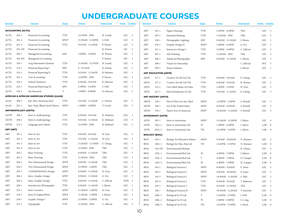## **UNDERGRADUATE COURSES**

| Section               |                            | <b>Course</b>                                        | <b>Days</b> | <b>Times</b>      | <b>Instructor</b> | Form. Credits                         | Section               |                             | <b>Course</b>                 | <b>Days</b>              | Times             | <b>Instructor</b> | Form. Credits |  |
|-----------------------|----------------------------|------------------------------------------------------|-------------|-------------------|-------------------|---------------------------------------|-----------------------|-----------------------------|-------------------------------|--------------------------|-------------------|-------------------|---------------|--|
|                       | <b>ACCOUNTING (ACTG)</b>   |                                                      |             |                   |                   |                                       | ART                   | $301 - 1$                   | Figure Drawing                | <b>TTH</b>               | 2:10PM - 4:50PM   | TBA               | LEC 3         |  |
| ACTG                  | $201 - 1$                  | <b>Financial Accounting</b>                          | <b>TTH</b>  | 12:45PM - 2PM     | H. Lundy          | LEC 3                                 | ART                   | $307 - 1$                   | <b>Intermed Painting</b>      | <b>TTH</b>               | 11:20AM - 2PM     | <b>TBA</b>        | LEC 3         |  |
| <b>ACTG</b>           | $201 - 2$                  | Financial Accounting                                 | <b>MWF</b>  | 11:30AM - 12:20PM | S. Dell           | LEC<br>$\overline{\phantom{a}}$       | ART                   | $328 - 1$                   | Photographic Lighting         | $\mathop{\text{\rm MW}}$ | 8:30AM - 11:10AM  | J. Mixon          | LEC 3         |  |
| ACTG                  | $201 - 3$                  | Financial Accounting                                 | <b>TTH</b>  | 9:55AM - 11:10AM  | P. Turner         | <b>LEC</b><br>$\overline{\mathbf{3}}$ | ART                   | $330 - 1$                   | Graphic Design II             | <b>MWF</b>               | 2:30PM - 4:20PM   | G. Fry            | LEC 3         |  |
| <b>ACTG</b>           | $201$ -ON                  | Financial Accounting                                 |             |                   | K. Poston         | $\overline{\mathbf{3}}$<br>ON         | ART                   | $331 - 1$                   | Interactive Design I          | <b>TTH</b>               | 2:10PM - 4:50PM   | C. Jeffcoat       | LEC 3         |  |
| ACTG                  | $202 - 1$                  | Managerial Accounting                                | MW          | 2:30PM - 3:45PM   | K. Poston         | LEC<br>$\overline{\mathbf{3}}$        | ART                   | $407 - 1$                   | Adv Painting                  | <b>TTH</b>               | 11:20AM - 2PM     | TBA               | LEC 3         |  |
| ACTG                  | 202-ON                     | Managerial Accounting                                |             |                   | P. Turner         | ON<br>$\overline{\mathbf{3}}$         | ART                   | $408 - 1$                   | Advanced Photography          | MW                       | 8:30AM - 11:10AM  | J. Mixon          | LEC 3         |  |
| $\operatorname{ACTG}$ | $320-1$                    | Actg Information Systems                             | <b>TTH</b>  | 11:20AM - 12:35PM | H. Lundy          | LEC 3                                 | ART                   | $498 - 1$                   | Visual Art Internship         |                          |                   | C. Jeffcoat       | INT 3         |  |
| <b>ACTG</b>           | $323 - 1$                  | Financial Reporting I                                | MW          | $8 - 9:15AM$      | K. Poston         | LEC<br>$\overline{\mathbf{3}}$        | <b>ART</b>            | 499-1                       | Senior Seminar                |                          |                   | J. Mixon          | $LEC$ 1       |  |
| <b>ACTG</b>           | $324-1$                    | Financial Reporting II                               | <b>TTH</b>  | 9:55AM - 11:10AM  | B. Johnson        | LEC 3                                 |                       | <b>ART EDUCATION (ARTE)</b> |                               |                          |                   |                   |               |  |
| ACTG                  | $325 - 1$                  | Cost Accounting                                      | <b>TTH</b>  | 12:45PM - 2PM     | P. Turner         | LEC 3                                 | <b>ARTE</b>           | $217 - 1$                   | Creative Art Ele Sch Tch      | <b>TTH</b>               | 8:30AM - 9:45AM   | E. Chang          | LEC 3         |  |
| ACTG                  | $328 - 1$                  | Federal Taxation I                                   | <b>TTH</b>  | 8:30AM - 9:45AM   | B. Johnson        | LEC 3                                 | ARTE                  | $217 - 2$                   | Creative Art Ele Sch Tch      | <b>TTH</b>               | 8:30AM - 9:45AM   | R. Hunter         | LEC 3         |  |
| <b>ACTG</b>           | $422 - 1$                  | Financial Reporting III                              | MW          | 2:30PM - 3:45PM   | S. Dell           | LEC<br>$\overline{\mathbf{3}}$        | ARTE                  | $312 - 1$                   | Curr Meth Mater Art Educ      | <b>TTH</b>               | 2:10PM - 3:25PM   | H. Frye           | LEC 3         |  |
| ACTG                  | $429-1$                    | Tax Research                                         | $\mathbf T$ | 5:30PM - 8:30PM   | B. Johnson        | <b>LEC</b><br>$\overline{\mathbf{3}}$ | ARTE                  | $415 - 1$                   | Hist.Foundations Art Ed       | <b>TTH</b>               | 9:55AM - 11:10AM  | E. Chang          | LEC 3         |  |
|                       |                            | <b>AFRICAN &amp; AFRICAN AMERICAN STUDIES (AAAS)</b> |             |                   |                   |                                       |                       | <b>ART HISTORY (ARTH)</b>   |                               |                          |                   |                   |               |  |
| AAAS                  | $200 - 1$                  | Intr Afric American Stud                             | <b>TTH</b>  | 9:55AM - 11:10AM  | L. Venters        | LEC 3                                 | ARTH                  | $220-1$                     | Hist of West Art:Anc-Med      | <b>MWF</b>               | 12:30PM - 1:20PM  | S. Howell         | LEC 3         |  |
| AAAS                  | $201 - 1$                  | Spec Topic Black Social Theory                       | MWF         | 1:30PM - 2:20PM   | T. Couch          | LEC 3                                 | <b>ARTH</b>           | $340-1$                     | Art of the United States      | <b>MWF</b>               | 8:30AM - 9:20AM   | S. Howell         | LEC 3         |  |
|                       | <b>ANTHROPOLOGY (ANTH)</b> |                                                      |             |                   |                   |                                       | ARTH                  | $350-1$                     | Native Arts of Americas       | MWF                      | 10:30AM - 11:20AM | S. Howell         | LEC 3         |  |
| ANTH                  | $100 - 1$                  | Intro to Anthropology                                | <b>TTH</b>  | 8:30AM - 9:45AM   | K. Molinari       | LEC 3                                 |                       | <b>ASTRONOMY (ASTR)</b>     |                               |                          |                   |                   |               |  |
| <b>ANTH</b>           | $100 - 2$                  | Intro to Anthropology                                | <b>TTH</b>  | 9:55AM - 11:10AM  | K. Molinari       | LEC 3                                 | <b>ASTR</b>           | $201-1$                     | Intro to Astronomy            | <b>MWF</b>               | 11:30AM - 12:20PM | J. Myers          | LEC 4         |  |
| <b>ANTH</b>           | $215-1$                    | Language and Culture                                 | <b>TTH</b>  | 12:45PM - 2PM     | K. Molinari       | LEC 3                                 | <b>ASTR</b>           | $201L-1$                    | Intro to Astronomy Lab        | W                        | 1:30PM - 4:30PM   | J. Myers          | $LAB$ 0       |  |
| <b>ART (ART)</b>      |                            |                                                      |             |                   |                   |                                       | <b>ASTR</b>           | $201L-2$                    | Intro to Astronomy Lab        | TH                       | 12:45PM - 3:45PM  | J. Myers          | LAB 0         |  |
| ART                   | $101 - 1$                  | Intro to Art                                         | <b>TTH</b>  | 8:30AM - 9:45AM   | H. Frye           | LEC 3                                 | <b>BIOLOGY (BIOL)</b> |                             |                               |                          |                   |                   |               |  |
| ART                   | $101 - 2$                  | Intro to Art                                         | <b>TTH</b>  | 9:55AM - 11:10AM  | H. Frye           | LEC 3                                 | <b>BIOL</b>           | $102 - 1$                   | Biology for Education Majors  | <b>MWF</b>               | 9:30AM - 10:20AM  | N. Harness        | LEC 4         |  |
| ART                   | $101 - 3$                  | Intro to Art                                         | <b>TTH</b>  | 11:20AM - 12:35PM | E. Chang          | LEC<br>$\overline{\mathbf{3}}$        | <b>BIOL</b>           | $102L - 1$                  | Biology for Educ Maj Lab      | TH                       | 12:45PM - 3:35PM  | N. Harness        | $LAB$ 0       |  |
| ART                   | $101 - 4$                  | Intro to Art                                         | <b>TTH</b>  | 12:45PM - 2PM     | TBA               | LEC<br>$\overline{\mathbf{3}}$        | <b>BIOL</b>           | 103-ON                      | Environmental Biology         |                          |                   | K. Clouse         | ON 4          |  |
| <b>ART</b>            | $203 - 1$                  | <b>Basic Drawing</b>                                 | <b>TTH</b>  | 8:30AM - 11:10AM  | TBA               | <b>LEC</b><br>$\overline{\mathbf{3}}$ | <b>BIOL</b>           | $103L-1$                    | Environmental Biol Lab        | M                        | 4:30PM - 7:20PM   | J. Majors         | $LAB$ 0       |  |
| <b>ART</b>            | $203 - 2$                  | <b>Basic Drawing</b>                                 | <b>TTH</b>  | 11:20AM - 2PM     | <b>TBA</b>        | <b>LEC</b><br>$\overline{\mathbf{3}}$ | <b>BIOL</b>           | $103L-2$                    | Environmental Biol Lab        | $\mathbf T$              | 4:30PM - 7:20PM   | H. Camper         | $LAB$ 0       |  |
| <b>ART</b>            | $204-1$                    | Two-Dimensional Design                               | <b>MWF</b>  | 9:30AM - 11:20AM  | TBA               | LEC 3                                 | <b>BIOL</b>           | $103L-3$                    | Environmental Biol Lab        | W                        | 4:30PM - 7:20PM   | H. Camper         | LAB 0         |  |
| ART                   | $204 - 2$                  | Two-Dimensional Design                               | <b>MWF</b>  | 12:30PM - 1:20PM  | TBA               | LEC 3                                 | <b>BIOL</b>           | $105 - 1$                   | <b>Biological Sciences I</b>  | <b>MWF</b>               | 8:30AM - 9:20AM   | E. Jones          | LEC 3         |  |
| ART                   | $205 - 1$                  | 3-DIMENSIONAL Design                                 | <b>MWF</b>  | 9:30AM - 11:20AM  | D. Gray           | LEC 3                                 | <b>BIOL</b>           | $105 - 2$                   | <b>Biological Sciences I</b>  | <b>MWF</b>               | 9:30AM - 10:20AM  | E. Jones          | LEC 3         |  |
| <b>ART</b>            | $206-1$                    | Intro. Graphic Design                                | <b>MWF</b>  | 9:30AM - 11:20AM  | G. Fry            | LEC 3                                 | <b>BIOL</b>           | $105 - 3$                   | <b>Biological Sciences I</b>  | <b>MWF</b>               | 10:30AM - 11:20AM | L. Pike           | LEC 3         |  |
| ART                   | $206 - 2$                  | Intro. Graphic Design                                | TTH         | 8:30AM - 11:10AM  | C. Jeffcoat       | HYB 3                                 | <b>BIOL</b>           | $105 - 4$                   | <b>Biological Sciences I</b>  | <b>TTH</b>               | 8:30AM - 9:45AM   | T. Shannon        | LEC 3         |  |
| <b>ART</b>            | $208 - 1$                  | Introductory Photography                             | TTH         | 8:30AM - 11:10AM  | J. Mixon          | <b>LEC</b><br>$\overline{\mathbf{3}}$ | <b>BIOL</b>           | $105 - 5$                   | <b>Biological Sciences I</b>  | <b>TTH</b>               | 9:55AM - 11:10AM  | TBA               | LEC 3         |  |
| ART                   | $210-1$                    | Intro Ceramics                                       | <b>MWF</b>  | 11:30AM - 1:20PM  | D. Gray           | LEC<br>$\overline{\mathbf{3}}$        | <b>BIOL</b>           | $106 - 1$                   | <b>Biological Sciences II</b> | <b>MWF</b>               | 10:30AM - 11:20AM | T. Knowles        | LEC 4         |  |
| ART                   | $218-1$                    | Intro.To Digital Photo                               | <b>MWF</b>  | 11:30AM - 1:20PM  | J. Mixon          | <b>LEC</b><br>$\overline{\mathbf{3}}$ | <b>BIOL</b>           | 106L-1                      | Biological Sci II Lab         | T                        | 12:45PM - 3:35PM  | J. Doll           | $LAB$ 0       |  |
| <b>ART</b>            | $230-1$                    | Graphic Design I                                     | <b>MWF</b>  | 12:30PM - 2:20PM  | G. Fry            | LEC<br>$\overline{\mathbf{3}}$        | <b>BIOL</b>           | $106L-2$                    | Biological Sci II Lab         | W                        | 1:30PM - 4:30PM   | G. Long           | LAB 0         |  |
| ART                   | $231 - 1$                  | Typography                                           | <b>TTH</b>  | 11:20AM - 2PM     | C. Jeffcoat       | LEC 3                                 | <b>BIOL</b>           | 106L-3                      | Biological Sci II Lab         | TH                       | 12:45PM - 3:35PM  | J. Floyd          | LAB 0         |  |
|                       |                            |                                                      |             |                   |                   |                                       |                       |                             |                               |                          |                   |                   |               |  |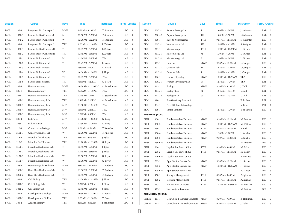| <b>Section</b> |            | <b>Course</b>                     | <b>Days</b>   | Times             | <b>Instructor</b> | Form. Credits                | <b>Section</b> |                         | <b>Course</b>                   | <b>Days</b>  | <b>Times</b>                          | <b>Instructor</b>  | Form. Credits |
|----------------|------------|-----------------------------------|---------------|-------------------|-------------------|------------------------------|----------------|-------------------------|---------------------------------|--------------|---------------------------------------|--------------------|---------------|
| <b>BIOL</b>    | $107 - 1$  | Integrated Bio Concepts I         | <b>MWF</b>    | 8:30AM-9:20AM     | T. Shannon        | LEC 4                        | <b>BIOL</b>    | 308L-1                  | Aquatic Ecology Lab             | T            | 1:00PM - 3:50PM                       | J. Steinmetz       | $LAB$ 0       |
| <b>BIOL</b>    | $107L - 1$ | Lab for Int Bio Concepts I        | M             | 12:30PM - 3:20PM  | T. Shannon        | LAB<br>$\overline{0}$        | <b>BIOL</b>    | 308L-2                  | Aquatic Ecology Lab             | TH           | 1:00PM - 3:50PM                       | J. Steinmetz       | $LAB$ 0       |
| <b>BIOL</b>    | 107L-2     | Lab for Int Bio Concepts I        | W             | 12:30PM - 3:20PM  | T. Shannon        | LAB<br>$\overline{0}$        | <b>BIOL</b>    | $309 - 1$               | Intro to Neuroscience           | <b>TTH</b>   | 9:55AM - 11:10AM                      | S. Wrighten        | LEC 4         |
| <b>BIOL</b>    | $108 - 1$  | <b>Integrated Bio Concepts II</b> | <b>TTH</b>    | 9:55AM - 11:10AM  | P. Zwiers         | LEC<br>$\overline{4}$        | <b>BIOL</b>    | 309L-1                  | Neuroscience Lab                | TH           | 12:45PM - 3:35PM                      | S. Wrighten        | $LAB$ 0       |
| <b>BIOL</b>    | $108L - 1$ | Lab for Int Bio Concepts II       | $\mathbf T$   | 12:45PM - 3:35PM  | P. Zwiers         | LAB<br>$\overline{0}$        | <b>BIOL</b>    | $311 - 1$               | Microbiology                    | <b>TTH</b>   | 11:20AM - 12:35PM                     | L. Turner          | LEC 4         |
| <b>BIOL</b>    | $108L-2$   | Lab for Int Bio Concepts II       | TH            | 12:45PM - 3:35PM  | P. Zwiers         | LAB<br>$\overline{0}$        | <b>BIOL</b>    | 311L-1                  | Microbiology Lab                | $\mathbf{M}$ | $1:30\mathrm{PM}$ - $4:20\mathrm{PM}$ | L. Turner          | $LAB$ 0       |
| <b>BIOL</b>    | $115L-1$   | Lab for Biol Sciences I           | M             | 12:30PM - 3:20PM  | TBA               | LAB<br>$\overline{1}$        | <b>BIOL</b>    | 311L-2                  | Microbiology Lab                | $\rm F$      | 1:30PM - 4:20PM                       | L. Turner          | $LAB$ 0       |
| <b>BIOL</b>    | 115L-2     | Lab for Biol Sciences I           | $\mathbf T$   | 12:45PM - 3:35PM  | E. Jones          | LAB<br><sup>1</sup>          | <b>BIOL</b>    | $401 - 1$               | Genetics                        | <b>MWF</b>   | 9:30AM - 10:20AM                      | J. Camper          | LEC 4         |
| <b>BIOL</b>    | 115L-3     | Lab for Biol Sciences I           | $\mathbf T$   | 4:30PM - 7:20PM   | C. Beard          | LAB<br>$\overline{1}$        | <b>BIOL</b>    | $401L - 1$              | Genetics Lab                    | M            | 12:30PM - 3:20PM                      | J. Camper          | $LAB$ 0       |
| <b>BIOL</b>    | 115L-4     | Lab for Biol Sciences I           | W             | 10:30AM - 1:20PM  | J. Floyd          | LAB<br>$\overline{1}$        | <b>BIOL</b>    | $401L - 2$              | Genetics Lab                    | $\mathbf T$  | 12:45PM - 3:35PM                      | J. Camper          | $LAB$ 0       |
| <b>BIOL</b>    | 115L-5     | Lab for Biol Sciences I           | TH            | 12:45PM - 3:35PM  | TBA               | LAB<br>$\overline{1}$        | <b>BIOL</b>    | $406 - 1$               | Human Physiology                | <b>MWF</b>   | 10:30AM - 11:20AM                     | <b>TBA</b>         | LEC 4         |
| <b>BIOL</b>    | 115L-6     | Lab for Biol Sciences I           | TH            | 4:30PM - 7:20PM   | C. Beard          | LAB<br>$\overline{1}$        | <b>BIOL</b>    | 406L-1                  | Human Physiology Lab            | W            | 12:30PM - 3:20PM                      | TBA                | $LAB$ 0       |
| <b>BIOL</b>    | $205 - 1$  | Human Anatomy                     | <b>MWF</b>    | 10:30AM - 11:20AM | A. Stoeckmann     | LEC<br>$\overline{4}$        | <b>BIOL</b>    | $411 - 1$               | Ecology                         | <b>MWF</b>   | 8:30AM - 9:20AM                       | J. Doll            | LEC 4         |
| <b>BIOL</b>    | $205 - 3$  | Human Anatomy                     | <b>TTH</b>    | 9:55AM - 11:10AM  | TBA               | LEC<br>$\overline{4}$        | <b>BIOL</b>    | $411L-1$                | Ecology Lab                     | M            | 12:45PM - 3:35PM                      | J. Doll            | $LAB$ 0       |
| <b>BIOL</b>    | $205L - 1$ | Human Anatomy Lab                 | <b>TTH</b>    | 12:45PM - 2PM     | A. Stoeckmann     | LAB<br>$\overline{0}$        | <b>BIOL</b>    | $411L-2$                | Ecology Lab                     | W            | 12:45PM - 3:35PM                      | J. Doll            | $LAB$ 0       |
| <b>BIOL</b>    | $205L-2$   | Human Anatomy Lab                 | <b>TTH</b>    | 2:10PM - 3:25PM   | A. Stoeckmann     | LAB<br>$\overline{0}$        | <b>BIOL</b>    | $490 - 1$               | Pre-Veterinary Internshi        |              |                                       | T. Barbeau         | INT 1         |
| <b>BIOL</b>    | 205L-3     | Human Anatomy Lab                 | MW            | 11:30AM - 12:45PM | TBA               | LAB<br>$\overline{0}$        | <b>BIOL</b>    | $494 - 1$               | Pre-Hlth Prog Internship        |              |                                       | V. Bauer           | INT 1         |
| <b>BIOL</b>    | 205L-4     | Human Anatomy Lab                 | $\text{MW}{}$ | 1:30PM - 2:45PM   | TBA               | LAB<br>$\overline{0}$        | <b>BIOL</b>    | 499-1                   | Senior Seminar                  | $\rm F$      | 12:30PM - 1:20PM                      | T. Shannon         | $LEC = 1$     |
| <b>BIOL</b>    | 205L-5     | Human Anatomy Lab                 | MW            | 3:30PM - 4:45PM   | TBA               | LAB<br>$\overline{0}$        |                | <b>BUSINESS (BUSI)</b>  |                                 |              |                                       |                    |               |
| <b>BIOL</b>    | $206 - 1$  | Fall Flora                        | MW            | 11:30AM - 12:20PM | G. Long           | LEC<br>$\overline{4}$        | <b>BUSI</b>    | $150 - 1$               | <b>Fundamentals of Business</b> | <b>MWF</b>   | 9:30AM - 10:20AM                      | M. Dittman         | $LEC$ 3       |
| <b>BIOL</b>    | $206L-1$   | Fall Flora Lab                    | $\rm F$       | 11:30AM - 3:20PM  | G. Long           | LAB<br>$\overline{0}$        | <b>BUSI</b>    | $150 - 2$               | Fundamentals of Business        | <b>MWF</b>   | 10:30AM - 11:20AM                     | M. Dittman         | LEC 3         |
| <b>BIOL</b>    | $210 - 1$  | <b>Conservation Biology</b>       | MW            | 8:30AM - 9:20AM   | T. Knowles        | LEC<br>$\overline{4}$        | <b>BUSI</b>    | $150 - 3$               | Fundamentals of Business        | <b>TTH</b>   | 9:55AM - 11:10AM                      | E. Belk            | LEC 3         |
| <b>BIOL</b>    | $210L-1$   | Conservation Biol Lab             | W             | 12:30PM - 3:20PM  | T. Knowles        | LAB<br>$\overline{0}$        | <b>BUSI</b>    | 150-4                   | <b>Fundamentals of Business</b> | <b>MWF</b>   | 1:30PM - 2:20PM                       | J. Aniello         | LEC 3         |
| <b>BIOL</b>    | $215 - 1$  | Microbio for Hlthcare             | <b>TTH</b>    | 8:30AM - 9:45AM   | J. Lyles          | <b>LEC</b><br>$\overline{4}$ | <b>BUSI</b>    | 150-5                   | <b>Fundamentals of Business</b> | <b>MWF</b>   | 9:30AM - 10:20AM                      | J. Aniello         | LEC 3         |
| <b>BIOL</b>    | $215 - 3$  | Microbio for Hlthcare             | <b>TTH</b>    | 11:20AM - 12:35PM | G. Pryor          | LEC<br>$\overline{4}$        | <b>BUSI</b>    | 150-ON                  | <b>Fundamentals of Business</b> |              |                                       | M. Dittman         | ON 3          |
| <b>BIOL</b>    | $215L-1$   | Microbio/Healthcare-Lab           | $\mathbf T$   | 12:45PM - 3:35PM  | J. Lyles          | LAB<br>$\overline{0}$        | <b>BUSI</b>    | $206 - 1$               | Legal & Soc Envir of Bus        | <b>TTH</b>   | 8:30AM - 9:45AM                       | M. Baker           | LEC 3         |
| <b>BIOL</b>    | 215L-2     | Microbio/Healthcare-Lab           | $\mathbf T$   | 12:45PM - 3:35PM  | J. Lyles          | LAB<br>$\overline{0}$        | <b>BUSI</b>    | $206 - 2$               | Legal & Soc Envir of Bus        | <b>TTH</b>   | 9:55AM - 11:10AM                      | M. Baker           | LEC 3         |
| <b>BIOL</b>    | 215L-3     | Microbio/Healthcare-Lab           | W             | 12:30PM - 3:20PM  | G. Pryor          | LAB<br>$\overline{0}$        | <b>BUSI</b>    | 206-ON                  | Legal & Soc Envir of Bus        |              |                                       | B. McLeod          | ON 3          |
| <b>BIOL</b>    | 215L-4     | Microbio/Healthcare-Lab           | W             | 12:30PM - 3:20PM  | G. Pryor          | LAB<br>$\overline{0}$        | <b>BUSI</b>    | $305 - 1$               | Appl Stat for Econ & Bus        | <b>MWF</b>   | 9:30AM - 10:20AM                      | H. Setzler         | LEC 3         |
| <b>BIOL</b>    | $236 - 1$  | Human Phys for Hlthcare           | <b>MWF</b>    | 9:30AM - 10:20AM  | T. Barbeau        | LEC<br>$\overline{4}$        | <b>BUSI</b>    | $305 - 2$               | Appl Stat for Econ & Bus        | <b>MWF</b>   | 10:30AM - 11:20AM                     | H. Setzler         | LEC 3         |
| <b>BIOL</b>    | 236L-1     | Hum Phys Healthcare-Lab           | M             | 12:30PM - 3:20PM  | T. Barbeau        | LAB<br>$\overline{0}$        | <b>BUSI</b>    | 305-ON                  | Appl Stat for Econ & Bus        |              |                                       | R. Yanson          | ON 3          |
| <b>BIOL</b>    | 236L-2     | Hum Phys Healthcare-Lab           | $\mathbf T$   | 12:45PM - 3:35PM  | T. Barbeau        | LAB<br>$\overline{0}$        | <b>BUSI</b>    | $458 - 1$               | Strategic Management            | <b>TTH</b>   | 8:30AM - 9:45AM                       | A. Iglesias        | LEC 3         |
| <b>BIOL</b>    | $301 - 1$  | Cell Biology                      | <b>TTH</b>    | 11:20AM - 12:35PM | J. Slone          | LEC<br>$\overline{4}$        | <b>BUSI</b>    | $458 - 2$               | Strategic Management            | <b>TTH</b>   | 9:55AM - 11:10AM                      | A. Iglesias        | LEC 3         |
| <b>BIOL</b>    | $301L - 1$ | Cell Biology Lab                  | W             | 1:30PM - 4:20PM   | J. Slone          | LAB<br>$\overline{0}$        | <b>BUSI</b>    | $467 - 1$               | The Business of Sports          | <b>TTH</b>   | 11:20AM - 12:35PM                     | M. Hartzler        | LEC 3         |
| <b>BIOL</b>    | 301L-2     | Cell Biology Lab                  | TH            | 12:45PM - 3:35PM  | J. Slone          | LAB<br>$\overline{0}$        | <b>BUSI</b>    | $475 - 1$               | Internship in Business          |              |                                       | M. Dittman         | ON 3          |
| <b>BIOL</b>    | $302 - 1$  | Developmental Biology             | <b>MWF</b>    | 10:30AM - 11:20AM | V. Bauer          | LEC<br>$\overline{4}$        |                | <b>CHEMISTRY (CHEM)</b> |                                 |              |                                       |                    |               |
| <b>BIOL</b>    | $302L - 1$ | Developmental Biol Lab            | <b>TTH</b>    | 9:55AM - 11:10AM  | V. Bauer          | LAB<br>$\overline{0}$        | <b>CHEM</b>    | $111 - 1$               | Gen Chem I: General Concepts    | <b>MWF</b>   | 8:30AM - 9:20AM                       | <b>B.</b> Holliman | LEC 3         |
| <b>BIOL</b>    | $308 - 1$  | Aquatic Ecology                   | <b>TTH</b>    | 8:30AM - 9:45AM   | J. Steinmetz      | LEC<br>$\overline{4}$        | <b>CHEM</b>    | $111-2$                 | Gen Chem I: General Concepts    | MWF          | 9:30AM - 10:20AM                      | J. Kelley          | LEC 3         |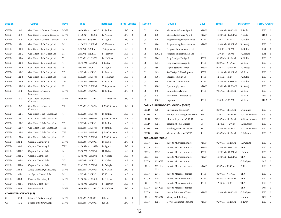| <b>Section</b> |                              | <b>Course</b>                    | <b>Days</b>          | <b>Times</b>      | <b>Instructor</b> | Form. Credits                          | <b>Section</b> |                         | <b>Course</b>                           | <b>Days</b> | <b>Times</b>      | Instructor      | Form. Credits                  |
|----------------|------------------------------|----------------------------------|----------------------|-------------------|-------------------|----------------------------------------|----------------|-------------------------|-----------------------------------------|-------------|-------------------|-----------------|--------------------------------|
| CHEM           | $111-3$                      | Gen Chem I: General Concepts MWF |                      | 10:30AM - 11:20AM | D. Jenkins        | LEC 3                                  | CS.            | $150 - 3$               | Micros & Software Appl I                | <b>MWF</b>  | 10:30AM - 11:20AM | P. Sauls        | LEC 3                          |
| <b>CHEM</b>    | $111 - 4$                    | Gen Chem I: General Concepts MWF |                      | 11:30AM - 12:20PM | K. Varazo         | <b>LEC</b><br>$\overline{\phantom{a}}$ | CS             | $150 - 4$               | Micros & Software Appl I                | <b>MWF</b>  | 11:30AM - 12:20PM | P. Sauls        | HYB 3                          |
| <b>CHEM</b>    | $111 - 5$                    | Gen Chem I: General Concepts     | TTH                  | 8:30AM - 9:45PM   | B. Aguila         | LEC 3                                  | CS             | $190 - 1$               | Programming Fundamentals                | <b>TTH</b>  | 8:30AM - 9:45AM   | K. Rubin        | LEC 3                          |
| <b>CHEM</b>    | $111L-1$                     | Gen Chem I Lab: Cncpt Lab        | M                    | 12:30PM - 3:20PM  | C. Umeweni        | LAB<br>$\overline{1}$                  | CS             | $190 - 2$               | Programming Fundamentals                | <b>MWF</b>  | 11:30AM - 12:20PM | K. Araujo       | LEC 3                          |
| CHEM           | $111L-2$                     | Gen Chem I Lab: Cncpt Lab        | M                    | 1:30PM - 4:20PM   | T. Stephenson     | LAB<br>$\overline{1}$                  | CS             | 190L-1                  | Program Fundamentals Lab                | $\rm F$     | 1:30PM - 4:30PM   | K. Rubin        | LAB 1                          |
| <b>CHEM</b>    | $111L-3$                     | Gen Chem I Lab: Cncpt Lab        | M                    | 3:30PM - 6:20PM   | L. Peterson       | LAB<br>$\overline{1}$                  | CS             | 190L-2                  | Program Fundamentals Lab                | $\rm F$     | 1:30PM - 4:30PM   | K. Araujo       | $LAB$ 1                        |
| <b>CHEM</b>    | $111L-4$                     | Gen Chem I Lab: Cncpt Lab        | $\mathbf T$          | 9:55AM - 12:35PM  | B. Holliman       | LAB<br>$\overline{1}$                  | CS             | $226 - 1$               | Prog & Algor Design I                   | <b>TTH</b>  | 9:55AM - 11:10AM  | K. Rubin        | LEC 3                          |
| <b>CHEM</b>    | $111L-5$                     | Gen Chem I Lab: Cncpt Lab        | $\mathbf T$          | 12:45PM - 3:35PM  | J. Kelley         | LAB<br>$\overline{1}$                  | CS             | $227 - 1$               | Prog & Algor Design II                  | <b>TTH</b>  | 8:30AM - 9:45AM   | M. Rao          | LEC 3                          |
| <b>CHEM</b>    | $111L-6$                     | Gen Chem I Lab: Cncpt Lab        | W                    | 1:30PM - 4:20PM   | B. Aguila         | LAB<br>$\overline{1}$                  | CS             | $280 - 1$               | Digital Systems Design                  | <b>MWF</b>  | 9:30AM - 10:20AM  | K. Araujo       | LEC 3                          |
| <b>CHEM</b>    | $111L-7$                     | Gen Chem I Lab: Cncpt Lab        | W                    | 1:30PM - 4:20PM   | L. Peterson       | LAB<br>$\overline{1}$                  | CS             | $313 - 1$               | Sys Design & Development                | <b>TTH</b>  | 11:20AM - 12:35PM | M. Rao          | LEC 3                          |
| <b>CHEM</b>    | $111L-8$                     | Gen Chem I Lab: Cncpt Lab        | TH                   | 9:55AM - 12:35PM  | B. Holliman       | LAB<br>- 1                             | CS             | $330-1$                 | Special Topics in CS                    | <b>TTH</b>  | 12:45PM - 2PM     | K. Rubin        | LEC 3                          |
| <b>CHEM</b>    | 111L-9                       | Gen Chem I Lab: Cncpt Lab        | TH                   | 12:45PM - 3:35PM  | K. Varazo         | LAB<br>-1                              | CS             | $350 - 1$               | Theory of Computation                   | <b>TTH</b>  | 11:20AM - 12:35PM | K. Rubin        | LEC 3                          |
| <b>CHEM</b>    | 111L-9A                      | Gen Chem I Lab: Cncpt Lab        | $\rm F$              | 12:30PM - 3:20PM  | T. Stephenson     | LAB<br>$\overline{1}$                  | CS             | $410-1$                 | <b>Operating Systems</b>                | <b>MWF</b>  | 10:30AM - 11:20AM | K. Araujo       | LEC 3                          |
| <b>CHEM</b>    | $112 - 1$                    | Gen Chem II: General             | $\operatorname{MWF}$ | 9:30AM - 10:20AM  | D. Jenkins        | LEC<br>$\overline{\phantom{a}}$        | CS             | $440-1$                 | Computer Networks                       | <b>TTH</b>  | 9:55AM - 11:10AM  | M. Rao          | LEC 3                          |
|                |                              | Concepts                         |                      |                   |                   |                                        | CS             | $475 - 1$               | Internship-Computer Sci                 |             |                   | M. Rao          | ON 3                           |
| CHEM           | 112-2                        | Gen Chem II: General<br>Concepts | <b>MWF</b>           | 10:30AM - 11:20AM | T. Stephenson     | LEC 3                                  | CS             | $480 - 1$               | Capstone I                              | <b>TTH</b>  | 2:10PM - 3:25PM   | M. Rao          | HYB 3                          |
| <b>CHEM</b>    | $112-3$                      | Gen Chem II: General             | <b>TTH</b>           | 9:55AM - 11:10AM  | J. McCutcheon     | LEC 3                                  |                |                         | <b>EARLY CHILDHOOD EDUCATION (ECED)</b> |             |                   |                 |                                |
|                |                              | Concepts                         |                      |                   |                   |                                        | <b>ECED</b>    | $320-1$                 | Curriculum for ECED                     | W           | 8:30AM - 11:15AM  | J. Gunther      | LEC 3                          |
| <b>CHEM</b>    | $112L-1$                     | Gen Chem II Lab: Cncpt Lab       | T                    | 9:55AM - 12:35PM  | D. Jenkins        | LAB 1                                  | <b>ECED</b>    | $321 - 1$               | Methods Assessing Prim Math             | TH          | 8:30AM - 11:15AM  | K. Saizdelamora | LEC 3                          |
| <b>CHEM</b>    | $112L-2$                     | Gen Chem II Lab: Cncpt Lab       | T                    | 12:45PM - 3:35PM  | J. McCutcheon     | LAB<br>$\overline{1}$                  | <b>ECED</b>    | $329-1$                 | Clinical Experinces/ECED                | W           | 8:30AM - 11:15AM  | K. Saizdelamora | LEC 3                          |
| <b>CHEM</b>    | $112L-3$                     | Gen Chem II Lab: Cncpt Lab       | W                    | 1:30PM - 4:20PM   | D. Jenkins        | LAB<br>$\overline{1}$                  | <b>ECED</b>    | $335 - 1$               | Teaching Social Studies                 | W           | 12:30PM - 3:20PM  | C. Johnston     | LEC 3                          |
| <b>CHEM</b>    | 112L-4                       | Gen Chem II Lab: Cncpt Lab       | TH                   | 9:55AM - 12:35PM  | D. Jenkins        | LAB<br>$\overline{1}$                  | <b>ECED</b>    | $336 - 1$               | Teaching Science in ECED                | M           | 11:30AM - 2:15PM  | K. Saizdelamora | LEC 3                          |
| <b>CHEM</b>    | $112L-5$                     | Gen Chem II Lab: Cncpt Lab       | TH                   | 12:45PM - 3:35PM  | J. McCutcheon     | LAB<br>$\overline{1}$                  | <b>ECED</b>    | $420 - 1$               | Meth and Mater of ECED                  | $\mathbf T$ | 8:30AM - 11:15AM  | C. Johnston     | LEC 3                          |
| <b>CHEM</b>    | $112L-6$                     | Gen Chem II Lab: Cncpt Lab       | $\rm F$              | 12:30PM - 3:20PM  | J. McCutcheon     | LAB<br>$\overline{1}$                  |                | <b>ECONOMICS (ECON)</b> |                                         |             |                   |                 |                                |
| CHEM           | $201-1$                      | Organic Chemistry I              | <b>MWF</b>           | 9:30AM - 10:20AM  | D. Clabo          | LEC<br>$\overline{4}$                  | <b>ECON</b>    | $203 - 1$               | Intro to Microeconomics                 | <b>MWF</b>  | 9:30AM - 10:20AM  | C. Padgett      | LEC 3                          |
| <b>CHEM</b>    | $201 - 2$                    | Organic Chemistry I              | <b>TTH</b>           | 11:20AM - 12:35PM | B. Aguila         | LEC<br>$\overline{4}$                  | <b>ECON</b>    | $203 - 2$               | Intro to Microeconomics                 | <b>MWF</b>  | 10:30AM - 11:20AM | <b>TBA</b>      | LEC 3                          |
| <b>CHEM</b>    | $201L-1$                     | Organic Chem I Lab               | M                    | 12:30PM - 3:20PM  | D. Clabo          | LAB 0                                  | <b>ECON</b>    | $203 - 3$               | Intro to Microeconomics                 | <b>TTH</b>  | 11:20AM - 12:35PM | J. Munn         | LEC 3                          |
| <b>CHEM</b>    | $201L-2$                     | Organic Chem I Lab               | T                    | 12:45PM - 3:35PM  | E. Adogla         | LAB<br>$\overline{0}$                  | <b>ECON</b>    | $203 - 4$               | Intro to Microeconomics                 | <b>MWF</b>  | 11:30AM - 12:20PM | <b>TBA</b>      | LEC 3                          |
| <b>CHEM</b>    | $201L-3$                     | Organic Chem I Lab               | W                    | 1:30PM - 4:20PM   | D. Clabo          | LAB<br>$\overline{0}$                  | <b>ECON</b>    | 203-ON                  | Intro to Microeconomics                 |             |                   | C. Padgett      | ON 3                           |
| <b>CHEM</b>    | $201L-4$                     | Organic Chem I Lab               | TH                   | 12:45PM - 3:35PM  | E. Adogla         | LAB<br>$\overline{0}$                  | <b>ECON</b>    | 203HH·                  | Intro to Microecon-Hnrs                 | <b>MWF</b>  | 8:30AM - 9:20AM   | B. Kyer         | LEC 3                          |
| <b>CHEM</b>    | $203 - 1$                    | Analy Chem I: Quant Analy        | <b>MWF</b>           | 9:30AM - 10:20AM  | K. Varazo         | LEC<br>$\overline{4}$                  |                | HON                     |                                         |             |                   |                 |                                |
| <b>CHEM</b>    | $203L-1$                     | Analytical Chem I Lab            | M                    | 1:30PM - 5:20PM   | K. Varazo         | LAB<br>$\overline{0}$                  | <b>ECON</b>    | $204-1$                 | Intro to Macroeconomics                 | <b>TTH</b>  | 8:30AM - 9:45AM   | <b>TBA</b>      | LEC 3                          |
| <b>CHEM</b>    | $301 - 1$                    | Physical Chemistry I             | <b>MWF</b>           | 11:30AM - 12:20PM | L. Peterson       | LEC<br>$\overline{4}$                  | <b>ECON</b>    | $204 - 2$               | Intro to Macroeconomics                 | <b>TTH</b>  | 9:55AM - 11:10AM  | <b>TBA</b>      | LEC 3                          |
| <b>CHEM</b>    | $301L - 1$                   | Physical Chem I Lab              | T                    | 12:45PM - 3:35PM  | L. Peterson       | LAB<br>$\overline{0}$                  | <b>ECON</b>    | $204 - 3$               | Intro to Macroeconomics                 | <b>TTH</b>  | 12:45PM - 2PM     | TBA             | LEC 3                          |
| CHEM           | $404 - 1$                    | Biochemistry I                   | <b>MWF</b>           | 10:30AM - 11:20AM | B. Holliman       | LEC<br>$\overline{\mathbf{3}}$         | <b>ECON</b>    | 204-ON                  | Intro to Macroeconomics                 |             |                   | <b>TBA</b>      | ON<br>$\overline{\phantom{a}}$ |
|                | <b>COMPUTER SCIENCE (CS)</b> |                                  |                      |                   |                   |                                        | <b>ECON</b>    | $310-1$                 | Interm Microecon Theory                 | <b>MWF</b>  | 10:30AM - 11:20AM | C. Padgett      | LEC 3                          |
| <b>CS</b>      | $150 - 1$                    | Micros & Software Appl I         | <b>MWF</b>           | 8:30AM - 9:20AM   | P. Sauls          | <b>LEC</b><br>$\overline{\mathbf{3}}$  | <b>ECON</b>    | 321-ON                  | Money and Banking                       |             |                   | J. Munn         | ON 3                           |
| CS             | $150 - 2$                    | Micros & Software Appl I         | <b>MWF</b>           | 9:30AM - 10:20AM  | P. Sauls          | LEC 3                                  | <b>ECON</b>    | $405 - 1$               | Dev of Economic Thought                 | <b>MWF</b>  | 9:30AM - 10:20AM  | B. Kyer         | LEC 3                          |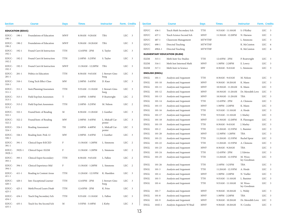| Section            |                         | <b>Course</b>             | <b>Days</b> | <b>Times</b>       | <b>Instructor</b>        | Form. Credits | Section             |                          | <b>Course</b>                                    | <b>Days</b>              | <b>Times</b>                          | <b>Instructor</b>         | Form. Credits  |  |
|--------------------|-------------------------|---------------------------|-------------|--------------------|--------------------------|---------------|---------------------|--------------------------|--------------------------------------------------|--------------------------|---------------------------------------|---------------------------|----------------|--|
|                    | <b>EDUCATION (EDUC)</b> |                           |             |                    |                          |               | EDUC                | $436 - 1$                | Teach Math Secondary Sch                         | <b>TTH</b>               | 9:55AM - 11:10AM                      | S. O'Kelley               | LEC 3          |  |
| EDUC-              | $190-1$                 | Foundations of Education  | <b>MWF</b>  | 8:30AM - 9:20AM    | TBA                      | LEC 3         | <b>EDUC</b>         | $437 - 1$                | Teach Science Second Sch                         | <b>MWF</b>               | 11:30AM - 12:20PM                     | N. Harness                | LEC 3          |  |
| $190-1$            |                         |                           |             |                    |                          |               | <b>EDUC</b>         | $487 - 1$                | Classroom Management                             | <b>MTWTHF</b>            |                                       | L. Simmons                | LEC 3          |  |
| EDUC-<br>$190 - 2$ | 190-2                   | Foundations of Education  | MWF         | 9:30AM - 10:20AM   | TBA                      | LEC 3         | <b>EDUC</b>         | $490 - 1$                | Directed Teaching                                | <b>MTWTHF</b>            |                                       | K. McCuiston              | LEC 6          |  |
| EDUC-              | $192 - 1$               | Found Curri & Instruction | TTH         | 12:45PM - 2PM      | S. Taylor                | LEC 3         | EDUC                | 490A-1                   | Directed Teaching                                | <b>MTWTHF</b>            |                                       | K. McCuiston              | LEC 6          |  |
| 192-1              |                         |                           |             |                    |                          |               |                     |                          | <b>ELEMENTARY EDUCATION (ELEM)</b>               |                          |                                       |                           |                |  |
| EDUC-<br>192-2     | 192-2                   | Found Curri & Instruction | <b>TTH</b>  | 2:10PM - 3:25PM    | S. Taylor                | LEC 3         | ELEM                | $315 - 1$                | Meth Instr Soc Studies                           | <b>TTH</b>               | 12:45PM - 2PM                         | P. Boatwright             | LEC 3          |  |
| EDUC-<br>$192 - 3$ | 192-3                   | Found Curri & Instruction | MWF         | 11:30AM - 12:20PM  | TBA                      | LEC 3         | ELEM<br>ELEM        | $316-1$<br>$317-1$       | Meth Inst Intermed Math<br>Meth Instr in Science | <b>MWF</b><br>MW         | 1:30PM - 2:20PM<br>$8:30AM - 9:45AM$  | E. Lowry<br>L. Simmons    | LEC 3<br>LEC 3 |  |
| EDUC-<br>$201 - 1$ | $201-1$                 | Politics in Education     | TTH         | 8:30AM - 9:45AM    | J. Stewart-Gins-<br>burg | LEC 3         |                     | <b>ENGLISH (ENGL)</b>    |                                                  |                          |                                       |                           |                |  |
| EDUC-              | $310-1$                 | Using Tech Effect Class   | MW          | 2:30PM - 3:45PM    | D. Kaur                  | LEC 3         | ENGL                | $101 - 1$                | Analysis and Argument                            | <b>TTH</b>               | 8:30AM - 9:45AM                       | M. Nelson                 | LEC 3          |  |
| $310-1$            |                         |                           |             |                    |                          |               | <b>ENGL</b>         | $101 - 10$               | Analysis and Argument                            | <b>MWF</b>               | 9:30AM - 10:20AM                      | K. Mann                   | LEC 3          |  |
| EDUC-              | 311-1                   | Instr.Planning/Assessmen  | <b>TTH</b>  | $9:55AM - 11:10AM$ | J. Stewart-Gins-         | LEC 3         | <b>ENGL</b>         | $101 - 11$               | Analysis and Argument                            | MWF                      | 10:30AM - 11:20AM                     | K. Mann                   | LEC 3          |  |
| $311 - 1$          |                         |                           |             |                    | burg                     |               | <b>ENGL</b>         | $101 - 12$               | Analysis and Argument                            | <b>MWF</b>               | 10:30AM - 11:20AM                     | Dr. Meredith Love         | LEC 3          |  |
| EDUC-<br>$313 - 1$ | $313-1$                 | Field Exp:Inst.Assessmen  | T           | 2:10PM - 3:50PM    | P. Boatwright            | LEC 2         | ENGL                | $101 - 13$               | Analysis and Argument                            | <b>MWF</b>               | 10:30AM - 11:20AM                     | TBA                       | LEC 3          |  |
| EDUC-              | $313 - 2$               | Field Exp:Inst.Assessmen  | <b>TTH</b>  | 2:10PM - 3:25PM    | M. Nelson                | LEC 2         | <b>ENGL</b>         | $101 - 14$               | Analysis and Argument                            | <b>TTH</b>               | 12:45PM - 2PM                         | A. Clemons                | LEC 3          |  |
| $313 - 2$          |                         |                           |             |                    |                          |               | <b>ENGL</b>         | $101 - 15$               | Analysis and Argument                            | <b>MWF</b>               | 1:30PM - 2:20PM                       | K. Mann                   | LEC 3<br>LEC 3 |  |
| EDUC-              | $322 - 1$               | Found/Instr. of Reading   | M           | 8:30AM - 11:20AM   | J. Gunther               | LEC 3         | ENGL                | $101 - 16$               | Analysis and Argument                            | <b>TTH</b>               | $9:55AM - 11:10AM$                    | A. Houle                  | LEC 3          |  |
| $322 - 1$<br>EDUC- | $322 - 2$               | Found/Instr. of Reading   | MW          | 2:30PM - 3:45PM    | L. Midcalf Car-          | LEC 3         | ENGL<br><b>ENGL</b> | $101 - 17$<br>$101 - 18$ | Analysis and Argument<br>Analysis and Argument   | <b>TTH</b><br><b>MWF</b> | 9:55AM - 11:10AM<br>11:30AM - 12:20PM | J. Marley<br>R. Flannagan | LEC 3          |  |
| $322 - 2$          |                         |                           |             |                    | penter                   |               | <b>ENGL</b>         | $101 - 19$               | Analysis and Argument                            | <b>TTH</b>               | 8:30AM - 9:45AM                       | J. Marley                 | LEC 3          |  |
| EDUC-              | $324-1$                 | Reading Assessment        | TH          | 2:10PM - 4:40PM    | L. Midcalf Car-          | LEC 3         | <b>ENGL</b>         | $101 - 2$                | Analysis and Argument                            | <b>TTH</b>               | 11:20AM - 12:35PM                     | L. Banister               | LEC 3          |  |
| $324-1$            |                         |                           |             |                    | penter                   |               | <b>ENGL</b>         | $101 - 20$               | Analysis and Argument                            | <b>MWF</b>               | 12:30PM - 1:20PM                      | TBA                       | LEC 3          |  |
| EDUC-<br>$326-1$   | $326-1$                 | Reading Instr. Prek-12    | MW          | 2:30PM - 3:45PM    | J. Gunther               | LEC 3         | <b>ENGL</b>         | $101 - 21$               | Analysis and Argument                            | <b>TTH</b>               | 11:20AM - 12:35PM                     | Rachel Spear              | LEC 3          |  |
| EDUC-              | $391-1$                 | Clinical Exper B:ECED     | F           | 11:30AM - 1:20PM   | L. Simmons               | LEC 2         | <b>ENGL</b>         | 101-22                   | Analysis and Argument                            | <b>TTH</b>               | 11:20AM - 12:35PM                     | A. Clemons                | LEC 3          |  |
| $391 - 1$          |                         |                           |             |                    |                          |               | <b>ENGL</b>         | $101 - 23$               | Analysis and Argument                            | <b>MWF</b>               | 8:30AM - 9:20AM                       | TBA                       | LEC 3          |  |
| EDUC-<br>392X-1    | 392X-1                  | Clinical Exper: ELEM      | F           | 11:30AM - 1:20PM   | L. Simmons               | LEC 2         | <b>ENGL</b>         | 101-24                   | Analysis and Argument                            | <b>TTH</b>               | 12:45PM - 2PM                         | J. Edwins                 | LEC 3          |  |
| EDUC-              | $393-1$                 | Clinical Exper:Secondary  | <b>TTH</b>  | 8:30AM - 9:45AM    | L. Fallon                | LEC 2         | ENGL                | $101 - 25$               | Analysis and Argument                            | <b>TTH</b>               | 11:20AM - 12:35PM                     | M. Woos-<br>ley-Goodman   | LEC 3          |  |
| $393-1$            | $394-1$                 | Clinical Experience Mid   | F           | 11:30AM - 1:20PM   | L. Simmons               | LEC 2         | ENGL                | $101 - 26$               | Analysis and Argument                            | <b>TTH</b>               | 2:10PM - 3:25PM                       | TBA                       | LEC 3          |  |
| EDUC-<br>394-1     |                         |                           |             |                    |                          |               | <b>ENGL</b>         | $101-3$                  | Analysis and Argument                            | <b>TTH</b>               | 11:20AM - 12:35PM                     | A. Houle                  | LEC 3          |  |
| EDUC-<br>$411 - 1$ | $411 - 1$               | Reading in Content Areas  | <b>TTH</b>  | 11:20AM - 12:35PM  | K. Haselden              | LEC 3         | <b>ENGL</b>         | $101 - 4$                | Analysis and Argument                            | MWF                      | 1:30PM - 2:20PM                       | N. Voeller                | LEC 3          |  |
| EDUC- 420-1        |                         | Intr: Exceptional Learner | TTH         | 12:45PM - 2PM      | J. Stewart-Gins-         | LEC 3         | <b>ENGL</b>         | $101 - 5$                | Analysis and Argument                            | <b>TTH</b>               | 9:55AM - 11:10AM                      | L. Banister               | LEC 3          |  |
| $420 - 1$<br>EDUC- | $425 - 1$               | Meth/Proced Learn Disab   | TTH         | 12:45PM - 2PM      | burg<br>K. Fries         | LEC 3         | ${\rm ENGL}$        | $101-6$                  | Analysis and Argument                            | TTH                      | 9:55AM - 11:10AM                      | M. Woos-<br>ley-Goodman   | $LEC$ 3        |  |
| $425 - 1$          |                         |                           |             |                    |                          |               | ENGL                | $101 - 7$                | Analysis and Argument                            | MWF                      | 9:30AM - 10:20AM                      | L. Weldy                  | LEC 3          |  |
| EDUC-              | $434-1$                 | Teach Eng Secondary Sch   | TTH         | 9:55AM - 11:10AM   | L. Fallon                | LEC 3         | <b>ENGL</b>         | $101 - 8$                | Analysis and Argument                            | <b>MWF</b>               | 1:30PM - 2:20PM                       | TBA                       | LEC 3          |  |
| 434-1              |                         |                           |             |                    |                          |               | <b>ENGL</b>         | $101-9$                  | Analysis and Argument                            | MWF                      | 9:30AM - 10:20AM                      | Dr. Meredith Love         | LEC 3          |  |
| EDUC-<br>435-1     | $435 - 1$               | Teach Soc Stu Second Sch  | M           | 3:55PM - 5:10PM    | J. Kirby                 | LEC 3         | ENGL                | $101E-1$                 | Analysis Argument W/Stud                         | MWF                      | 9:30AM - 10:20AM                      | N. Cowles                 | LEC 3          |  |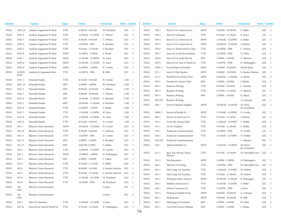| <b>Section</b> |                            | Course                         | <b>Days</b> | <b>Times</b>      | <b>Instructor</b>    | Form. Credits                 |                         | <b>Section</b> |           | Course                            | <b>Days</b> | <b>Times</b>       | <b>Instructor</b>       | Form. Credits |  |
|----------------|----------------------------|--------------------------------|-------------|-------------------|----------------------|-------------------------------|-------------------------|----------------|-----------|-----------------------------------|-------------|--------------------|-------------------------|---------------|--|
| <b>ENGL</b>    | 101E-10                    | Analysis Argument W/Stud       | TTH         | 8:30AM - 9:45AM   | M. Pritchard         | LEC 3                         |                         | <b>ENGL</b>    | $250 - 2$ | Intro.To Lit: American Lit        | <b>MWF</b>  | 9:30AM - 10:20AM   | S. Miller               | LEC 3         |  |
| <b>ENGL</b>    | 101E-2                     | Analysis Argument W/Stud       | TTH         | 11:20AM - 12:35PM | C. Wilson            | LEC                           | $\overline{\mathbf{3}}$ | <b>ENGL</b>    | $250 - 3$ | Intro.To Literature               | <b>TTH</b>  | 9:55AM - 11:10AM   | N. Zaice                | LEC 3         |  |
| <b>ENGL</b>    | 101E-3                     | Analysis Argument W/Stud       | <b>TTH</b>  | 8:30AM - 9:45AM   | C. Wilson            | LEC                           | $\overline{\mathbf{3}}$ | <b>ENGL</b>    | $250 - 4$ | Intro.To Lit: American Lit        | <b>MWF</b>  | 11:30AM - 12:20PM  | S. Miller               | LEC 3         |  |
| <b>ENGL</b>    | 101E-4                     | Analysis Argument W/Stud       | TTH         | 12:45PM - 2PM     | S. Honaker           | LEC 3                         |                         | ${\rm ENGL}$   | $250 - 5$ | Intro.To Lit: American Lit        | <b>MWF</b>  | 10:30AM - 11:20AM  | J. Edwins               | LEC 3         |  |
| <b>ENGL</b>    | 101E-5                     | Analysis Argument W/Stud       | TTH         | 9:55AM - 11:10AM  | S. Honaker           | LEC                           | $\overline{\mathbf{3}}$ | <b>ENGL</b>    | $250 - 6$ | Intro Lit Taylor Swift As Text    | <b>TTH</b>  | 12:45PM - 2PM      | C. Wilson               | LEC 3         |  |
| <b>ENGL</b>    | 101E-6                     | Analysis Argument W/Stud       | <b>MWF</b>  | 12:30PM - 1:20PM  | L. Houle             | LEC                           | $\overline{\mathbf{3}}$ | ${\rm ENGL}$   | $250 - 7$ | Intro Lit: Lit & Environment      | <b>TTH</b>  | 12:45PM - 2PM      | D. Clark                | LEC 3         |  |
| <b>ENGL</b>    | 101E-7                     | Analysis Argument W/Stud       | <b>MWF</b>  | 11:30AM - 12:20PM | N. Zaice             | LEC                           | $\overline{\mathbf{3}}$ | <b>ENGL</b>    | $250 - 8$ | Intro.To Lit; Early Brit Lit      | MW          | 2:30PM - 3:45PM    | C. Johnson              | LEC 3         |  |
| <b>ENGL</b>    | 101E-8                     | Analysis Argument W/Stud       | <b>MWF</b>  | 10:30AM - 11:20AM | N. Zaice             | LEC                           | $\overline{\mathbf{3}}$ | <b>ENGL</b>    | $250 - 9$ | Intro.To Lit: End of World Lit    | <b>TTH</b>  | 12:45PM - 2PM      | D. Washington           | LEC 3         |  |
| <b>ENGL</b>    | 101E-9                     | Analysis Argument W/Stud       | <b>MWF</b>  | 12:30PM - 1:20PM  | N. Cowles            | LEC 3                         |                         | ${\rm ENGL}$   | $250G-1$  | Int Lit:Depict of Gender          | <b>MWF</b>  | $9:30AM - 10:20AM$ | Rachel Spear            | LEC 3         |  |
| <b>ENGL</b>    | 101HH                      | Analysis & Argument-Hnrs       | TTH         | 12:45PM - 2PM     | B. Hilb              | LEC 3                         |                         | ENGL           | $251 - 1$ | Intro.To Film Studies             | <b>MWF</b>  | $9:30AM - 10:20AM$ | S. Smolen-Morton        | LEC 3         |  |
|                | HON                        |                                |             |                   |                      |                               |                         | <b>ENGL</b>    | $252 - 1$ | Read/Wri.Fict/Poetry/Dra          | <b>MWF</b>  | 10:30AM - 11:20AM  | A. Houle                | LEC 3         |  |
| <b>ENGL</b>    | $101L-1$                   | <b>Extended Studio</b>         | <b>TTH</b>  | 8:55AM - 9:45AM   | N. Cowles            | $LAB \t1$                     |                         | <b>ENGL</b>    | $300 - 1$ | Founds for Literary Stud          | MW          | 2:30PM - 3:45PM    | J. Marley               | LEC 3         |  |
| <b>ENGL</b>    | $101L-10$                  | <b>Extended Studio</b>         | MW          | 2:30PM - 3:20PM   | M. Pritchard         | LAB                           | $\overline{1}$          | <b>ENGL</b>    | $305 - 1$ | <b>Business Writing</b>           | TTH         | 8:30AM - 9:45AM    | C. Masters              | LEC 3         |  |
| <b>ENGL</b>    | $101L-2$                   | <b>Extended Studio</b>         | MW          | 9:30AM - 10:20AM  | C. Wilson            | LAB                           | $\overline{1}$          | ${\rm ENGL}$   | $305 - 2$ | <b>Business Writing</b>           | TTH         | 9:55AM - 11:10AM   | C. Masters              | LEC 3         |  |
| <b>ENGL</b>    | $101L-3$                   | <b>Extended Studio</b>         | MW          | 9:30AM - 10:20AM  | C. Wilson            | LAB                           | $\overline{1}$          | ${\rm ENGL}$   | $305 - 3$ | <b>Business Writing</b>           | MW          | 2:30PM - 3:45PM    | K. Mann                 | LEC 3         |  |
| <b>ENGL</b>    | $101L - 4$                 | <b>Extended Studio</b>         | MW          | 10:30AM - 11:20AM | S. Honaker           | LAB                           | $\overline{1}$          | <b>ENGL</b>    | 305-ON    | <b>Business Writing</b>           |             |                    | A. Clemons              | ON 3          |  |
| <b>ENGL</b>    | $101L - 5$                 | <b>Extended Studio</b>         | MW          | 10:30AM - 11:20AM | S. Honaker           | LAB                           | $\overline{1}$          | ${\rm ENGL}$   | $306 - 1$ | Devel of Modern English           | <b>MWF</b>  | 10:30AM - 11:20AM  | M. Woos-                | LEC 3         |  |
| <b>ENGL</b>    | 101L-6                     | <b>Extended Studio</b>         | <b>TTH</b>  | 12:45PM - 1:35PM  | L. Houle             | LAB                           | -1                      |                |           |                                   |             |                    | ley-Goodman             |               |  |
| <b>ENGL</b>    | $101L - 7$                 | <b>Extended Studio</b>         | <b>TTH</b>  | 11:20AM - 12:10PM | N. Zaice             | LAB                           | <sup>1</sup>            | <b>ENGL</b>    | 308N-1    | Survey of British Lit             | <b>MWF</b>  | 11:30AM - 12:20PM  | D. Cowles               | LEC 3         |  |
| <b>ENGL</b>    | $101L-8$                   | <b>Extended Studio</b>         | <b>TTH</b>  | 11:20AM - 12:10PM | N. Zaice             | LAB                           | -1                      | ${\rm ENGL}$   | $309 - 1$ | Survey of American Lit            | TTH         | 9:55AM - 11:10AM   | J. Edwins               | LEC 3         |  |
| <b>ENGL</b>    | 101L-9                     | Extended Studio                | <b>TTH</b>  | 8:55AM - 9:45AM   | N. Cowles            | LAB                           | <sup>1</sup>            | ${\rm ENGL}$   | $313 - 1$ | Lit for the Young Child           | <b>TTH</b>  | 11:20AM - 12:35PM  | L. Weldy                | LEC 3         |  |
| <b>ENGL</b>    | $102 - 1$                  | Rhetoric Genre Research        | <b>MWF</b>  | 10:30AM - 11:20AM | N. Cowles            | LEC                           | $\overline{\mathbf{3}}$ | <b>ENGL</b>    | $315 - 1$ | Lit for Children                  | TTH         | 9:55AM - 11:10AM   | L. Weldy                | LEC 3         |  |
| <b>ENGL</b>    | $102 - 10$                 | Rhetoric Genre Research        | <b>TTH</b>  | 8:30AM - 9:45AM   | C. Johnson           | LEC 3                         |                         | <b>ENGL</b>    | $318 - 1$ | Technical Communication           | TTH         | 12:45PM - 2PM      | N. Voeller              | LEC 3         |  |
| <b>ENGL</b>    | $102 - 11$                 | Rhetoric Genre Research        | <b>TTH</b>  | 12:45PM - 2PM     | D. Cowles            | LEC 3                         |                         | ${\rm ENGL}$   | $318 - 2$ | Technical Communication           | <b>TTH</b>  | 11:20AM - 12:35PM  | N. Voeller              | LEC 3         |  |
| <b>ENGL</b>    | $102 - 12$                 | Rhetoric Genre Research        | MW          | 2:30PM - 3:45PM   | S. Honaker           | LEC 3                         |                         | <b>ENGL</b>    | 318-ON    | Technical Communication           |             |                    | C. Masters              | ON 3          |  |
| <b>ENGL</b>    | $102 - 13$                 | Rhetoric Genre Research        | MW          | 4:00 PM 5:15PM    | L. Fallon            | LEC                           | $\overline{\mathbf{3}}$ | <b>ENGL</b>    | $326 - 1$ | Medieval British Lit              | <b>MWF</b>  | 11:30AM - 12:20PM  | M. Woos-                | LEC 3         |  |
| <b>ENGL</b>    | $102 - 2$                  | Rhetoric Genre Research        | TTH         | 11:20AM - 12:35PM | D. Cowles            | LEC                           | $\overline{\mathbf{3}}$ |                |           |                                   |             |                    | ley-Goodman             |               |  |
| <b>ENGL</b>    | $102 - 3$                  | Rhetoric Genre Research        | <b>MWF</b>  | 12:30PM - 1:20PM  | D. Washington        | LEC 3                         |                         | <b>ENGL</b>    | $331 - 1$ | Spec Top African Ameri<br>Rhetori | <b>TTH</b>  | 9:55AM - 11:10AM   | Dr. Meredith Love LEC 3 |               |  |
| <b>ENGL</b>    | $102 - 4$                  | Rhetoric Genre Research        | MW          | 2:30PM - 3:45PM   | L. Fallon            | LEC 3                         |                         | <b>ENGL</b>    | $332 - 1$ | The Romantics                     | <b>MWF</b>  | 1:30PM - 2:20PM    | D. Washington           | LEC 3         |  |
| <b>ENGL</b>    | $102 - 5$                  | Rhetoric Genre Research        | <b>TTH</b>  | 9:55AM - 11:10AM  | S. Miller            | LEC 3                         |                         | <b>ENGL</b>    | $340 - 1$ | Theories of Writing               | <b>TTH</b>  | 12:45PM - 2PM      | Dr. Meredith Love       | LEC 3         |  |
| <b>ENGL</b>    | $102 - 6$                  | Rhetoric Genre Research        | <b>TTH</b>  | 8:30AM - 9:45AM   | S. Smolen-Morton     | LEC                           | $\overline{\mathbf{3}}$ | ${\rm ENGL}$   | $341 - 1$ | Adv.Comp. for Teachers            | <b>TTH</b>  | 11:20AM - 12:35PM  | M. Nelson               | LEC 3         |  |
| <b>ENGL</b>    | $102 - 7$                  | Rhetoric Genre Research        | <b>TTH</b>  | 9:55AM - 11:10AM  | S. Smolen-Morton LEC |                               | $\overline{\mathbf{3}}$ | ${\rm ENGL}$   | $341 - 2$ | Adv.Comp. for Teachers            | <b>TTH</b>  | 9:55AM - 11:10AM   | M. Nelson               | LEC 3         |  |
| ENGL           | $102 - 8$                  | Rhetoric Genre Research        | <b>TTH</b>  | 11:20AM - 12:35PM | M. Pritchard         | LEC 3                         |                         | <b>ENGL</b>    | $342 - 1$ | Writing in Early America          | <b>MWF</b>  | 10:30AM - 11:20AM  | R. Flannagan            | LEC 3         |  |
| ENGL           | $102-9$                    | Rhetoric Genre Research        | TTH         | 12:45PM - 2PM     | M. Pritchard         | LEC                           | $\overline{\mathbf{3}}$ | ENGL           | $346-1$   | Modern American Lit               | TTH         | 11:20AM - 12:35PM  | S. Miller               | LEC 3         |  |
| ENGL           | $102 -$                    | Rhetoric Genre Research        |             |                   | J. Jones             | ON 3                          |                         | ENGL           | $348 - 1$ | African-American Lit              | TTH         | 12:45PM - 2PM      | J. Jones                | LEC 3         |  |
|                | ON1                        |                                |             |                   |                      |                               |                         | ENGL           | $353 - 1$ | Writing in Health Profes          | MWF         | 9:30AM - 10:20AM   | A. Clemons              | LEC 3         |  |
| ENGL           | $102 -$<br>ON <sub>2</sub> | Rhetoric Genre Research        |             |                   | J. Jones             | ON<br>$\overline{\mathbf{3}}$ |                         | ENGL           | $361 - 1$ | Shakespeare                       | <b>MWF</b>  | 9:30AM - 10:20AM   | B. Hilb                 | LEC 3         |  |
| ENGL           | $250-1$                    | Intro.To Literature            | <b>TTH</b>  | 11:20AM - 12:35PM | J. Jones             | LEC 3                         |                         | ${\rm ENGL}$   | $362 - 1$ | Mythology & Literature            | MW          | 2:30PM - 3:45PM    | D. Clark                | LEC 3         |  |
| ENGL           | $250 - 10$                 | Intro.To Lit: End of World Lit | TTH         | 9:55AM - 11:10AM  | D. Washington        | LEC 3                         |                         | ENGL           | $367-1$   | Crea Writ:Fiction Wkshop          | MW          | 2:30PM - 3:45PM    | L. Houle                | LEC 3         |  |
|                |                            |                                |             |                   |                      |                               |                         |                |           |                                   |             |                    |                         |               |  |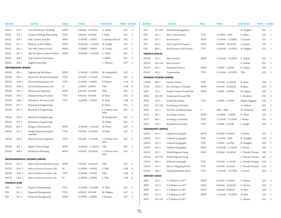| Section     |                           | <b>Course</b>                       | <b>Days</b> | <b>Times</b>      | <b>Instructor</b> | Form. Credits |                          | <b>Section</b>        |                              | <b>Course</b>              | <b>Days</b> | <b>Times</b>      | <b>Instructor</b>        | Form. Credits   |                          |
|-------------|---------------------------|-------------------------------------|-------------|-------------------|-------------------|---------------|--------------------------|-----------------------|------------------------------|----------------------------|-------------|-------------------|--------------------------|-----------------|--------------------------|
| ENGL        | $370-1$                   | Crea Writ:Poetry Workshp            | <b>MWF</b>  | 9:30AM - 10:20AM  | A. Houle          | LEC 3         |                          | FIN                   | 341-ON                       | Financial Management       |             |                   | $\mathbf M.$ Hughes      | ON <sub>3</sub> |                          |
| <b>ENGL</b> | $372 - 1$                 | Creative Writing: Playwriting       | TTH         | 8:30AM - 9:45AM   | J. Tuttle         | LEC           | $\overline{\mathbf{3}}$  | <b>FIN</b>            | $344-1$                      | Intro to Real Estate       | <b>TTH</b>  | 12:45PM - 2PM     | N. Riley                 | LEC 3           |                          |
| <b>ENGL</b> | $383 - 1$                 | Film, Genres, & Styles              | <b>MWF</b>  | 12:30PM - 1:20PM  | S. Smolen-Morton  | LEC           | $\overline{\mathbf{3}}$  | FIN                   | $347 - 1$                    | Investments I              | <b>MWF</b>  | 11:30AM - 12:20PM | J. Serrano               | LEC 3           |                          |
| ENGL        | $411 - 1$                 | Rhetoric of New Media               | <b>MWF</b>  | 10:30AM - 11:20AM | N. Voeller        | LEC 3         |                          | FIN                   | $442 - 1$                    | Adv Corporate Finance      | <b>MWF</b>  | 9:30AM - 10:20AM  | J. Serrano               | LEC 3           |                          |
| <b>ENGL</b> | $433 - 1$                 | The 19th Century Novel              | <b>MWF</b>  | 12:30PM - 1:20PM  | D. Cowles         | LEC 3         |                          | <b>FIN</b>            | $466 - 1$                    | Investments in Real Estate | <b>TTH</b>  | 11:20AM - 12:35PM | M. Hughes                | LEC 3           |                          |
| <b>ENGL</b> | $467 - 1$                 | Adv Sty Intro to Queer Studies      | <b>MWF</b>  | 10:30AM - 11:20AM | L. Weldy          | LEC 3         |                          | <b>FRENCH (FNCH)</b>  |                              |                            |             |                   |                          |                 |                          |
| <b>ENGL</b> | $496 - 1$                 | Eng Capstone Experience             |             |                   | S. Miller         | <b>LEC</b>    | $\overline{1}$           | <b>FNCH</b>           | $101 - 1$                    | Elem French I              | <b>MWF</b>  | 11:30AM - 12:20PM | E. Zahnd                 | LEC 3           |                          |
| ENGL        | $498 - 1$                 | English Internship                  |             |                   | C. Masters        | INT           | $\overline{\mathbf{3}}$  | <b>FNCH</b>           | $101$ -ON                    | Elem French I              |             |                   | E. Zahnd                 | ON 3            |                          |
|             | <b>ENGINEERING (ENGR)</b> |                                     |             |                   |                   |               |                          | <b>FNCH</b>           | $201 - 1$                    | Intermed French I          | <b>MWF</b>  | 1:30PM - 2:20PM   | E. Zahnd                 | LEC 3           |                          |
| ENGR        | $301 - 1$                 | <b>Engineering Mechanics</b>        | <b>MWF</b>  | 11:30AM - 12:20PM | M. Kanaparthi     | LEC 3         |                          | <b>FNCH</b>           | $302 - 1$                    | Conversation               | <b>TTH</b>  | 11:20AM - 12:35PM | <b>TBA</b>               | LEC 3           |                          |
| <b>ENGR</b> | $310-1$                   | Electronics & Instrumentation       | <b>TTH</b>  | 9:55AM - 11:10AM  | P. Fulmer         | <b>LEC</b>    | $\overline{4}$           |                       | <b>GENDER STUDIES (GNDR)</b> |                            |             |                   |                          |                 |                          |
| <b>ENGR</b> | 310L-1                    | Electroni/Instrument Lab            | <b>TTH</b>  | 12:45PM - 3:45PM  | P. Fulmer         | LAN 0         |                          | <b>GNDR</b>           | $200 - 1$                    | Gender Studies             | <b>TTH</b>  | 9:55AM - 11:10AM  | R. Spear                 | LEC 3           |                          |
| <b>ENGR</b> | 310L-2                    | Electroni/Instrument Lab            | W           | 1:30PM - 4:30PM   | TBA               | LAB           | $\overline{0}$           | <b>ENGL</b>           | $250G-1$                     | Int Lit:Depict of Gender   | <b>MWF</b>  | 9:30AM - 10:20AM  | R.Spear                  | LEC 3           |                          |
| <b>ENGR</b> | $320-1$                   | <b>Statistics for Engineers</b>     | <b>MWF</b>  | 8:30AM - 9:20AM   | TBA               | LEC 3         |                          | <b>HIST</b>           | $321 - 1$                    | Family-Gender/World Hist   | <b>MWF</b>  | 1:30PM - 2:20PM   | M. Nagata                | LEC 3           |                          |
| <b>ENGR</b> | $350 - 1$                 | Manufacturing Processes             | <b>TTH</b>  | 8:30AM - 9:45AM   | R. Renu           | <b>LEC</b>    | $\overline{4}$           | <b>IPHC</b>           | 303-ON                       | Understand Sexual Hlth     |             |                   | S. Kershner              | ON <sub>3</sub> |                          |
| ENGR        | 350L-1                    | Manufactu. Processes Lab            | <b>TTH</b>  | 12:45PM - 3:45PM  | R. Renu           | LAB           | $\overline{0}$           | <b>PSYC</b>           | $319-1$                      | Social Psychology          | <b>TTH</b>  | 2:10PM - 3:25PM   | Megan Haggard            | LEC 3           |                          |
| <b>ENGR</b> | $397-1$                   | Research in Engineering             |             |                   | R. Renu           | <b>LEC</b>    | <sup>1</sup>             | <b>PSYC</b>           | 327-ON                       | Psychology of Gender       |             |                   | A. Wallace               | ON 3            |                          |
| ENGR        | $397 - 2$                 | Research in Engineering             |             |                   | L. Cintron-Gon-   | LEC           | <sup>1</sup>             | <b>PSYC</b>           | $332 - 1$                    | The Psyc of Relationships  | $\mathbf T$ | 6PM - 9PM         | W. McElveen              | LEC 3           |                          |
|             |                           |                                     |             |                   | zalez             |               |                          | SOCI                  | $381 - 1$                    | Sociology of Sport         | <b>MWF</b>  | 12:30PM - 1:20PM  | R. Ward                  | LEC 3           |                          |
| <b>ENGR</b> | $397 - 3$                 | Research in Engineering             |             |                   | M. Kanaparthi     | LEC 1         |                          | SOCI                  | $382 - 1$                    | Sociology of Families      | <b>TTH</b>  | 11:20AM - 12:35PM | J. Burke                 | LEC 3           |                          |
| ENGR        | 397-4                     | Research in Engineering             |             |                   | M. Potter         | LEC           | $\overline{1}$           | SOCI                  | $419-1$                      | Population & Society       | <b>TTH</b>  | 2:10PM - 3:25PM   | L. Eargle                | LEC 3           |                          |
| <b>ENGR</b> | $401 - 1$                 | Design of Mechanisms                | <b>MWF</b>  | 10:30AM - 11:20AM | M. Potter         | <b>LEC</b>    | $\overline{\mathbf{3}}$  |                       | <b>GEOGRAPHY (GEOG)</b>      |                            |             |                   |                          |                 |                          |
| <b>ENGR</b> | $411 - 1$                 | Design Manufacturing &<br>Assembl   | <b>TTH</b>  | 9:55AM - 11:10AM  | R. Renu           | <b>LEC</b>    | $\overline{\phantom{a}}$ | <b>GEOG</b>           | $101 - 1$                    | Cultural Geography         | <b>MWF</b>  | 8:30AM - 9:20AM   | S. Brown                 | LEC 3           |                          |
| ENGR        | $420 - 1$                 | Human Factors Engineer.             | <b>TTH</b>  | 9:55AM - 11:10AM  | L. Cintron-Gon-   | LEC 3         |                          | GEOG                  | $101 - 2$                    | Cultural Geography         | <b>TTH</b>  | 12:45PM - 2PM     | R. Doughty               | LEC 3           |                          |
|             |                           |                                     |             |                   | zalez             |               |                          | <b>GEOG</b>           | $101 - 3$                    | Cultural Geography         | <b>TTH</b>  | 2:10PM - 3:25PM   | R. Doughty               | LEC 3           |                          |
| ENGR        | $467 - 1$                 | Supply Chain Design                 | <b>MWF</b>  | 10:30AM - 11:20AM | TBA               | <b>LEC</b>    | $\overline{\mathbf{3}}$  | <b>GEOG</b>           | $101 - 4$                    | Cultural Geography         | <b>MWF</b>  | 10:30AM - 11:20AM | S. Brown                 | LEC 3           |                          |
| <b>ENGR</b> | $468 - 1$                 | Production Planning                 | <b>MWF</b>  | 9:30AM - 10:20AM  | L. Cintron-Gon-   | <b>LEC</b>    | $\overline{\mathbf{3}}$  | <b>GEOG</b>           | $102 - 1$                    | World Regional Geog        | <b>MWF</b>  | 9:30AM - 10:20AM  | J. Titanski-Hooper       | LEC 3           |                          |
|             |                           |                                     |             |                   | zalez             |               |                          | GEOG                  | 102-ON                       | World Regional Geog        |             |                   | J. Titanski-Hooper       | ON              | $\overline{\phantom{a}}$ |
|             |                           | <b>ENVIRONMENTAL SCIENCE (ENVR)</b> |             |                   |                   |               |                          | <b>GEOG</b>           | $204-1$                      | Political Geography        | <b>TTH</b>  | 9:55AM - 11:10AM  | J. Titanski-Hooper LEC 3 |                 |                          |
| ENVR        | $101 - 1$                 | Intro to Environmental Science      | MWF         | 9:30AM - 10:20AM  | TBA               | LEC           | $\overline{4}$           | GEOG                  | $215 - 1$                    | Intro to Mapping & Gis     | <b>TTH</b>  | 8:30AM - 9:45AM   | J. Titanski-Hooper       | LEC 3           |                          |
| <b>ENVR</b> | $101L-1$                  | Intro to Environ Science Lab        | M           | 12:30PM - 3:20PM  | L. Pike           | LAB           | $\overline{0}$           | GEOG                  | $306 - 1$                    | Geog Subsaharan Africa     | <b>TTH</b>  | 11:20AM - 12:35PM | S. Brown                 | LEC 3           |                          |
| <b>ENVR</b> | $101L-2$                  | Intro to Environ Science Lab        | <b>TTH</b>  | 12:45PM - 3:35PM  | TBA               | LAB           | $\overline{0}$           | <b>HISTORY (HIST)</b> |                              |                            |             |                   |                          |                 |                          |
| <b>ENVR</b> | $101L-3$                  | Intro to Environ Science Lab        | W           | 12:30PM - 3:20PM  | L. Pike           | LAB           | $\overline{0}$           | <b>HIST</b>           | $101 - 1$                    | U S History to 1877        | <b>MWF</b>  | 8:30AM - 9:20AM   | C. Barton                | LEC 3           |                          |
|             | <b>FINANCE (FIN)</b>      |                                     |             |                   |                   |               |                          | <b>HIST</b>           | $101 - 2$                    | U S History to 1877        | <b>MWF</b>  | 9:30AM - 10:20AM  | C. Barton                | LEC 3           |                          |
| FIN         | $301 - 1$                 | Finance Fundamentals                | <b>TTH</b>  | 11:20AM - 12:35PM | N. Riley          | LEC 3         |                          | <b>HIST</b>           | $101 - 3$                    | U S History to 1877        | <b>MWF</b>  | 8:30AM - 9:20AM   | W. Bolt                  | LEC 3           |                          |
| FIN         | $341 - 1$                 | Financial Management                | <b>TTH</b>  | 8:30AM - 9:45AM   | M. Hughes         | LEC 3         |                          | <b>HIST</b>           | $101 - 4$                    | U S History to 1877        | <b>MWF</b>  | 11:30AM - 12:20PM | W. Bolt                  | LEC 3           |                          |
| <b>FIN</b>  | $341 - 2$                 | Financial Management                | <b>MWF</b>  | 12:30PM - 1:20PM  | J. Serrano        | LEC 3         |                          | <b>HIST</b>           | $101$ -ON                    | U S History to 1877        |             |                   | C. Barton                | ON 3            |                          |
|             |                           |                                     |             |                   |                   |               |                          |                       |                              |                            |             |                   |                          |                 |                          |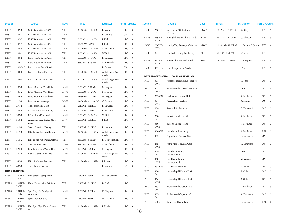| Section              |               | <b>Course</b>                       | <b>Days</b> | <b>Times</b>      | <b>Instructor</b>        | Form. Credits |                         | <b>Section</b>             |                            | <b>Course</b>                                    | <b>Days</b> | Times             | <b>Instructor</b>         | Form. Credits |               |
|----------------------|---------------|-------------------------------------|-------------|-------------------|--------------------------|---------------|-------------------------|----------------------------|----------------------------|--------------------------------------------------|-------------|-------------------|---------------------------|---------------|---------------|
| <b>HIST</b>          | $102 - 1$     | U S History Since 1877              | TTH         | 11:20AM - 12:35PM | L. Venters               | LEC           | $\overline{\mathbf{3}}$ | <b>HNRS</b>                | 268HH                      | Intl Horror/ Unbelieved                          | MWF         | 9:30AM - 10:20AM  | K. Kiely                  |               | LEC 3         |
| HIST                 | $102 - 2$     | U S History Since 1877              | TTH         |                   | L. Venters               | ON            | $\overline{\mathbf{3}}$ |                            | HON                        | Woman                                            |             |                   |                           |               |               |
| <b>HIST</b>          | $102 - 3$     | U S History Since 1877              | <b>TTH</b>  | 9:55AM - 11:10AM  | J. Kirby                 | LEC 3         |                         | <b>HNRS</b>                | 269HH<br>HON               | Hnr: Skill Hands Think Minds                     | TTH         | 9:55AM - 11:10AM  | C. Johnson                |               | LEC 3         |
| HIST                 | $102 - 4$     | U S History Since 1877              | <b>TTH</b>  | 12:45PM - 2PM     | J. Kirby                 | LEC 3         |                         | <b>HNRS</b>                | 280HH                      | Hnr Sp Top: Biology of Cancer                    | MWF         | 11:30AM - 12:20PM | L. Turner, E. Jones       |               | LEC 4         |
| <b>HIST</b>          | $102 - 5$     | U S History Since 1877              | <b>TTH</b>  | 11:20AM - 12:35PM | V. Kaufman               | LEC 3         |                         |                            | HON                        |                                                  |             |                   |                           |               |               |
| HIST                 | $102 - 6$     | U S History Since 1877              | TTH         | 9:55AM - 11:10AM  | W. Bolt                  | LEC           | $\overline{\mathbf{3}}$ | <b>HNRS</b>                | 391HH                      | Hnr Indep Study Workshop                         | M           | 2:30PM - 3:20PM   | J. Tuttle                 |               | $LEC$ 1       |
| HIST                 | $103 - 1$     | Euro Hist to Fnch Revol             | <b>TTH</b>  | 9:55AM - 11:10AM  | E. Edwards               | LEC 3         |                         |                            | HON                        |                                                  |             |                   |                           |               |               |
| HIST                 | $103 - 2$     | Euro Hist to Fnch Revol             | <b>TTH</b>  | 8:30AM - 9:45AM   | C. Kennedy               | LEC 3         |                         | <b>HNRS</b>                | 397HH·<br>HON              | Hnrs Col: Brain and Mind                         | MWF         | 12:30PM - 1:20PM  | S. Wrighten               |               | LEC 3         |
| <b>HIST</b>          | 103-ON        | Euro Hist to Fnch Revol             |             |                   | E. Edwards               | ON            | $\overline{\mathbf{3}}$ | <b>HNRS</b>                | 491HH                      | Hnr: Independent Study                           |             |                   | J. Tuttle                 |               | LEC 3         |
| <b>HIST</b>          | $104 - 1$     | Euro Hist Since Fnch Rev            | <b>TTH</b>  | 11:20AM - 12:35PM | A. Eskridge-Kos-<br>mach | LEC 3         |                         |                            | HON                        | <b>INTERPROFESSIONAL HEALTHCARE (IPHC)</b>       |             |                   |                           |               |               |
| HIST                 | $104 - 2$     | Euro Hist Since Fnch Rev            | <b>TTH</b>  | 9:55AM - 11:10AM  | A. Eskridge-Kos-         | LEC 3         |                         | <b>IPHC</b>                | $301 -$                    | Professional Role and Practice                   |             |                   | G. Scott                  |               | ON 3          |
|                      |               |                                     |             |                   | mach                     |               |                         |                            | ON1                        |                                                  |             |                   |                           |               |               |
| HIST                 | $105 - 1$     | Intro Modern World Hist             | MWF         | 8:30AM - 9:20AM   | M. Nagata                | LEC 3         |                         | <b>IPHC</b>                | $301 -$                    | Professional Role and Practice                   |             |                   | TBA                       |               | ON 3          |
| <b>HIST</b>          | $105 - 2$     | Intro Modern World Hist             | <b>MWF</b>  | 9:30AM - 10:20AM  | M. Nagata                | LEC           | $\overline{\mathbf{3}}$ |                            | ON <sub>2</sub>            |                                                  |             |                   |                           |               |               |
| HIST                 | $105 - 3$     | Intro Modern World Hist             | <b>MWF</b>  | 10:30AM - 11:20AM | M. Nagata                | LEC 3         |                         | <b>IPHC</b>                | 303-ON                     | Understand Sexual Hlth                           |             |                   | S. Kershner               |               | $ON \quad 3$  |
| <b>HIST</b>          | $210-1$       | Intro to Archaeology                | <b>MWF</b>  | 10:30AM - 11:20AM | C. Barton                | LEC 3         |                         | <b>IPHC</b>                | $334-$<br>ON1              | Research in Practice                             |             |                   | A. Munn                   |               | ON 3          |
| HIST                 | $299-1$       | The Historian's Craft               | TTH         | 2:10PM - 3:25PM   | E. Edwards               | LEC 3         |                         | <b>IPHC</b>                | $334-$                     | Research in Practice                             |             |                   | C. Umeweni                |               | ON 3          |
| HIST                 | $302 - 1$     | Native American History             | TTH         | 12:45PM - 2PM     | E. Edwards               | LEC 3         |                         |                            | ON <sub>2</sub>            |                                                  |             |                   |                           |               |               |
| <b>HIST</b>          | $303 - 1$     | US: Colonial/Revolution             | <b>MWF</b>  | 9:30AM - 10:20AM  | W. Bolt                  | LEC           | $\overline{\mathbf{3}}$ | <b>IPHC</b>                | 380-                       | Intro to Public Health                           |             |                   | S. Kershner               |               | ON 3          |
| HIST                 | $313-1$       | American Civil Rights Move-<br>ment | MW          | 2:30PM - 3:45PM   | J. Kirby                 | LEC           | $\overline{\mathbf{3}}$ | <b>IPHC</b>                | ON1<br>380-                | Intro to Public Health                           |             |                   | S. Kershner               |               | ON 3          |
| HIST                 | $316-1$       | South Carolina History              | TTH         | 2:10PM - 3:25PM   | L. Venters               | LEC 3         |                         |                            | ON <sub>2</sub>            |                                                  |             |                   |                           |               |               |
| <b>HIST</b>          | $318-1$       | Hist Focus the Third Reich          | <b>MWF</b>  | 10:30AM - 11:20AM | A. Eskridge-Kos-<br>mach | LEC 3         |                         | <b>IPHC</b><br><b>IPHC</b> | 400-ON<br>$445 -$          | Healthcare Internship<br>Population-Focused Care |             |                   | S. Kershner<br>C. Umeweni |               | INT 3<br>ON 3 |
| <b>HIST</b>          | $318 - 2$     | Hist Focus Victorian England        | TTH         | 8:30AM - 9:45AM   | E. De Montluzin          | LEC 3         |                         |                            | ON1                        |                                                  |             |                   |                           |               |               |
| HIST                 | $319-1$       | The Vietnam War                     | <b>MWF</b>  | 8:30AM - 9:20AM   | V. Kaufman               | LEC 3         |                         | <b>IPHC</b>                | $445 -$<br>ON <sub>2</sub> | Population-Focused Care                          |             |                   | C. Umeweni                |               | ON 3          |
| <b>HIST</b>          | $321 - 1$     | Family-Gender/World Hist            | <b>MWF</b>  | 1:30PM - 2:20PM   | M. Nagata                | LEC           | $\overline{\mathbf{3}}$ | <b>IPHC</b>                | $448 -$                    | Healthcare Policy                                |             |                   | TBA                       |               | ON 3          |
| HIST                 | $330-1$       | Eur & World Since 1945              | <b>MWF</b>  | 11:30AM - 12:20PM | A. Eskridge-Kos-         | LEC 3         |                         |                            | ON1                        | Development                                      |             |                   |                           |               |               |
| <b>HIST</b>          | $340-1$       | Hist of Modern Mexico               | TTH         | 11:20AM - 12:35PM | mach<br>J. Britton       | LEC 3         |                         | <b>IPHC</b>                | $448 -$<br>ON <sub>2</sub> | Healthcare Policy<br>Development                 |             |                   | M. Wayne                  |               | ON 3          |
| <b>HIST</b>          | $487 - 1$     | The History Internship              |             |                   | L. Venters               | <b>INT</b>    | $\overline{\mathbf{3}}$ | <b>IPHC</b>                | 451-ON                     | Healthcare Finance                               |             |                   | N. Riley                  |               | $ON \quad 3$  |
| <b>HONORS (HNRS)</b> |               |                                     |             |                   |                          |               |                         | <b>IPHC</b>                | 456-                       | Leadership Hlthcare Envi                         |             |                   | B. Cole                   |               | ON 3          |
| HNRS                 | 200HH-<br>HON | Hnr Science Symposium               | T           | 2:10PM - 3:25PM   | M. Kanaparthi            | LEC 1         |                         | <b>IPHC</b>                | ON1<br>$456 -$             | Leadership Hlthcare Envi                         |             |                   | B. Cole                   |               | ON 3          |
| <b>HNRS</b>          | 201HH-<br>HON | Hnrs Humani/Soc Sci Symp            | TH          | 2:10PM - 3:25PM   | B. Goff                  | LEC 1         |                         | <b>IPHC</b>                | ON <sub>2</sub><br>$457 -$ | Professional Capstone Co                         |             |                   | S. Kershner               |               | ON 3          |
| <b>HNRS</b>          | 254HH-<br>HON | Spec Top: Do You Speak<br>America   | MWF         | 1:30PM - 2:20PM   | C. Clayton               | LEC 3         |                         | <b>IPHC</b>                | ON1<br>$457 -$             | Professional Capstone Co                         |             |                   | A. Townsend               |               | ON 3          |
| <b>HNRS</b>          | 259HH-<br>HON | Spec Top: Adulting                  | MW          | 2:30PM - 3:45PM   | M. Dittman               | LEC 3         |                         | <b>IPHC</b>                | ON <sub>2</sub><br>500L-1  | Rural Healthcare Lab                             |             |                   | C. Umeweni                |               | LAB 0         |
| <b>HNRS</b>          | 260HH-<br>HON | Hnr Spec Top: Video Games<br>& Lit  | TTH         | 11:20AM - 12:35PM | J. Marley                | LEC 3         |                         |                            |                            |                                                  |             |                   |                           |               |               |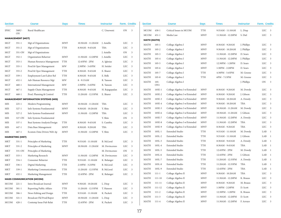| <b>Section</b> |                         | <b>Course</b>                               | <b>Days</b>   | Times             | <b>Instructor</b> | Form. Credits |                         | <b>Section</b>        |            | <b>Course</b>                | <b>Days</b>          | Times             | <b>Instructor</b> | Form. Credits |
|----------------|-------------------------|---------------------------------------------|---------------|-------------------|-------------------|---------------|-------------------------|-----------------------|------------|------------------------------|----------------------|-------------------|-------------------|---------------|
| IPHC           | 500U-                   | Rural Healthcare                            |               |                   | C. Umeweni        | ON 3          |                         | <b>MCOM</b>           | $430 - 1$  | Critical Issues in MCOM      | <b>TTH</b>           | 9:55AM - 11:10AM  | L. Diop           | LEC 3         |
|                | $\mbox{ON}$             |                                             |               |                   |                   |               |                         | <b>MCOM</b>           | $451 - 1$  | Media Law                    | $\operatorname{MWF}$ | 11:30AM - 12:20PM | S. Diel           | LEC 3         |
|                | <b>MANAGEMENT (MGT)</b> |                                             |               |                   |                   |               |                         | <b>MATH (MATH)</b>    |            |                              |                      |                   |                   |               |
| MGT            | $351 - 1$               | Mgt of Organizations                        | <b>MWF</b>    | 10:30AM - 11:20AM | J. Aniello        | LEC 3         |                         | MATH                  | $105 - 1$  | College Algebra I            | <b>MWF</b>           | 8:30AM - 9:20AM   | J. Phillips       | LEC 3         |
| MGT            | $351 - 2$               | Mgt of Organizations                        | <b>TTH</b>    | 8:30AM - 9:45AM   | TBA               | LEC 3         |                         | MATH                  | $105 - 2$  | College Algebra I            | <b>MWF</b>           | 9:30AM - 10:20AM  | J. Phillips       | LEC 3         |
| MGT            | 351-ON                  | Mgt of Organizations                        |               |                   | J. Aniello        | ON            | $\overline{\mathbf{3}}$ | MATH                  | $105 - 3$  | College Algebra I            | MWF                  | 11:30AM - 12:20PM | D. Sears          | LEC 3         |
| <b>MGT</b>     | $352 - 1$               | Organization Behavior                       | <b>MWF</b>    | 11:30AM - 12:20PM | J. Aniello        | LEC 3         |                         | MATH                  | $105 - 4$  | College Algebra I            | MWF                  | 11:30AM - 12:20PM | J. Phillips       | LEC 3         |
| <b>MGT</b>     | $353 - 1$               | Human Resource Management                   | <b>TTH</b>    | 12:45PM - 2PM     | A. Iglesias       | LEC 3         |                         | MATH                  | $105 - 5$  | College Algebra I            | <b>MWF</b>           | 12:30PM - 1:20PM  | D. Sears          | LEC 3         |
| MGT            | $355 - 1$               | Prod & Oper Management                      | $\text{MW}{}$ | 2:30PM - 3:45PM   | H. Setzler        | $LEC$ 3       |                         | MATH                  | $105 - 6$  | College Algebra I            | <b>MWF</b>           | 1:30PM - 2:20PM   | D. Sears          | LEC 3         |
| MGT            | $355 - 2$               | Prod & Oper Management                      | <b>TTH</b>    | 8:30AM - 9:45AM   | E. Sharer         | LEC 3         |                         | <b>MATH</b>           | $105 - 7$  | College Algebra I            | <b>TTH</b>           | 4:30PM - 5:45PM   | M. Greene         | LEC 3         |
| MGT            | $359-1$                 | Employment Law/Labor Rel                    | <b>TTH</b>    | 8:30AM - 9:45AM   | E. Belk           | <b>LEC</b>    | $\overline{\mathbf{3}}$ | <b>MATH</b>           | $105 - 8$  | College Algebra I            | <b>TTH</b>           | 6PM - 7:15PM      | M. Greene         | LEC 3         |
| <b>MGT</b>     | $452 - 1$               | Adv Human Resource Mgt                      | MW            | $8 - 9:15AM$      | R. Yanson         | <b>LEC</b>    | $\overline{\mathbf{3}}$ | $\operatorname{MATH}$ | $105 -$    | College Algebra I            |                      |                   | J. Phillips       | ON 3          |
| MGT            | $460 - 1$               | <b>International Management</b>             | MW            | 2:30PM - 3:45PM   | R. Yanson         | LEC 3         |                         |                       | ON1        |                              |                      |                   |                   |               |
| MGT            | $467 - 1$               | Supply Chain Management                     | <b>TTH</b>    | 8:30AM - 9:45AM   | H. Rajagopalan    | LEC 3         |                         | <b>MATH</b>           | 105E-1     | College Algebra I w/Extended | <b>MWF</b>           | 8:30AM - 9:20AM   | M. Dowdy          | LEC 3         |
| MGT            | $468 - 1$               | Prod. Planning & Control                    | <b>TTH</b>    | 11:20AM - 12:35PM | E. Sharer         | LEC 3         |                         | <b>MATH</b>           | 105E-2     | College Algebra I w/Extended | <b>MWF</b>           | 8:30AM - 9:20AM   | J. Gibson         | LEC 3         |
|                |                         | <b>MANAGEMENT INFORMATION SYSTEMS (MIS)</b> |               |                   |                   |               |                         | <b>MATH</b>           | 105E-3     | College Algebra I w/Extended | <b>MWF</b>           | 9:30AM - 10:20AM  | A. Dowdy          | LEC 3         |
| MIS            | $225 - 1$               | Modern Programming                          | <b>MWF</b>    | 10:30AM - 11:20AM | TBA               | LEC 3         |                         | <b>MATH</b>           | 105E-4     | College Algebra I w/Extended | <b>MWF</b>           | 9:30AM - 10:20AM  | TBA               | LEC 3         |
| MIS            | $327 - 1$               | Info Systems Fundamental                    | <b>MWF</b>    | 9:30AM - 10:20AM  | Y. Shin           | <b>LEC</b>    | $\overline{\mathbf{3}}$ | <b>MATH</b>           | 105E-5     | College Algebra I w/Extended | $\operatorname{MWF}$ | 10:30AM - 11:20AM | M. Dowdy          | LEC 3         |
| MIS            | $327 - 2$               | Info Systems Fundamental                    | <b>MWF</b>    | 11:30AM - 12:20PM | TBA               | ${\rm LEC}$   | $\overline{\mathbf{3}}$ | <b>MATH</b>           | 105E-6     | College Algebra I w/Extended | <b>MWF</b>           | 10:30AM - 11:20AM | J. Gibson         | LEC 3         |
| MIS            | 327-ON                  | Info Systems Fundamental                    |               |                   | Y. Shin           | ON            | $\overline{\mathbf{3}}$ | <b>MATH</b>           | 105E-7     | College Algebra I w/Extended | <b>MWF</b>           | 11:30AM - 12:20PM | A. Dowdy          | LEC 3         |
| MIS            | $337 - 1$               | Busi Systems Analysis/Design                | <b>TTH</b>    | 8:30AM - 9:45AM   | S. Cumbia         | <b>LEC</b>    | $\overline{\mathbf{3}}$ | <b>MATH</b>           | 105E-8     | College Algebra I w/Extended | <b>MWF</b>           | 11:30AM - 12:20PM | <b>TBA</b>        | LEC 3         |
| MIS            | $447 - 1$               | Data Base Management                        | <b>MWF</b>    | 8:30AM - 9:20AM   | TBA               | <b>LEC</b>    | $\overline{\mathbf{3}}$ | <b>MATH</b>           | 105E-9     | College Algebra I w/Extended | $\operatorname{MWF}$ | 8:30AM - 9:20AM   | TBA               | LEC 3         |
| MIS            | $467 - 1$               | Ecomm-Data Driven Web Ap                    | <b>MWF</b>    | 11:30AM - 12:20PM | Y. Shin           | LEC           | $\overline{\mathbf{3}}$ | <b>MATH</b>           | $105L-1$   | Extended Studio              | TTH                  | 9:55AM - 11:10AM  | M. Dowdy          | LAB 1         |
|                | <b>MARKETING (MKT)</b>  |                                             |               |                   |                   |               |                         | <b>MATH</b>           | $105L-2$   | Extended Studio              | <b>TTH</b>           | 9:55AM - 11:10AM  | J. Gibson         | $LAB$ 1       |
| <b>MKT</b>     | $331 - 1$               | Principles of Marketing                     | <b>TTH</b>    | 9:55AM - 11:10AM  | B. McLeod         | LEC 3         |                         | <b>MATH</b>           | $105L-3$   | Extended Studio              | <b>TTH</b>           | 8:30AM - 9:45AM   | A. Dowdy          | $LAB$ 1       |
| <b>MKT</b>     | $331 - 2$               | Principles of Marketing                     | <b>MWF</b>    | 10:30AM - 11:20AM | M. Devincenzo     | LEC 3         |                         | <b>MATH</b>           | 105L-4     | Extended Studio              | <b>TTH</b>           | 8:30AM - 9:45AM   | TBA               | LAB 1         |
| <b>MKT</b>     | 331-ON                  | Principles of Marketing                     |               |                   | M. Devincenzo     | ON            | $\overline{3}$          | <b>MATH</b>           | $105L - 5$ | <b>Extended Studio</b>       | <b>TTH</b>           | 12:45PM - 2PM     | M. Dowdy          | $LAB$ 1       |
| <b>MKT</b>     | $333 - 1$               | Marketing Research                          | <b>MWF</b>    | 11:30AM - 12:20PM | M. Devincenzo     | <b>LEC</b>    | $\overline{\mathbf{3}}$ | <b>MATH</b>           | $105L-6$   | <b>Extended Studio</b>       | <b>TTH</b>           | 12:45PM - 2PM     | J. Gibson         | $LAB$ 1       |
| MKT            | $334-1$                 | Consumer Behavior                           | <b>TTH</b>    | 9:55AM - 11:10AM  | K. Belanger       | LEC 3         |                         | <b>MATH</b>           | 105L-7     | Extended Studio              | <b>TTH</b>           | 11:20AM - 12:35PM | A. Dowdy          | $LAB$ 1       |
| МKТ            | $336 - 1$               | Digital Marketing                           | <b>TTH</b>    | 2:10PM - 3:25PM   | B. McLeod         | LEC 3         |                         | MATH                  | $105L - 8$ | Extended Studio              | <b>TTH</b>           | 11:20AM - 12:35PM | TBA               | LAB 1         |
| <b>MKT</b>     | $339-1$                 | Marketing Communications                    | <b>TTH</b>    | 11:20AM - 12:35PM | B. McLeod         | <b>LEC</b>    | $\overline{\mathbf{3}}$ | <b>MATH</b>           | 105L-9     | Extended Studio              | <b>TTH</b>           | 12:45PM - 2PM     | TBA               | LAB 1         |
| MKT            | $432 - 1$               | Marketing Management                        | <b>TTH</b>    | 12:45PM - 2PM     | K. Belanger       | LEC 3         |                         | <b>MATH</b>           | $111 - 1$  | College Algebra II           | <b>MWF</b>           | 9:30AM - 10:20AM  | TBA               | LEC 3         |
|                |                         | <b>MASS COMMUNICATION (MCOM)</b>            |               |                   |                   |               |                         | <b>MATH</b>           | $111 - 10$ | College Algebra II           | <b>MWF</b>           | 11:30AM - 12:20PM | K. Brauss         | LEC 3         |
| MCOM           | $221 - 1$               | Intro Broadcast Journal                     | <b>MWF</b>    | 9:30AM - 10:20AM  | L. Diop           | LEC 3         |                         | <b>MATH</b>           | $111 - 11$ | College Algebra II           | <b>MWF</b>           | 8:30AM - 9:20AM   | M. Brauss         | LEC 3         |
| MCOM           | $301 - 1$               | Reporting Public Affairs                    | <b>TTH</b>    | 11:20AM - 12:35PM | T. Hanson         | LEC 3         |                         | MATH                  | $111 - 12$ | College Algebra II           | MWF                  | 1:30PM - 2:20PM   | D. Scott          | LEC 3         |
| MCOM           | $306-1$                 | News Editing and Design                     | <b>TTH</b>    | 9:55AM - 11:10AM  | K. Packett        | LEC 3         |                         | <b>MATH</b>           | $111 - 2$  | College Algebra II           | <b>MWF</b>           | 12:30PM - 1:20PM  | K. Brauss         | LEC 3         |
| MCOM           | $321 - 1$               | Broadcast Fld Prod/Repor                    | <b>MWF</b>    | 10:30AM - 11:20AM | L. Diop           | LEC 3         |                         | <b>MATH</b>           | $111-3$    | College Algebra II           | <b>MWF</b>           | 11:30AM - 12:20PM | D. Scott          | LEC 3         |
| MCOM           | $420-1$                 | Contemp Issue Pub Relat                     | <b>TTH</b>    | 12:45PM - 2PM     | K. Packett        | LEC 3         |                         | MATH                  | $111-4$    | College Algebra II           | <b>MWF</b>           | 11:30AM - 12:20PM | F. Arroyo         | LEC 3         |
|                |                         |                                             |               |                   |                   |               |                         |                       |            |                              |                      |                   |                   |               |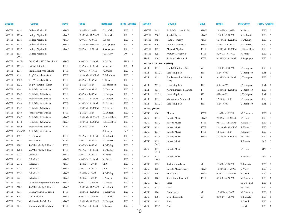| Section     |           | <b>Course</b>                 | <b>Days</b> | <b>Times</b>       | <b>Instructor</b> | Form. Credits                         | <b>Section</b>      |                                | <b>Course</b>             | <b>Days</b>               | <b>Times</b>      | <b>Instructor</b> | Form. Credits |
|-------------|-----------|-------------------------------|-------------|--------------------|-------------------|---------------------------------------|---------------------|--------------------------------|---------------------------|---------------------------|-------------------|-------------------|---------------|
| MATH        | $111 - 5$ | College Algebra II            | <b>MWF</b>  | 12:30PM - 1:20PM   | D. Scofield       | LEC 3                                 | MATH                | $312 - 1$                      | Probability/Stats Sci/Ma  | <b>MWF</b>                | 12:30PM - 1:20PM  | N. Panza          | LEC 3         |
| MATH        | $111-6$   | College Algebra II            | <b>MWF</b>  | 10:30AM - 11:20AM  | D. Scofield       | LEC 3                                 | <b>MATH</b>         | $330-1$                        | Special Topics            | <b>MWF</b>                | 1:30PM - 2:20PM   | K. LoPresto       | LEC 3         |
| MATH        | $111 - 7$ | College Algebra II            | <b>MWF</b>  | 8:30AM - 9:20AM    | D. Scott          | LEC 3                                 | <b>MATH</b>         | $345 - 1$                      | Plane Geometry            | <b>MWF</b>                | 11:30AM - 12:20PM | S. O'Kelley       | LEC 3         |
| MATH        | $111 - 8$ | College Algebra II            | <b>MWF</b>  | 10:30AM - 11:20AM  | S. Waymyers       | LEC<br>$\overline{\mathbf{3}}$        | <b>MATH</b>         | $370-1$                        | <b>Intuitive Geometry</b> | <b>MWF</b>                | 8:30AM - 9:20AM   | K. LoPresto       | LEC 3         |
| MATH        | $111-9$   | College Algebra II            | <b>MWF</b>  | 9:30AM - 10:20AM   | S. Waymyers       | LEC<br>$\overline{\mathbf{3}}$        | <b>MATH</b>         | $405 - 1$                      | Abstract Algebra          | <b>TTH</b>                | 11:20AM - 12:35PM | G. Schnibben      | LEC 3         |
| MATH        | $111 -$   | College Algebra II            |             |                    | K. McCoy          | ON<br>$\overline{\mathbf{3}}$         | <b>MATH</b>         | $425 - 1$                      | Numerical Analysis        | <b>TTH</b>                | 8:30AM - 9:45AM   | N. Panza          | LEC 3         |
|             | ON1       |                               |             |                    |                   |                                       | <b>STAT</b>         | $220-1$                        | Statistical Methods I     | <b>TTH</b>                | 9:55AM - 11:10AM  | S. Waymyers       | LEC 3         |
| MATH        | $111E-1$  | Col Algebra II W/Extd Studio  | <b>MWF</b>  | 9:30AM - 10:20AM   | K. McCoy          | HYB 3                                 |                     | <b>MILITARY SCIENCE (MILI)</b> |                           |                           |                   |                   |               |
| MATH        | $111L-1$  | Extended Studio II            | <b>TTH</b>  | $9:55AM - 11:10AM$ | K. McCoy          | LEC<br>$\overline{1}$                 | MILI                | $101 - 1$                      | Funds.Of Military Sci.    | W                         | 1:30PM - 2:20PM   | J. Thompson       | LEC 2         |
| MATH        | $131 - 1$ | Math Model Prob Solving       | <b>TTH</b>  | 8:30AM - 9:45AM    | K. Brauss         | LEC 3                                 | MILI                | $101L-1$                       | Leadership Lab            | TH                        | $4PM - 6PM$       | J. Thompson       | LAB 0         |
| MATH        | $132 - 1$ | Trig W/ Analytic Geom         | <b>TTH</b>  | 11:20AM - 12:35PM  | T. Schnibben      | LEC 3                                 | MILI                | $201-1$                        | Fundamentals of Military  | T                         | 9:55AM - 11:10AM  | J. Thompson       | LEC 3         |
| MATH        | 132-2     | Trig W/ Analytic Geom         | <b>TTH</b>  | 8:30AM - 9:45AM    | T. Fitzkee        | LEC 3                                 |                     |                                | Ldrsp                     |                           |                   |                   |               |
| <b>MATH</b> | $132 - 3$ | Trig W/ Analytic Geom         | <b>TTH</b>  | 12:45PM - 2PM      | G. Schnibben      | LEC 3                                 | MILI                | $201L-1$                       | Leadership Lab            | TH                        | $4PM - 6PM$       | J. Thompson       | LAB 0         |
| MATH        | $134-1$   | Probability & Statistics      | <b>TTH</b>  | 8:30AM - 9:45AM    | G. Dungan         | LEC<br>$\overline{\mathbf{3}}$        | MILI                | $301 - 1$                      | Adv.Mil.Decision Making   | $\ensuremath{\mathrm{T}}$ | 11:20AM - 12:35PM | J. Thompson       | LEC 4         |
| MATH        | 134-2     | Probability & Statistics      | <b>TTH</b>  | 8:30AM - 9:45AM    | G. Dungan         | LEC<br>$\overline{\mathbf{3}}$        | MILI                | $301L - 1$                     | Leadership Lab            | TH                        | $4PM - 6PM$       | J. Thompson       | LAB 0         |
| MATH        | 134-3     | Probability & Statistics      | <b>TTH</b>  | 9:55AM - 11:10AM   | G. Dungan         | LEC 3                                 | MILI                | $401 - 1$                      | Management Seminar I      | T                         | 12:45PM - 2PM     | J. Thompson       | LEC 4         |
| MATH        | 134-4     | Probability & Statistics      | <b>TTH</b>  | 9:55AM - 11:10AM   | P. Narayan        | LEC 3                                 | MILI                | $401L - 1$                     | Leadership Lab            | TH                        | $4PM - 6PM$       | J. Thompson       | LAB 0         |
| MATH        | 134-5     | Probability & Statistics      | <b>TTH</b>  | 11:20AM - 12:35PM  | P. Narayan        | LEC 3                                 | <b>MUSIC (MUSI)</b> |                                |                           |                           |                   |                   |               |
| MATH        | 134-6     | Probability & Statistics      | <b>TTH</b>  | 12:45PM - 2PM      | G. Dungan         | LEC 3                                 | MUSI                | $100-1$                        | Chorus                    | <b>TTH</b>                | 2:10PM - 3:25PM   | M. Coleman        | $LEC$ 1       |
| MATH        | 134-7     | Probability & Statistics      | <b>MWF</b>  | 10:30AM - 11:20AM  | G. Schnibben      | LEC<br>$\overline{\mathbf{3}}$        | MUSI                | $101 - 1$                      | Intro to Music            | <b>MWF</b>                | 9:30AM - 10:20AM  | W. Davis          | LEC 3         |
| MATH        | 134-8     | Probability & Statistics      | <b>MWF</b>  | 11:30AM - 12:20PM  | G. Schnibben      | LEC 3                                 | MUSI                | $101 - 2$                      | Intro to Music            | <b>TTH</b>                | 9:55AM - 11:10AM  | R. Hunter         | LEC 3         |
| MATH        | 134-9     | Probability & Statistics      | <b>TTH</b>  | 12:45PM - 2PM      | TBA               | LEC 3                                 | MUSI                | $101 - 3$                      | Intro to Music            | <b>TTH</b>                | 11:20AM - 12:35PM | R. Hunter         | LEC 3         |
| MATH        | 134-ON    | Probability & Statistics      |             |                    | F. Arroyo         | ON<br>$\overline{\mathbf{3}}$         | MUSI                | $101 - 4$                      | Intro to Music            | <b>TTH</b>                | 12:45PM - 2PM     | R. Hunter         | LEC 3         |
| MATH        | $137 - 1$ | Pre-Calculus                  | <b>TTH</b>  | 9:55AM - 11:10AM   | K. LoPresto       | LEC 3                                 | MUSI                | $101 - 5$                      | Intro to Music            | <b>MWF</b>                | 11:30AM - 12:20PM | W. Davis          | LEC 3         |
| MATH        | 137-2     | Pre-Calculus                  | <b>TTH</b>  | 8:30AM - 9:45AM    | K. LoPresto       | LEC<br>$\overline{\mathbf{3}}$        | MUSI                | $101 -$                        | Intro to Music            |                           |                   | R. Reeves         | ON 3          |
| MATH        | $170-1$   | Sur/Math/Early & Elem I       | <b>TTH</b>  | 8:30AM - 9:45AM    | S. O'Kelley       | LEC<br>$\overline{\mathbf{3}}$        |                     | ON1                            |                           |                           |                   |                   |               |
| MATH        | $170 - 2$ | Sur/Math/Early & Elem I       | <b>TTH</b>  | 9:55AM - 11:10AM   | S. O'Kelley       | LEC 3                                 | MUSI                | $101 -$<br>ON <sub>2</sub>     | Intro to Music            |                           |                   | W. Davis          | ON 3          |
| MATH        | $201 - 1$ | Calculus I                    | <b>MWF</b>  | 8:30AM - 9:20AM    | N. Panza          | LEC 3                                 | MUSI                | $101 -$                        | Intro to Music            |                           |                   | R. Hunter         | ON 3          |
| MATH        | $201 - 2$ | Calculus I                    | <b>MWF</b>  | 9:30AM - 10:20AM   | N. Panza          | LEC 3                                 |                     | ON3                            |                           |                           |                   |                   |               |
| MATH        | $201 - 3$ | Calculus I                    | <b>MWF</b>  | 12:30PM - 1:20PM   | TBA               | <b>LEC</b><br>$\overline{\mathbf{3}}$ | MUSI                | $102 - 1$                      | Recital Attendance        | M                         | 2:30PM - 3:20PM   | T. Roberts        | $LEC \t 0$    |
| MATH        | $202 - 1$ | Calculus II                   | <b>MWF</b>  | 8:30AM - 9:20AM    | TBA               | LEC<br>$\overline{\mathbf{3}}$        | MUSI                | $115 - 1$                      | Intro to Music Theory     | <b>MWF</b>                | 10:30AM -11:20AM  | J. Ware           | LEC 3         |
| MATH        | $202 - 2$ | Calculus II                   | MWF         | 12:30PM - 1:20PM   | S. O'Kelley       | LEC<br>$\overline{\mathbf{3}}$        | MUSI                | $116-1$                        | Aural Skills I            | <b>MWF</b>                | 9:30AM - 10:20AM  | P. Gualdi         | $LEC$ 1       |
| MATH        | $203 - 1$ | Calculus III                  | <b>MWF</b>  | 12:30PM - 1:20PM   | F. Arroyo         | LEC 3                                 | MUSI                | $120 - 1$                      | Select Vocal Ensemble     | <b>TTH</b>                | 3:35PM - 4:50PM   | M. Coleman        | $LEC$ 1       |
| MATH 213-1  |           | Scientific Programm in Python | MWF         | 9:30AM - 10:20AM   | K. Brauss         | LEC 3                                 | MUSI                | $121 - 1$                      | Voice                     |                           |                   | M. Coleman        | LEC 1         |
| MATH        | $270-1$   | Sur/Math/Early & Elem II      | MWF         | 10:30AM - 11:20AM  | K. LoPresto       | LEC 3                                 | MUSI                | $121 - 2$                      | Voice                     |                           |                   | W. Davis          | $LEC = 1$     |
| MATH        | $301 - 1$ | Ordinary Differ Equation      | <b>TTH</b>  | 11:20AM - 12:35PM  | S. Waymyers       | LEC 3                                 | MUSI                | $126 - 1$                      | Group Voice               | $_{\rm M}$                | 12:30PM - 2:20PM  | M. Coleman        | $LEC$ 1       |
| MATH        | $304-1$   | Linear Algebra                | MWF         | 9:30AM - 10:20AM   | D. Scofield       | LEC 3                                 | MUSI                | $130-1$                        | String Ensemble           | W                         | 2:30PM - 4:20PM   | T. Roberts        | $LEC = 1$     |
| MATH        | $306-1$   | Multivariable Calculus        | MWF         | 10:30AM - 11:20AM  | G. Dungan         | LEC 3                                 | MUSI                | $131 - 1$                      | Piano                     |                           |                   | P. Gualdi         | $LEC = 1$     |
| MATH 311-1  |           | Transition to High Math       | TTH         | 9:55AM - 11:10AM   | T. Fitzkee        | LEC 3                                 | MUSI                | $131 - 2$                      | Piano                     |                           |                   | D. Grice          | $LEC = 1$     |
|             |           |                               |             |                    |                   |                                       |                     |                                |                           |                           |                   |                   |               |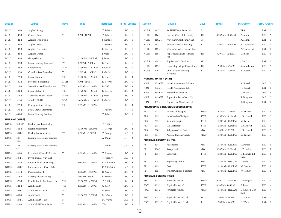| <b>Section</b> |                       | <b>Course</b>                  | <b>Days</b>               | <b>Times</b>      | <b>Instructor</b> | Form. Credits             |                         | <b>Section</b>       |                                | <b>Course</b>                        | <b>Days</b>   | <b>Times</b>      | <b>Instructor</b>        | Form. Credits   |  |
|----------------|-----------------------|--------------------------------|---------------------------|-------------------|-------------------|---------------------------|-------------------------|----------------------|--------------------------------|--------------------------------------|---------------|-------------------|--------------------------|-----------------|--|
| MUSI           | $132 - 1$             | <b>Applied Strings</b>         |                           |                   | T. Roberts        | <b>LEC</b>                | $\overline{1}$          | <b>NURS</b>          | $411L-1$                       | Ad Hl III Nurs Pract Lab             | $\rm F$       |                   | <b>TBA</b>               | $LAB$ 0         |  |
| MUSI           | $140-1$               | Concert Band                   | $\ensuremath{\mathrm{T}}$ | 7PM - 10PM        | T. Roberts        | <b>LEC</b>                | $\overline{1}$          | <b>NURS</b>          | $416 - 1$                      | Nursing Care Child Family            | TH            | 8:30AM - 11:30AM  | A. Munn                  | LEC 5           |  |
| MUSI           | $141 - 1$             | Applied Woodwind               |                           |                   | J. Gardner        | LEC                       | $\overline{1}$          | <b>NURS</b>          | $416L - 1$                     | Nurs Care Child Family Lab           | W             |                   | A. Munn                  | $LAB$ 0         |  |
| MUSI           | $142 - 1$             | <b>Applied Brass</b>           |                           |                   | T. Roberts        | LEC 1                     |                         | <b>NURS</b>          | $417 - 1$                      | Women's Health Nursing               | $\mathbf T$   | 8:30AM - 11:30AM  | A. Townsend              | LEC 4           |  |
| MUSI           | $143 - 1$             | Applied Percussion             |                           |                   | R. Reeves         | LEC                       | $\overline{1}$          | <b>NURS</b>          | 417L-1                         | Women's Health Nursing Lab           |               |                   | A. Townsend              | $LAB$ 0         |  |
| MUSI           | $144 - 1$             | <b>Applied Guitar</b>          |                           |                   | J. Ware           | LEC                       | <sup>1</sup>            | <b>NURS</b>          | $418 - 1$                      | Pop-Focused Nurs Hlthcare            | TH            | 8:30AM - 12:20PM  | J. Hucks                 | LEC 5           |  |
| MUSI           | $146 - 1$             | Group Guitar                   | M                         | 12:30PM - 1:20PM  | J. Ware           | LEC                       | $\overline{1}$          |                      |                                | Pol                                  |               |                   |                          |                 |  |
| MUSI           | $150 - 1$             | Music Industry Ensemble        | W                         | 2:30PM - 5:30PM   | B. Goff           | <b>LEC</b>                | $\overline{1}$          | <b>NURS</b>          | $418L - 1$                     | Pop Focused Nurs Lab                 | M             |                   | J. Hucks                 | $LAB$ 0         |  |
| MUSI           | 156-1                 | Group Piano I                  | MW                        | 11:30AM - 12:20PM | P. Gualdi         | LEC                       | $\overline{1}$          | <b>NURS</b>          | $419 - 1$                      | Leadership, Mngt, Professional       | TH            | 12:30PM - 3:30PM  | K. Middleton             | LEC 3           |  |
| MUSI           | $160 - 1$             | Chamber Jazz Ensemble          | $\mathbf T$               | 3:30PM - 6:30PM   | P. Gualdi         | LEC                       | $\overline{1}$          | <b>NURS</b>          | $420 - 1$                      | Clin Decision-Making<br>for Nurse    | $\mathbf T$   | 12:30PM - 3:30PM  | N. Russell               | $LEC$ 1         |  |
| MUSI           | $172 - 1$             | Music Commerce I               | <b>TTH</b>                | 11:20AM - 12:35PM | B. Goff           | LEC 3                     |                         |                      | <b>NURSING RN-BSN (NRN)</b>    |                                      |               |                   |                          |                 |  |
| MUSI           | $180 - 1$             | Percussion Ensemble            | <b>MTH</b>                | 4PM - 5PM         | R. Reeves         | $LEC = 1$                 |                         | $\operatorname{NRN}$ | 333-ON                         | Health Assessment & Prom             |               |                   | N. Russell               | ON 5            |  |
| MUSI           | $211-1$               | Sound Rec.And Reinforcem       | <b>TTH</b>                | 9:55AM - 11:10AM  | B. Goff           | LEC 3                     |                         | $\rm NRN$            | 333L-1                         | Health Assessment Lab                |               |                   | N. Russell               | LAB 0           |  |
| MUSI           | $301 - 1$             | Music History I                | <b>TTH</b>                | 11:20AM - 12:35PM | R. Reeves         | LEC                       | $\overline{\mathbf{3}}$ | $\operatorname{NRN}$ | 334-ON                         | Research in Practice                 |               |                   | J. Hucks                 | ON <sub>3</sub> |  |
| MUSI           | $315 - 1$             | Advanced Music Theory          | <b>MWF</b>                | 11:30AM - 12:20PM | J. Ware           | LEC 3                     |                         | $\operatorname{NRN}$ | 445-ON                         | Population Focus Nurs Ca             |               |                   | R. Brogdon               | ON 5            |  |
| MUSI           | $316-1$               | Aural Skills III               | MW                        | 10:30AM - 11:20AM | P. Gualdi         | <b>LEC</b>                | $\overline{1}$          | $\rm NRN$            | 445L-1                         | Populat Foc Nurs Care Lab            |               |                   | R. Brogdon               | $LAB$ 0         |  |
| MUSI           | $372 - 1$             | Principles Songwriting         | <b>TTH</b>                | 9:55AM - 11:10AM  |                   | LEC                       | $\overline{\mathbf{3}}$ |                      |                                |                                      |               |                   |                          |                 |  |
| MUSI           | $498 - 1$             | Music Indust Internship        |                           |                   | T. Roberts        | $\ensuremath{\text{INT}}$ | 6                       |                      |                                | PHILOSOPHY & RELIGIOUS STUDIES (PRS) | <b>MWF</b>    |                   |                          |                 |  |
| MUSI           | 499-1                 | Music Industry Seminar         |                           |                   | T. Roberts        | LEC                       | 6                       | PRS                  | $201 - 1$                      | Intro to Philosophy                  |               | 12:30PM - 1:20PM  | M. Turner                | LEC 3           |  |
|                | <b>NURSING (NURS)</b> |                                |                           |                   |                   |                           |                         | PRS                  | $202 - 1$                      | Intro Study of Religion              | <b>TTH</b>    | 9:55AM - 11:10AM  | J. Blackwell             | LEC 3           |  |
| <b>NURS</b>    | 211-ON                | Health Care Terminology        |                           |                   | T. Phillips       | ON                        | $\overline{1}$          | PRS                  | $203 - 1$                      | Symbolic Logic                       | <b>TTH</b>    | 11:20AM - 12:35PM | M. Turner                | LEC 3           |  |
| ${\rm NURS}$   | $301 - 1$             | Health Assessment              | $\mathbf T$               | 12:30PM - 3:30PM  | T. George         | <b>LEC</b>                | $\overline{4}$          | PRS                  | $204-1$                        | Old Testament                        | <b>TTH</b>    | 11:20AM - 12:35PM | J. Blackwell             | LEC 3           |  |
| <b>NURS</b>    | $301L - 1$            | Health Assessment Lab          | W                         | 8:30AM - 3:30PM   | T. George         | LAB                       | $\overline{0}$          | PRS                  | $300 - 1$                      | Religions of the East                | $\text{MW}{}$ | 2:10PM - 3:25PM   | J. Blackwell             | LEC 3           |  |
| <b>NURS</b>    | $306 -$               | Nursing Research in Practice   |                           |                   | A. Munn           | ON                        | $\overline{\mathbf{3}}$ | PRS                  | $301 - 1$                      | Ancient Phil:the Greeks              | <b>MWF</b>    | 11:30AM - 12:20PM | M. Turner                | LEC 3           |  |
|                | ON1                   |                                |                           |                   |                   |                           |                         |                      |                                | <b>PHYSICAL EDUCATION (PE)</b>       |               |                   |                          |                 |  |
| <b>NURS</b>    | $306 -$               | Nursing Research in Practice   |                           |                   | A. Munn           | ON                        | $\overline{\mathbf{3}}$ | $\rm PE$             | $104-1$                        | Racquetball                          | MW            | 11:30AM - 12:20PM | C. Parker                | $LEC$ 1         |  |
|                | ON <sub>2</sub>       |                                |                           |                   |                   |                           |                         | PE                   | $104 - 2$                      | Racquetball                          | MW            | 9:30AM - 10:20AM  | J. Zehnder               | $LEC$ 1         |  |
| <b>NURS</b>    | $307-1$               | Psychiatric/Mental Hlth Nurs   | T                         | 8:30AM - 11:30AM  | T. Pressley       | <b>LEC</b>                | $\overline{4}$          | PE                   | $107 - 1$                      | Volleyball                           | <b>TTH</b>    | 11:20AM - 12:10PM | L. Baufield-Ed-<br>wards | $LEC$ 1         |  |
| <b>NURS</b>    | $307L - 1$            | Psych. Mental Nurs.:Lab        |                           |                   | T. Pressley       | LAB                       | $\overline{0}$          | PE                   | $108 - 1$                      | <b>Beginning Tennis</b>              | MW            | 10:30AM - 11:20AM | J. Evans                 | $LEC$ 1         |  |
| <b>NURS</b>    | $309-1$               | <b>Fundamentals of Nursing</b> | $\mathbf T$               | 8:30AM - 11:30AM  | K. Middleton      | LEC                       | 6                       | PE                   | $112 - 1$                      | Golf                                 | <b>TTH</b>    | 11:20AM - 12:10PM | M. Gaynor                | $LEC$ 1         |  |
| <b>NURS</b>    | 309L-1                | Fundamentals of Nurs Lab       |                           |                   | K. Middleton      | LAB                       | $\overline{0}$          | PE                   | $115 - 1$                      | Weight Control & Fitness             | MW            | 11:30AM - 12:20PM | W. Henley                | $LEC = 1$       |  |
| <b>NURS</b>    | $317-1$               | Pharmacology I                 | $\ensuremath{\mathrm{T}}$ | 8:30AM - 10:30AM  | D. Weaver         | <b>LEC</b>                | 2                       |                      | <b>PHYSICAL SCIENCE (PSCI)</b> |                                      |               |                   |                          |                 |  |
| <b>NURS</b>    | $318-1$               | Nursing Pharmacology II        | T                         | 1:30PM - 3:30PM   | D. Weaver         | <b>LEC</b>                | 2                       | <b>PSCI</b>          | $101 - 1$                      | Physical Science I                   | <b>MWF</b>    | 9:30AM - 10:20AM  | L. Manglass              | LEC 4           |  |
| <b>NURS</b>    | $320 - 1$             | Prin Pathophy & Clinical Nutri | TH                        | 12:30PM - 4:30PM  | T. Phillips       | ${\rm LEC}$               | $\overline{4}$          | <b>PSCI</b>          |                                |                                      | TTH           | 8:30AM - 9:45AM   | <b>B.</b> Baker          | LEC 4           |  |
| <b>NURS</b>    | $321 - 1$             | Adult Health I                 | TH                        | 8:30AM - 11:30AM  | G. Scott          | <b>LEC</b>                | 6                       |                      | $101 - 2$                      | Physical Science I                   |               |                   |                          |                 |  |
| <b>NURS</b>    | $321L-1$              | Adult Health I Lab             | $\rm F$                   |                   | G. Scott          | <b>LEC</b>                | $\overline{0}$          | <b>PSCI</b>          | $101 - 3$                      | Physical Science I                   | <b>MWF</b>    | 10:30AM - 11:20AM | L. Cintron-Gon-<br>zalez | LEC 4           |  |
| <b>NURS</b>    | $407 - 1$             | Adult Health II                | T                         | 12:30PM - 3:30PM  | M. Wayne          | LEC                       | 6                       | <b>PSCI</b>          | $101L-1$                       | Physical Science I Lab               | M             | 1:30PM - 4:30PM   | D. Woods                 | LAB 0           |  |
| ${\rm NURS}$   | $407L - 1$            | Adult Health II Lab            | $\rm F$                   |                   | M. Wayne          | LAB                       | $\overline{0}$          | <b>PSCI</b>          | $101L-2$                       | Physical Science I Lab               | $\mathbf T$   | 12:45PM - 3:45PM  | D. Woods                 | LAB 0           |  |
| <b>NURS</b>    | $411 - 1$             | Adult Hlt III Nurs Pract       | $\mathbf T$               | 8:30AM - 11:30AM  | <b>TBA</b>        | <b>LEC</b>                | 6                       |                      |                                |                                      |               |                   |                          |                 |  |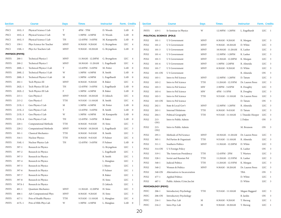| LAB<br>$101L-3$<br>Physical Science I Lab<br>4PM - 7PM<br>D. Woods<br>$\overline{0}$<br>T<br><b>PSCI</b><br>PHYS<br>$419-1$<br>Sr Seminar in Physics<br>W<br>12:30PM - 1:20PM<br>L. Engelhardt<br>LEC 1<br><b>PSCI</b><br>$101L - 4$<br>Physical Science I Lab<br>W<br>1:30PM - 4:30PM<br>D. Woods<br>LAB<br>$\overline{0}$<br><b>POLITICAL SCIENCE (POLI)</b><br>PSCI<br>$101L-5$<br>TH<br>LAB<br>Physical Science I Lab<br>12:45PM - 3:45PM<br>M. Kanaparthi<br>$\overline{\mathbf{0}}$<br>LEC 3<br>POLI<br>$101 - 1$<br>U S Government<br><b>MWF</b><br>8:30AM - 9:20AM<br>K. Morgan<br>$150 - 1$<br>$\operatorname{MWF}$<br>LEC<br><b>PSCI</b><br>Phys Science for Teacher<br>8:30AM - 9:20AM<br>G. Bryngelson<br>$\overline{4}$<br>POLI<br>LEC 3<br>$101 - 2$<br><b>MWF</b><br>9:30AM - 10:20AM<br>D. White<br>U S Government<br>$\operatorname{MWF}$<br>LAB<br>$150L-1$<br>Phys Sci Teachers Lab<br>9:30AM - 10:20AM<br>G. Bryngelson<br><b>PSCI</b><br>$\overline{0}$<br>POLI<br><b>MWF</b><br>LEC 3<br>$101 - 3$<br>U S Government<br>K. Lasher<br>10:30AM - 11:20AM<br><b>PHYSICS (PHYS)</b><br>LEC 3<br>POLI<br>$101 - 4$<br>U S Government<br><b>MWF</b><br>12:30PM - 1:20PM<br>K. Lasher<br>Technical Physics I<br><b>MWF</b><br>G. Bryngelson<br><b>LEC</b><br>PHYS<br>$200-1$<br>11:30AM - 12:20PM<br>$\overline{4}$<br>LEC 3<br>POLI<br>$101 - 5$<br><b>MWF</b><br>K. Morgan<br>U S Government<br>11:30AM - 12:20PM<br><b>LEC</b><br><b>PHYS</b><br>$200 - 2$<br>Technical Physics I<br><b>MWF</b><br>L. Engelhardt<br>10:30AM - 11:20AM<br>$\overline{4}$<br>LEC 3<br>POLI<br>$101 - 6$<br><b>MWF</b><br>1:30PM - 2:20PM<br>R. Almeida<br>U S Government<br>$200L-1$<br>PHYS<br>Technical Physics I-Lab<br>T<br>12:45PM - 3:45PM<br>M. Potter<br>LAB<br>$\overline{0}$<br>POLI<br>$101 - 7$<br><b>MWF</b><br>D. White<br>LEC 3<br><b>U S Government</b><br>8:30AM - 9:20AM<br>$200L-2$<br>1:30PM - 4:30PM<br>R. Smith<br>PHYS<br>Technical Physics I-Lab<br>W<br>LAB<br>$\overline{0}$<br>POLI<br>101-ON<br>ON 3<br>U S Government<br>R. Almeida<br>PHYS<br>$200L-3$<br>Technical Physics I-Lab<br>1:30PM - 4:30PM<br>L. Engelhardt<br>LAB<br>$\mathbf M$<br>$\overline{0}$<br>POLI<br>$103 - 1$<br>LEC 3<br>Intro to Pol Science<br><b>MWF</b><br>12:30PM - 1:20PM<br>D. Tatum<br>$202 - 1$<br>Tech Physics III<br><b>PHYS</b><br><b>MWF</b><br>8:30AM - 9:20AM<br>B. Baker<br>LEC<br>$\overline{4}$<br>POLI<br>$103 - 2$<br><b>TTH</b><br>LEC 3<br>Intro to Pol Science<br>11:20AM - 12:35PM<br>Dr. Lauren Perez<br>PHYS<br>$202L - 1$<br>TH<br>Tech Physics III Lab<br>12:45PM - 3:45PM<br>L. Engelhardt<br>LAB<br>$\overline{0}$<br>LEC 3<br>POLI<br>$103 - 3$<br>Intro to Pol Science<br>$\text{MW}{}$<br>2:30PM - 3:45PM<br>R. Doughty<br><b>PHYS</b><br>$202L-2$<br>Tech Physics III Lab<br>$_{\rm F}$<br>1:30PM - 4:30PM<br>B. Baker<br>LAB<br>$\overline{0}$<br>POLI<br>LEC 3<br>$103 - 4$<br>MW<br>Intro to Pol Science<br>4PM - 5:15PM<br>R. Doughty<br>$\operatorname{MWF}$<br>PHYS<br>$215 - 1$<br>Gen Physics I<br>D. Jokisch<br>LEC<br>LEC 3<br>9:30AM - 10:20AM<br>$\overline{4}$<br>POLI<br>$103 - 5$<br>Intro to Pol Science<br><b>TTH</b><br>9:55AM - 11:10AM<br>Dr. Lauren Perez<br>PHYS<br>$215 - 2$<br>Gen Physics I<br><b>TTH</b><br>R. Smith<br>LEC<br>9:55AM - 11:10AM<br>$\overline{4}$<br>POLI<br>103-ON<br>D. Tatum<br>ON 3<br>Intro to Pol Science<br>$215L-1$<br>1:30PM - 4:30PM<br>PHYS<br>Gen Physics I Lab<br>$\mathbf M$<br>M. Potter<br>LAB<br>$\overline{0}$<br>LEC 3<br>POLI<br>$202 - 1$<br>State & Local Gov't<br><b>MWF</b><br>12:30PM - 1:20PM<br>R. Almeida<br>215L-2<br>$\mathbf T$<br><b>PHYS</b><br>Gen Physics I Lab<br>12:45PM - 3:45PM<br>R. Smith<br>LAB<br>$\overline{0}$<br>POLI<br>$203 - 1$<br><b>TTH</b><br>LEC 3<br>D. Tatum<br>Internat'l Relations<br>8:30AM - 9:45AM<br>PHYS<br>215L-3<br>W<br>Gen Physics I Lab<br>1:30PM - 4:30PM<br>M. Kanaparthi<br>LAB<br>$\overline{\mathbf{0}}$<br>POLI<br>$204 - 1$<br><b>TTH</b><br>LEC 3<br>Political Geography<br>9:55AM - 11:10AM<br>J. Titanski-Hooper<br>PHYS<br>215L-4<br>Gen Physics I Lab<br>TH<br>12:45PM - 3:45PM<br>B. Baker<br>LAB<br>$\overline{\mathbf{0}}$<br>POLI<br>$215 -$<br>ON 3<br>Intro to Public Admin<br>J. Dukes<br>ON1<br>PHYS<br>$220 - 1$<br><b>TTH</b><br>H. Sims<br>LEC<br>Computational Methods<br>8:30AM - 9:45AM<br>$\overline{\mathbf{3}}$<br>POLI<br>$215 -$<br>Intro to Public Admin<br>M. Brunson<br>ON 3<br>$220 - 2$<br>$\operatorname{MWF}$<br>L. Engelhardt<br>LEC 3<br>PHYS<br>Computational Methods<br>9:30AM - 10:20AM<br>ON <sub>2</sub><br><b>TTH</b><br><b>LEC</b><br><b>PHYS</b><br>$301 - 1$<br>Classical Mechanics<br>8:30AM - 9:45AM<br>R. Smith<br>$\overline{\mathbf{3}}$<br>POLI<br>$295-1$<br><b>MWF</b><br>LEC 3<br>Methods of Pol Science<br>10:30AM - 11:20AM<br>Dr. Lauren Perez<br><b>TTH</b><br>P. Fulmer<br><b>LEC</b><br>PHYS<br>$316 - 1$<br>Nuclear Physics<br>8:30AM - 9:45AM<br>$\overline{4}$<br>POLI<br>$305 - 1$<br>LEC 3<br>Pol Parties & Organizati<br><b>TTH</b><br>9:55AM - 11:10AM<br>R. Almeida<br><b>PHYS</b><br>316L-1<br>Nuclear Physics Lab<br>TH<br>P. Fulmer<br>LAB<br>12:45PM - 3:45PM<br>$\overline{\mathbf{0}}$<br>POLI<br>$311 - 1$<br>D. White<br>LEC 3<br>Southern Politics<br><b>MWF</b><br>11:30AM - 12:20PM<br>$397 - 1$<br>PHYS<br>G. Bryngelson<br>LEC<br>$\overline{1}$<br>Research in Physics<br>POLI<br>ON 3<br>314-ON<br>K. Lasher<br>U S Foreign Policy<br>397-2<br>L. Engelhardt<br>${\rm LEC}$<br>$\overline{1}$<br>PHYS<br>Research in Physics<br>POLI<br>$319-1$<br><b>TTH</b><br>12:45PM - 2PM<br>LEC 3<br>The American Presidency<br>T. Warters<br><b>PHYS</b><br>397-3<br>Research in Physics<br>R. Smith<br><b>LEC</b><br>$\overline{1}$<br>POLI<br>$328 - 1$<br>$\ensuremath{\mathcal{T}}\ensuremath{\mathcal{T}}\ensuremath{\mathcal{H}}$<br>LEC 3<br>Soviet and Russian Pol<br>11:20AM - 12:35PM<br>K. Lasher<br><b>LEC</b><br><b>PHYS</b><br>397-4<br>Research in Physics<br>L. Manglass<br>$\overline{1}$<br>POLI<br>$340-1$<br><b>TTH</b><br>LEC 3<br>Judicial Politics<br>11:20AM - 12:35PM<br>K. Morgan<br><b>LEC</b><br>PHYS<br>397-5<br>Research in Physics<br>J. Myers<br>$\overline{1}$<br>$340 - 2$<br>LEC 3<br>POLI<br>Women & Politics<br><b>MWF</b><br>9:30AM - 10:20AM<br>Dr. Lauren Perez<br>${\rm LEC}$<br>$397 - 6$<br>Research in Physics<br>P. Fulmer<br>PHYS<br>$\overline{1}$<br>ON 3<br>POLI<br>340-ON<br>TBA<br>Alternatives to Incarceration<br>PHYS<br>397-7<br>B. Baker<br>LEC<br>$\overline{1}$<br>Research in Physics<br>POLI<br>$477 - 1$<br>D. White<br>LEC 1<br><b>Applied Politics</b><br>$397 - 8$<br>H. Sims<br><b>LEC</b><br><b>PHYS</b><br>Research in Physics<br>$\overline{1}$<br>POLI<br>$487 - 1$<br>D. White<br>LEC 3<br>Public Admin./Crim.Jus.Int<br>PHYS<br>397A-1<br>D. Jokisch<br><b>LEC</b><br>Research in Physics<br>$\overline{1}$<br><b>PSYCHOLOGY (PSYC)</b> | <b>Section</b> |           | <b>Course</b>     | <b>Days</b> | <b>Times</b>      | <b>Instructor</b> | Form. Credits                         | <b>Section</b> |         | <b>Course</b> | <b>Days</b> | <b>Times</b> | <b>Instructor</b> | Form. Credits |
|-------------------------------------------------------------------------------------------------------------------------------------------------------------------------------------------------------------------------------------------------------------------------------------------------------------------------------------------------------------------------------------------------------------------------------------------------------------------------------------------------------------------------------------------------------------------------------------------------------------------------------------------------------------------------------------------------------------------------------------------------------------------------------------------------------------------------------------------------------------------------------------------------------------------------------------------------------------------------------------------------------------------------------------------------------------------------------------------------------------------------------------------------------------------------------------------------------------------------------------------------------------------------------------------------------------------------------------------------------------------------------------------------------------------------------------------------------------------------------------------------------------------------------------------------------------------------------------------------------------------------------------------------------------------------------------------------------------------------------------------------------------------------------------------------------------------------------------------------------------------------------------------------------------------------------------------------------------------------------------------------------------------------------------------------------------------------------------------------------------------------------------------------------------------------------------------------------------------------------------------------------------------------------------------------------------------------------------------------------------------------------------------------------------------------------------------------------------------------------------------------------------------------------------------------------------------------------------------------------------------------------------------------------------------------------------------------------------------------------------------------------------------------------------------------------------------------------------------------------------------------------------------------------------------------------------------------------------------------------------------------------------------------------------------------------------------------------------------------------------------------------------------------------------------------------------------------------------------------------------------------------------------------------------------------------------------------------------------------------------------------------------------------------------------------------------------------------------------------------------------------------------------------------------------------------------------------------------------------------------------------------------------------------------------------------------------------------------------------------------------------------------------------------------------------------------------------------------------------------------------------------------------------------------------------------------------------------------------------------------------------------------------------------------------------------------------------------------------------------------------------------------------------------------------------------------------------------------------------------------------------------------------------------------------------------------------------------------------------------------------------------------------------------------------------------------------------------------------------------------------------------------------------------------------------------------------------------------------------------------------------------------------------------------------------------------------------------------------------------------------------------------------------------------------------------------------------------------------------------------------------------------------------------------------------------------------------------------------------------------------------------------------------------------------------------------------------------------------------------------------------------------------------------------------------------------------------------------------------------------------------------------------------------------------------------------------------------------------------------------------------------------------------------------------------------------------------------------------------------------------------------------------------------------------------------------------------------------------------------------------------------------------------------------------------------------------------------------------------------------------------------------------------------------------------------------------------------------------------------------------------------------------------------------------------------------------------------------------------------------------------------------------------------------------------------------------------------------------------------------------------------------------------------------------------------------------------------------------------------------------------------------------------------------------------------------------------------------------------------------------------------------------------------------------------------------------------------------------------------------------------------------------------------------------------------------------------------------------------------------------------------------------------------------------------------------------------------------------------------------------------------------------------------------------------------------------------------------------------------------------------------------------------------------------------------------------------|----------------|-----------|-------------------|-------------|-------------------|-------------------|---------------------------------------|----------------|---------|---------------|-------------|--------------|-------------------|---------------|
|                                                                                                                                                                                                                                                                                                                                                                                                                                                                                                                                                                                                                                                                                                                                                                                                                                                                                                                                                                                                                                                                                                                                                                                                                                                                                                                                                                                                                                                                                                                                                                                                                                                                                                                                                                                                                                                                                                                                                                                                                                                                                                                                                                                                                                                                                                                                                                                                                                                                                                                                                                                                                                                                                                                                                                                                                                                                                                                                                                                                                                                                                                                                                                                                                                                                                                                                                                                                                                                                                                                                                                                                                                                                                                                                                                                                                                                                                                                                                                                                                                                                                                                                                                                                                                                                                                                                                                                                                                                                                                                                                                                                                                                                                                                                                                                                                                                                                                                                                                                                                                                                                                                                                                                                                                                                                                                                                                                                                                                                                                                                                                                                                                                                                                                                                                                                                                                                                                                                                                                                                                                                                                                                                                                                                                                                                                                                                                                                                                                                                                                                                                                                                                                                                                                                                                                                                                                                                                                                                 |                |           |                   |             |                   |                   |                                       |                |         |               |             |              |                   |               |
|                                                                                                                                                                                                                                                                                                                                                                                                                                                                                                                                                                                                                                                                                                                                                                                                                                                                                                                                                                                                                                                                                                                                                                                                                                                                                                                                                                                                                                                                                                                                                                                                                                                                                                                                                                                                                                                                                                                                                                                                                                                                                                                                                                                                                                                                                                                                                                                                                                                                                                                                                                                                                                                                                                                                                                                                                                                                                                                                                                                                                                                                                                                                                                                                                                                                                                                                                                                                                                                                                                                                                                                                                                                                                                                                                                                                                                                                                                                                                                                                                                                                                                                                                                                                                                                                                                                                                                                                                                                                                                                                                                                                                                                                                                                                                                                                                                                                                                                                                                                                                                                                                                                                                                                                                                                                                                                                                                                                                                                                                                                                                                                                                                                                                                                                                                                                                                                                                                                                                                                                                                                                                                                                                                                                                                                                                                                                                                                                                                                                                                                                                                                                                                                                                                                                                                                                                                                                                                                                                 |                |           |                   |             |                   |                   |                                       |                |         |               |             |              |                   |               |
|                                                                                                                                                                                                                                                                                                                                                                                                                                                                                                                                                                                                                                                                                                                                                                                                                                                                                                                                                                                                                                                                                                                                                                                                                                                                                                                                                                                                                                                                                                                                                                                                                                                                                                                                                                                                                                                                                                                                                                                                                                                                                                                                                                                                                                                                                                                                                                                                                                                                                                                                                                                                                                                                                                                                                                                                                                                                                                                                                                                                                                                                                                                                                                                                                                                                                                                                                                                                                                                                                                                                                                                                                                                                                                                                                                                                                                                                                                                                                                                                                                                                                                                                                                                                                                                                                                                                                                                                                                                                                                                                                                                                                                                                                                                                                                                                                                                                                                                                                                                                                                                                                                                                                                                                                                                                                                                                                                                                                                                                                                                                                                                                                                                                                                                                                                                                                                                                                                                                                                                                                                                                                                                                                                                                                                                                                                                                                                                                                                                                                                                                                                                                                                                                                                                                                                                                                                                                                                                                                 |                |           |                   |             |                   |                   |                                       |                |         |               |             |              |                   |               |
|                                                                                                                                                                                                                                                                                                                                                                                                                                                                                                                                                                                                                                                                                                                                                                                                                                                                                                                                                                                                                                                                                                                                                                                                                                                                                                                                                                                                                                                                                                                                                                                                                                                                                                                                                                                                                                                                                                                                                                                                                                                                                                                                                                                                                                                                                                                                                                                                                                                                                                                                                                                                                                                                                                                                                                                                                                                                                                                                                                                                                                                                                                                                                                                                                                                                                                                                                                                                                                                                                                                                                                                                                                                                                                                                                                                                                                                                                                                                                                                                                                                                                                                                                                                                                                                                                                                                                                                                                                                                                                                                                                                                                                                                                                                                                                                                                                                                                                                                                                                                                                                                                                                                                                                                                                                                                                                                                                                                                                                                                                                                                                                                                                                                                                                                                                                                                                                                                                                                                                                                                                                                                                                                                                                                                                                                                                                                                                                                                                                                                                                                                                                                                                                                                                                                                                                                                                                                                                                                                 |                |           |                   |             |                   |                   |                                       |                |         |               |             |              |                   |               |
|                                                                                                                                                                                                                                                                                                                                                                                                                                                                                                                                                                                                                                                                                                                                                                                                                                                                                                                                                                                                                                                                                                                                                                                                                                                                                                                                                                                                                                                                                                                                                                                                                                                                                                                                                                                                                                                                                                                                                                                                                                                                                                                                                                                                                                                                                                                                                                                                                                                                                                                                                                                                                                                                                                                                                                                                                                                                                                                                                                                                                                                                                                                                                                                                                                                                                                                                                                                                                                                                                                                                                                                                                                                                                                                                                                                                                                                                                                                                                                                                                                                                                                                                                                                                                                                                                                                                                                                                                                                                                                                                                                                                                                                                                                                                                                                                                                                                                                                                                                                                                                                                                                                                                                                                                                                                                                                                                                                                                                                                                                                                                                                                                                                                                                                                                                                                                                                                                                                                                                                                                                                                                                                                                                                                                                                                                                                                                                                                                                                                                                                                                                                                                                                                                                                                                                                                                                                                                                                                                 |                |           |                   |             |                   |                   |                                       |                |         |               |             |              |                   |               |
|                                                                                                                                                                                                                                                                                                                                                                                                                                                                                                                                                                                                                                                                                                                                                                                                                                                                                                                                                                                                                                                                                                                                                                                                                                                                                                                                                                                                                                                                                                                                                                                                                                                                                                                                                                                                                                                                                                                                                                                                                                                                                                                                                                                                                                                                                                                                                                                                                                                                                                                                                                                                                                                                                                                                                                                                                                                                                                                                                                                                                                                                                                                                                                                                                                                                                                                                                                                                                                                                                                                                                                                                                                                                                                                                                                                                                                                                                                                                                                                                                                                                                                                                                                                                                                                                                                                                                                                                                                                                                                                                                                                                                                                                                                                                                                                                                                                                                                                                                                                                                                                                                                                                                                                                                                                                                                                                                                                                                                                                                                                                                                                                                                                                                                                                                                                                                                                                                                                                                                                                                                                                                                                                                                                                                                                                                                                                                                                                                                                                                                                                                                                                                                                                                                                                                                                                                                                                                                                                                 |                |           |                   |             |                   |                   |                                       |                |         |               |             |              |                   |               |
|                                                                                                                                                                                                                                                                                                                                                                                                                                                                                                                                                                                                                                                                                                                                                                                                                                                                                                                                                                                                                                                                                                                                                                                                                                                                                                                                                                                                                                                                                                                                                                                                                                                                                                                                                                                                                                                                                                                                                                                                                                                                                                                                                                                                                                                                                                                                                                                                                                                                                                                                                                                                                                                                                                                                                                                                                                                                                                                                                                                                                                                                                                                                                                                                                                                                                                                                                                                                                                                                                                                                                                                                                                                                                                                                                                                                                                                                                                                                                                                                                                                                                                                                                                                                                                                                                                                                                                                                                                                                                                                                                                                                                                                                                                                                                                                                                                                                                                                                                                                                                                                                                                                                                                                                                                                                                                                                                                                                                                                                                                                                                                                                                                                                                                                                                                                                                                                                                                                                                                                                                                                                                                                                                                                                                                                                                                                                                                                                                                                                                                                                                                                                                                                                                                                                                                                                                                                                                                                                                 |                |           |                   |             |                   |                   |                                       |                |         |               |             |              |                   |               |
|                                                                                                                                                                                                                                                                                                                                                                                                                                                                                                                                                                                                                                                                                                                                                                                                                                                                                                                                                                                                                                                                                                                                                                                                                                                                                                                                                                                                                                                                                                                                                                                                                                                                                                                                                                                                                                                                                                                                                                                                                                                                                                                                                                                                                                                                                                                                                                                                                                                                                                                                                                                                                                                                                                                                                                                                                                                                                                                                                                                                                                                                                                                                                                                                                                                                                                                                                                                                                                                                                                                                                                                                                                                                                                                                                                                                                                                                                                                                                                                                                                                                                                                                                                                                                                                                                                                                                                                                                                                                                                                                                                                                                                                                                                                                                                                                                                                                                                                                                                                                                                                                                                                                                                                                                                                                                                                                                                                                                                                                                                                                                                                                                                                                                                                                                                                                                                                                                                                                                                                                                                                                                                                                                                                                                                                                                                                                                                                                                                                                                                                                                                                                                                                                                                                                                                                                                                                                                                                                                 |                |           |                   |             |                   |                   |                                       |                |         |               |             |              |                   |               |
|                                                                                                                                                                                                                                                                                                                                                                                                                                                                                                                                                                                                                                                                                                                                                                                                                                                                                                                                                                                                                                                                                                                                                                                                                                                                                                                                                                                                                                                                                                                                                                                                                                                                                                                                                                                                                                                                                                                                                                                                                                                                                                                                                                                                                                                                                                                                                                                                                                                                                                                                                                                                                                                                                                                                                                                                                                                                                                                                                                                                                                                                                                                                                                                                                                                                                                                                                                                                                                                                                                                                                                                                                                                                                                                                                                                                                                                                                                                                                                                                                                                                                                                                                                                                                                                                                                                                                                                                                                                                                                                                                                                                                                                                                                                                                                                                                                                                                                                                                                                                                                                                                                                                                                                                                                                                                                                                                                                                                                                                                                                                                                                                                                                                                                                                                                                                                                                                                                                                                                                                                                                                                                                                                                                                                                                                                                                                                                                                                                                                                                                                                                                                                                                                                                                                                                                                                                                                                                                                                 |                |           |                   |             |                   |                   |                                       |                |         |               |             |              |                   |               |
|                                                                                                                                                                                                                                                                                                                                                                                                                                                                                                                                                                                                                                                                                                                                                                                                                                                                                                                                                                                                                                                                                                                                                                                                                                                                                                                                                                                                                                                                                                                                                                                                                                                                                                                                                                                                                                                                                                                                                                                                                                                                                                                                                                                                                                                                                                                                                                                                                                                                                                                                                                                                                                                                                                                                                                                                                                                                                                                                                                                                                                                                                                                                                                                                                                                                                                                                                                                                                                                                                                                                                                                                                                                                                                                                                                                                                                                                                                                                                                                                                                                                                                                                                                                                                                                                                                                                                                                                                                                                                                                                                                                                                                                                                                                                                                                                                                                                                                                                                                                                                                                                                                                                                                                                                                                                                                                                                                                                                                                                                                                                                                                                                                                                                                                                                                                                                                                                                                                                                                                                                                                                                                                                                                                                                                                                                                                                                                                                                                                                                                                                                                                                                                                                                                                                                                                                                                                                                                                                                 |                |           |                   |             |                   |                   |                                       |                |         |               |             |              |                   |               |
|                                                                                                                                                                                                                                                                                                                                                                                                                                                                                                                                                                                                                                                                                                                                                                                                                                                                                                                                                                                                                                                                                                                                                                                                                                                                                                                                                                                                                                                                                                                                                                                                                                                                                                                                                                                                                                                                                                                                                                                                                                                                                                                                                                                                                                                                                                                                                                                                                                                                                                                                                                                                                                                                                                                                                                                                                                                                                                                                                                                                                                                                                                                                                                                                                                                                                                                                                                                                                                                                                                                                                                                                                                                                                                                                                                                                                                                                                                                                                                                                                                                                                                                                                                                                                                                                                                                                                                                                                                                                                                                                                                                                                                                                                                                                                                                                                                                                                                                                                                                                                                                                                                                                                                                                                                                                                                                                                                                                                                                                                                                                                                                                                                                                                                                                                                                                                                                                                                                                                                                                                                                                                                                                                                                                                                                                                                                                                                                                                                                                                                                                                                                                                                                                                                                                                                                                                                                                                                                                                 |                |           |                   |             |                   |                   |                                       |                |         |               |             |              |                   |               |
|                                                                                                                                                                                                                                                                                                                                                                                                                                                                                                                                                                                                                                                                                                                                                                                                                                                                                                                                                                                                                                                                                                                                                                                                                                                                                                                                                                                                                                                                                                                                                                                                                                                                                                                                                                                                                                                                                                                                                                                                                                                                                                                                                                                                                                                                                                                                                                                                                                                                                                                                                                                                                                                                                                                                                                                                                                                                                                                                                                                                                                                                                                                                                                                                                                                                                                                                                                                                                                                                                                                                                                                                                                                                                                                                                                                                                                                                                                                                                                                                                                                                                                                                                                                                                                                                                                                                                                                                                                                                                                                                                                                                                                                                                                                                                                                                                                                                                                                                                                                                                                                                                                                                                                                                                                                                                                                                                                                                                                                                                                                                                                                                                                                                                                                                                                                                                                                                                                                                                                                                                                                                                                                                                                                                                                                                                                                                                                                                                                                                                                                                                                                                                                                                                                                                                                                                                                                                                                                                                 |                |           |                   |             |                   |                   |                                       |                |         |               |             |              |                   |               |
|                                                                                                                                                                                                                                                                                                                                                                                                                                                                                                                                                                                                                                                                                                                                                                                                                                                                                                                                                                                                                                                                                                                                                                                                                                                                                                                                                                                                                                                                                                                                                                                                                                                                                                                                                                                                                                                                                                                                                                                                                                                                                                                                                                                                                                                                                                                                                                                                                                                                                                                                                                                                                                                                                                                                                                                                                                                                                                                                                                                                                                                                                                                                                                                                                                                                                                                                                                                                                                                                                                                                                                                                                                                                                                                                                                                                                                                                                                                                                                                                                                                                                                                                                                                                                                                                                                                                                                                                                                                                                                                                                                                                                                                                                                                                                                                                                                                                                                                                                                                                                                                                                                                                                                                                                                                                                                                                                                                                                                                                                                                                                                                                                                                                                                                                                                                                                                                                                                                                                                                                                                                                                                                                                                                                                                                                                                                                                                                                                                                                                                                                                                                                                                                                                                                                                                                                                                                                                                                                                 |                |           |                   |             |                   |                   |                                       |                |         |               |             |              |                   |               |
|                                                                                                                                                                                                                                                                                                                                                                                                                                                                                                                                                                                                                                                                                                                                                                                                                                                                                                                                                                                                                                                                                                                                                                                                                                                                                                                                                                                                                                                                                                                                                                                                                                                                                                                                                                                                                                                                                                                                                                                                                                                                                                                                                                                                                                                                                                                                                                                                                                                                                                                                                                                                                                                                                                                                                                                                                                                                                                                                                                                                                                                                                                                                                                                                                                                                                                                                                                                                                                                                                                                                                                                                                                                                                                                                                                                                                                                                                                                                                                                                                                                                                                                                                                                                                                                                                                                                                                                                                                                                                                                                                                                                                                                                                                                                                                                                                                                                                                                                                                                                                                                                                                                                                                                                                                                                                                                                                                                                                                                                                                                                                                                                                                                                                                                                                                                                                                                                                                                                                                                                                                                                                                                                                                                                                                                                                                                                                                                                                                                                                                                                                                                                                                                                                                                                                                                                                                                                                                                                                 |                |           |                   |             |                   |                   |                                       |                |         |               |             |              |                   |               |
|                                                                                                                                                                                                                                                                                                                                                                                                                                                                                                                                                                                                                                                                                                                                                                                                                                                                                                                                                                                                                                                                                                                                                                                                                                                                                                                                                                                                                                                                                                                                                                                                                                                                                                                                                                                                                                                                                                                                                                                                                                                                                                                                                                                                                                                                                                                                                                                                                                                                                                                                                                                                                                                                                                                                                                                                                                                                                                                                                                                                                                                                                                                                                                                                                                                                                                                                                                                                                                                                                                                                                                                                                                                                                                                                                                                                                                                                                                                                                                                                                                                                                                                                                                                                                                                                                                                                                                                                                                                                                                                                                                                                                                                                                                                                                                                                                                                                                                                                                                                                                                                                                                                                                                                                                                                                                                                                                                                                                                                                                                                                                                                                                                                                                                                                                                                                                                                                                                                                                                                                                                                                                                                                                                                                                                                                                                                                                                                                                                                                                                                                                                                                                                                                                                                                                                                                                                                                                                                                                 |                |           |                   |             |                   |                   |                                       |                |         |               |             |              |                   |               |
|                                                                                                                                                                                                                                                                                                                                                                                                                                                                                                                                                                                                                                                                                                                                                                                                                                                                                                                                                                                                                                                                                                                                                                                                                                                                                                                                                                                                                                                                                                                                                                                                                                                                                                                                                                                                                                                                                                                                                                                                                                                                                                                                                                                                                                                                                                                                                                                                                                                                                                                                                                                                                                                                                                                                                                                                                                                                                                                                                                                                                                                                                                                                                                                                                                                                                                                                                                                                                                                                                                                                                                                                                                                                                                                                                                                                                                                                                                                                                                                                                                                                                                                                                                                                                                                                                                                                                                                                                                                                                                                                                                                                                                                                                                                                                                                                                                                                                                                                                                                                                                                                                                                                                                                                                                                                                                                                                                                                                                                                                                                                                                                                                                                                                                                                                                                                                                                                                                                                                                                                                                                                                                                                                                                                                                                                                                                                                                                                                                                                                                                                                                                                                                                                                                                                                                                                                                                                                                                                                 |                |           |                   |             |                   |                   |                                       |                |         |               |             |              |                   |               |
|                                                                                                                                                                                                                                                                                                                                                                                                                                                                                                                                                                                                                                                                                                                                                                                                                                                                                                                                                                                                                                                                                                                                                                                                                                                                                                                                                                                                                                                                                                                                                                                                                                                                                                                                                                                                                                                                                                                                                                                                                                                                                                                                                                                                                                                                                                                                                                                                                                                                                                                                                                                                                                                                                                                                                                                                                                                                                                                                                                                                                                                                                                                                                                                                                                                                                                                                                                                                                                                                                                                                                                                                                                                                                                                                                                                                                                                                                                                                                                                                                                                                                                                                                                                                                                                                                                                                                                                                                                                                                                                                                                                                                                                                                                                                                                                                                                                                                                                                                                                                                                                                                                                                                                                                                                                                                                                                                                                                                                                                                                                                                                                                                                                                                                                                                                                                                                                                                                                                                                                                                                                                                                                                                                                                                                                                                                                                                                                                                                                                                                                                                                                                                                                                                                                                                                                                                                                                                                                                                 |                |           |                   |             |                   |                   |                                       |                |         |               |             |              |                   |               |
|                                                                                                                                                                                                                                                                                                                                                                                                                                                                                                                                                                                                                                                                                                                                                                                                                                                                                                                                                                                                                                                                                                                                                                                                                                                                                                                                                                                                                                                                                                                                                                                                                                                                                                                                                                                                                                                                                                                                                                                                                                                                                                                                                                                                                                                                                                                                                                                                                                                                                                                                                                                                                                                                                                                                                                                                                                                                                                                                                                                                                                                                                                                                                                                                                                                                                                                                                                                                                                                                                                                                                                                                                                                                                                                                                                                                                                                                                                                                                                                                                                                                                                                                                                                                                                                                                                                                                                                                                                                                                                                                                                                                                                                                                                                                                                                                                                                                                                                                                                                                                                                                                                                                                                                                                                                                                                                                                                                                                                                                                                                                                                                                                                                                                                                                                                                                                                                                                                                                                                                                                                                                                                                                                                                                                                                                                                                                                                                                                                                                                                                                                                                                                                                                                                                                                                                                                                                                                                                                                 |                |           |                   |             |                   |                   |                                       |                |         |               |             |              |                   |               |
|                                                                                                                                                                                                                                                                                                                                                                                                                                                                                                                                                                                                                                                                                                                                                                                                                                                                                                                                                                                                                                                                                                                                                                                                                                                                                                                                                                                                                                                                                                                                                                                                                                                                                                                                                                                                                                                                                                                                                                                                                                                                                                                                                                                                                                                                                                                                                                                                                                                                                                                                                                                                                                                                                                                                                                                                                                                                                                                                                                                                                                                                                                                                                                                                                                                                                                                                                                                                                                                                                                                                                                                                                                                                                                                                                                                                                                                                                                                                                                                                                                                                                                                                                                                                                                                                                                                                                                                                                                                                                                                                                                                                                                                                                                                                                                                                                                                                                                                                                                                                                                                                                                                                                                                                                                                                                                                                                                                                                                                                                                                                                                                                                                                                                                                                                                                                                                                                                                                                                                                                                                                                                                                                                                                                                                                                                                                                                                                                                                                                                                                                                                                                                                                                                                                                                                                                                                                                                                                                                 |                |           |                   |             |                   |                   |                                       |                |         |               |             |              |                   |               |
|                                                                                                                                                                                                                                                                                                                                                                                                                                                                                                                                                                                                                                                                                                                                                                                                                                                                                                                                                                                                                                                                                                                                                                                                                                                                                                                                                                                                                                                                                                                                                                                                                                                                                                                                                                                                                                                                                                                                                                                                                                                                                                                                                                                                                                                                                                                                                                                                                                                                                                                                                                                                                                                                                                                                                                                                                                                                                                                                                                                                                                                                                                                                                                                                                                                                                                                                                                                                                                                                                                                                                                                                                                                                                                                                                                                                                                                                                                                                                                                                                                                                                                                                                                                                                                                                                                                                                                                                                                                                                                                                                                                                                                                                                                                                                                                                                                                                                                                                                                                                                                                                                                                                                                                                                                                                                                                                                                                                                                                                                                                                                                                                                                                                                                                                                                                                                                                                                                                                                                                                                                                                                                                                                                                                                                                                                                                                                                                                                                                                                                                                                                                                                                                                                                                                                                                                                                                                                                                                                 |                |           |                   |             |                   |                   |                                       |                |         |               |             |              |                   |               |
|                                                                                                                                                                                                                                                                                                                                                                                                                                                                                                                                                                                                                                                                                                                                                                                                                                                                                                                                                                                                                                                                                                                                                                                                                                                                                                                                                                                                                                                                                                                                                                                                                                                                                                                                                                                                                                                                                                                                                                                                                                                                                                                                                                                                                                                                                                                                                                                                                                                                                                                                                                                                                                                                                                                                                                                                                                                                                                                                                                                                                                                                                                                                                                                                                                                                                                                                                                                                                                                                                                                                                                                                                                                                                                                                                                                                                                                                                                                                                                                                                                                                                                                                                                                                                                                                                                                                                                                                                                                                                                                                                                                                                                                                                                                                                                                                                                                                                                                                                                                                                                                                                                                                                                                                                                                                                                                                                                                                                                                                                                                                                                                                                                                                                                                                                                                                                                                                                                                                                                                                                                                                                                                                                                                                                                                                                                                                                                                                                                                                                                                                                                                                                                                                                                                                                                                                                                                                                                                                                 |                |           |                   |             |                   |                   |                                       |                |         |               |             |              |                   |               |
|                                                                                                                                                                                                                                                                                                                                                                                                                                                                                                                                                                                                                                                                                                                                                                                                                                                                                                                                                                                                                                                                                                                                                                                                                                                                                                                                                                                                                                                                                                                                                                                                                                                                                                                                                                                                                                                                                                                                                                                                                                                                                                                                                                                                                                                                                                                                                                                                                                                                                                                                                                                                                                                                                                                                                                                                                                                                                                                                                                                                                                                                                                                                                                                                                                                                                                                                                                                                                                                                                                                                                                                                                                                                                                                                                                                                                                                                                                                                                                                                                                                                                                                                                                                                                                                                                                                                                                                                                                                                                                                                                                                                                                                                                                                                                                                                                                                                                                                                                                                                                                                                                                                                                                                                                                                                                                                                                                                                                                                                                                                                                                                                                                                                                                                                                                                                                                                                                                                                                                                                                                                                                                                                                                                                                                                                                                                                                                                                                                                                                                                                                                                                                                                                                                                                                                                                                                                                                                                                                 |                |           |                   |             |                   |                   |                                       |                |         |               |             |              |                   |               |
|                                                                                                                                                                                                                                                                                                                                                                                                                                                                                                                                                                                                                                                                                                                                                                                                                                                                                                                                                                                                                                                                                                                                                                                                                                                                                                                                                                                                                                                                                                                                                                                                                                                                                                                                                                                                                                                                                                                                                                                                                                                                                                                                                                                                                                                                                                                                                                                                                                                                                                                                                                                                                                                                                                                                                                                                                                                                                                                                                                                                                                                                                                                                                                                                                                                                                                                                                                                                                                                                                                                                                                                                                                                                                                                                                                                                                                                                                                                                                                                                                                                                                                                                                                                                                                                                                                                                                                                                                                                                                                                                                                                                                                                                                                                                                                                                                                                                                                                                                                                                                                                                                                                                                                                                                                                                                                                                                                                                                                                                                                                                                                                                                                                                                                                                                                                                                                                                                                                                                                                                                                                                                                                                                                                                                                                                                                                                                                                                                                                                                                                                                                                                                                                                                                                                                                                                                                                                                                                                                 |                |           |                   |             |                   |                   |                                       |                |         |               |             |              |                   |               |
|                                                                                                                                                                                                                                                                                                                                                                                                                                                                                                                                                                                                                                                                                                                                                                                                                                                                                                                                                                                                                                                                                                                                                                                                                                                                                                                                                                                                                                                                                                                                                                                                                                                                                                                                                                                                                                                                                                                                                                                                                                                                                                                                                                                                                                                                                                                                                                                                                                                                                                                                                                                                                                                                                                                                                                                                                                                                                                                                                                                                                                                                                                                                                                                                                                                                                                                                                                                                                                                                                                                                                                                                                                                                                                                                                                                                                                                                                                                                                                                                                                                                                                                                                                                                                                                                                                                                                                                                                                                                                                                                                                                                                                                                                                                                                                                                                                                                                                                                                                                                                                                                                                                                                                                                                                                                                                                                                                                                                                                                                                                                                                                                                                                                                                                                                                                                                                                                                                                                                                                                                                                                                                                                                                                                                                                                                                                                                                                                                                                                                                                                                                                                                                                                                                                                                                                                                                                                                                                                                 |                |           |                   |             |                   |                   |                                       |                |         |               |             |              |                   |               |
|                                                                                                                                                                                                                                                                                                                                                                                                                                                                                                                                                                                                                                                                                                                                                                                                                                                                                                                                                                                                                                                                                                                                                                                                                                                                                                                                                                                                                                                                                                                                                                                                                                                                                                                                                                                                                                                                                                                                                                                                                                                                                                                                                                                                                                                                                                                                                                                                                                                                                                                                                                                                                                                                                                                                                                                                                                                                                                                                                                                                                                                                                                                                                                                                                                                                                                                                                                                                                                                                                                                                                                                                                                                                                                                                                                                                                                                                                                                                                                                                                                                                                                                                                                                                                                                                                                                                                                                                                                                                                                                                                                                                                                                                                                                                                                                                                                                                                                                                                                                                                                                                                                                                                                                                                                                                                                                                                                                                                                                                                                                                                                                                                                                                                                                                                                                                                                                                                                                                                                                                                                                                                                                                                                                                                                                                                                                                                                                                                                                                                                                                                                                                                                                                                                                                                                                                                                                                                                                                                 |                |           |                   |             |                   |                   |                                       |                |         |               |             |              |                   |               |
|                                                                                                                                                                                                                                                                                                                                                                                                                                                                                                                                                                                                                                                                                                                                                                                                                                                                                                                                                                                                                                                                                                                                                                                                                                                                                                                                                                                                                                                                                                                                                                                                                                                                                                                                                                                                                                                                                                                                                                                                                                                                                                                                                                                                                                                                                                                                                                                                                                                                                                                                                                                                                                                                                                                                                                                                                                                                                                                                                                                                                                                                                                                                                                                                                                                                                                                                                                                                                                                                                                                                                                                                                                                                                                                                                                                                                                                                                                                                                                                                                                                                                                                                                                                                                                                                                                                                                                                                                                                                                                                                                                                                                                                                                                                                                                                                                                                                                                                                                                                                                                                                                                                                                                                                                                                                                                                                                                                                                                                                                                                                                                                                                                                                                                                                                                                                                                                                                                                                                                                                                                                                                                                                                                                                                                                                                                                                                                                                                                                                                                                                                                                                                                                                                                                                                                                                                                                                                                                                                 |                |           |                   |             |                   |                   |                                       |                |         |               |             |              |                   |               |
|                                                                                                                                                                                                                                                                                                                                                                                                                                                                                                                                                                                                                                                                                                                                                                                                                                                                                                                                                                                                                                                                                                                                                                                                                                                                                                                                                                                                                                                                                                                                                                                                                                                                                                                                                                                                                                                                                                                                                                                                                                                                                                                                                                                                                                                                                                                                                                                                                                                                                                                                                                                                                                                                                                                                                                                                                                                                                                                                                                                                                                                                                                                                                                                                                                                                                                                                                                                                                                                                                                                                                                                                                                                                                                                                                                                                                                                                                                                                                                                                                                                                                                                                                                                                                                                                                                                                                                                                                                                                                                                                                                                                                                                                                                                                                                                                                                                                                                                                                                                                                                                                                                                                                                                                                                                                                                                                                                                                                                                                                                                                                                                                                                                                                                                                                                                                                                                                                                                                                                                                                                                                                                                                                                                                                                                                                                                                                                                                                                                                                                                                                                                                                                                                                                                                                                                                                                                                                                                                                 |                |           |                   |             |                   |                   |                                       |                |         |               |             |              |                   |               |
|                                                                                                                                                                                                                                                                                                                                                                                                                                                                                                                                                                                                                                                                                                                                                                                                                                                                                                                                                                                                                                                                                                                                                                                                                                                                                                                                                                                                                                                                                                                                                                                                                                                                                                                                                                                                                                                                                                                                                                                                                                                                                                                                                                                                                                                                                                                                                                                                                                                                                                                                                                                                                                                                                                                                                                                                                                                                                                                                                                                                                                                                                                                                                                                                                                                                                                                                                                                                                                                                                                                                                                                                                                                                                                                                                                                                                                                                                                                                                                                                                                                                                                                                                                                                                                                                                                                                                                                                                                                                                                                                                                                                                                                                                                                                                                                                                                                                                                                                                                                                                                                                                                                                                                                                                                                                                                                                                                                                                                                                                                                                                                                                                                                                                                                                                                                                                                                                                                                                                                                                                                                                                                                                                                                                                                                                                                                                                                                                                                                                                                                                                                                                                                                                                                                                                                                                                                                                                                                                                 |                |           |                   |             |                   |                   |                                       |                |         |               |             |              |                   |               |
|                                                                                                                                                                                                                                                                                                                                                                                                                                                                                                                                                                                                                                                                                                                                                                                                                                                                                                                                                                                                                                                                                                                                                                                                                                                                                                                                                                                                                                                                                                                                                                                                                                                                                                                                                                                                                                                                                                                                                                                                                                                                                                                                                                                                                                                                                                                                                                                                                                                                                                                                                                                                                                                                                                                                                                                                                                                                                                                                                                                                                                                                                                                                                                                                                                                                                                                                                                                                                                                                                                                                                                                                                                                                                                                                                                                                                                                                                                                                                                                                                                                                                                                                                                                                                                                                                                                                                                                                                                                                                                                                                                                                                                                                                                                                                                                                                                                                                                                                                                                                                                                                                                                                                                                                                                                                                                                                                                                                                                                                                                                                                                                                                                                                                                                                                                                                                                                                                                                                                                                                                                                                                                                                                                                                                                                                                                                                                                                                                                                                                                                                                                                                                                                                                                                                                                                                                                                                                                                                                 |                |           |                   |             |                   |                   |                                       |                |         |               |             |              |                   |               |
|                                                                                                                                                                                                                                                                                                                                                                                                                                                                                                                                                                                                                                                                                                                                                                                                                                                                                                                                                                                                                                                                                                                                                                                                                                                                                                                                                                                                                                                                                                                                                                                                                                                                                                                                                                                                                                                                                                                                                                                                                                                                                                                                                                                                                                                                                                                                                                                                                                                                                                                                                                                                                                                                                                                                                                                                                                                                                                                                                                                                                                                                                                                                                                                                                                                                                                                                                                                                                                                                                                                                                                                                                                                                                                                                                                                                                                                                                                                                                                                                                                                                                                                                                                                                                                                                                                                                                                                                                                                                                                                                                                                                                                                                                                                                                                                                                                                                                                                                                                                                                                                                                                                                                                                                                                                                                                                                                                                                                                                                                                                                                                                                                                                                                                                                                                                                                                                                                                                                                                                                                                                                                                                                                                                                                                                                                                                                                                                                                                                                                                                                                                                                                                                                                                                                                                                                                                                                                                                                                 |                |           |                   |             |                   |                   |                                       |                |         |               |             |              |                   |               |
|                                                                                                                                                                                                                                                                                                                                                                                                                                                                                                                                                                                                                                                                                                                                                                                                                                                                                                                                                                                                                                                                                                                                                                                                                                                                                                                                                                                                                                                                                                                                                                                                                                                                                                                                                                                                                                                                                                                                                                                                                                                                                                                                                                                                                                                                                                                                                                                                                                                                                                                                                                                                                                                                                                                                                                                                                                                                                                                                                                                                                                                                                                                                                                                                                                                                                                                                                                                                                                                                                                                                                                                                                                                                                                                                                                                                                                                                                                                                                                                                                                                                                                                                                                                                                                                                                                                                                                                                                                                                                                                                                                                                                                                                                                                                                                                                                                                                                                                                                                                                                                                                                                                                                                                                                                                                                                                                                                                                                                                                                                                                                                                                                                                                                                                                                                                                                                                                                                                                                                                                                                                                                                                                                                                                                                                                                                                                                                                                                                                                                                                                                                                                                                                                                                                                                                                                                                                                                                                                                 |                |           |                   |             |                   |                   |                                       |                |         |               |             |              |                   |               |
|                                                                                                                                                                                                                                                                                                                                                                                                                                                                                                                                                                                                                                                                                                                                                                                                                                                                                                                                                                                                                                                                                                                                                                                                                                                                                                                                                                                                                                                                                                                                                                                                                                                                                                                                                                                                                                                                                                                                                                                                                                                                                                                                                                                                                                                                                                                                                                                                                                                                                                                                                                                                                                                                                                                                                                                                                                                                                                                                                                                                                                                                                                                                                                                                                                                                                                                                                                                                                                                                                                                                                                                                                                                                                                                                                                                                                                                                                                                                                                                                                                                                                                                                                                                                                                                                                                                                                                                                                                                                                                                                                                                                                                                                                                                                                                                                                                                                                                                                                                                                                                                                                                                                                                                                                                                                                                                                                                                                                                                                                                                                                                                                                                                                                                                                                                                                                                                                                                                                                                                                                                                                                                                                                                                                                                                                                                                                                                                                                                                                                                                                                                                                                                                                                                                                                                                                                                                                                                                                                 |                |           |                   |             |                   |                   |                                       |                |         |               |             |              |                   |               |
|                                                                                                                                                                                                                                                                                                                                                                                                                                                                                                                                                                                                                                                                                                                                                                                                                                                                                                                                                                                                                                                                                                                                                                                                                                                                                                                                                                                                                                                                                                                                                                                                                                                                                                                                                                                                                                                                                                                                                                                                                                                                                                                                                                                                                                                                                                                                                                                                                                                                                                                                                                                                                                                                                                                                                                                                                                                                                                                                                                                                                                                                                                                                                                                                                                                                                                                                                                                                                                                                                                                                                                                                                                                                                                                                                                                                                                                                                                                                                                                                                                                                                                                                                                                                                                                                                                                                                                                                                                                                                                                                                                                                                                                                                                                                                                                                                                                                                                                                                                                                                                                                                                                                                                                                                                                                                                                                                                                                                                                                                                                                                                                                                                                                                                                                                                                                                                                                                                                                                                                                                                                                                                                                                                                                                                                                                                                                                                                                                                                                                                                                                                                                                                                                                                                                                                                                                                                                                                                                                 |                |           |                   |             |                   |                   |                                       |                |         |               |             |              |                   |               |
|                                                                                                                                                                                                                                                                                                                                                                                                                                                                                                                                                                                                                                                                                                                                                                                                                                                                                                                                                                                                                                                                                                                                                                                                                                                                                                                                                                                                                                                                                                                                                                                                                                                                                                                                                                                                                                                                                                                                                                                                                                                                                                                                                                                                                                                                                                                                                                                                                                                                                                                                                                                                                                                                                                                                                                                                                                                                                                                                                                                                                                                                                                                                                                                                                                                                                                                                                                                                                                                                                                                                                                                                                                                                                                                                                                                                                                                                                                                                                                                                                                                                                                                                                                                                                                                                                                                                                                                                                                                                                                                                                                                                                                                                                                                                                                                                                                                                                                                                                                                                                                                                                                                                                                                                                                                                                                                                                                                                                                                                                                                                                                                                                                                                                                                                                                                                                                                                                                                                                                                                                                                                                                                                                                                                                                                                                                                                                                                                                                                                                                                                                                                                                                                                                                                                                                                                                                                                                                                                                 |                |           |                   |             |                   |                   |                                       |                |         |               |             |              |                   |               |
| Introductory Psychology<br>9:55AM - 11:10AM<br>Megan Haggard                                                                                                                                                                                                                                                                                                                                                                                                                                                                                                                                                                                                                                                                                                                                                                                                                                                                                                                                                                                                                                                                                                                                                                                                                                                                                                                                                                                                                                                                                                                                                                                                                                                                                                                                                                                                                                                                                                                                                                                                                                                                                                                                                                                                                                                                                                                                                                                                                                                                                                                                                                                                                                                                                                                                                                                                                                                                                                                                                                                                                                                                                                                                                                                                                                                                                                                                                                                                                                                                                                                                                                                                                                                                                                                                                                                                                                                                                                                                                                                                                                                                                                                                                                                                                                                                                                                                                                                                                                                                                                                                                                                                                                                                                                                                                                                                                                                                                                                                                                                                                                                                                                                                                                                                                                                                                                                                                                                                                                                                                                                                                                                                                                                                                                                                                                                                                                                                                                                                                                                                                                                                                                                                                                                                                                                                                                                                                                                                                                                                                                                                                                                                                                                                                                                                                                                                                                                                                    | PHYS           | $401 - 1$ | Quantum Mechanics | <b>MWF</b>  | 11:30AM - 12:20PM | H. Sims           | <b>LEC</b><br>$\overline{\mathbf{3}}$ | <b>PSYC</b>    | $206-1$ |               | <b>TTH</b>  |              |                   | LEC 3         |
| LEC 3<br>PHYS<br>$406 - 1$<br>Adv Computational Phys<br><b>MWF</b><br>8:30AM - 9:20AM<br>H. Sims<br><b>PSYC</b><br>ON 3<br>206-ON<br>Introductory Psychology<br>B. Jardin                                                                                                                                                                                                                                                                                                                                                                                                                                                                                                                                                                                                                                                                                                                                                                                                                                                                                                                                                                                                                                                                                                                                                                                                                                                                                                                                                                                                                                                                                                                                                                                                                                                                                                                                                                                                                                                                                                                                                                                                                                                                                                                                                                                                                                                                                                                                                                                                                                                                                                                                                                                                                                                                                                                                                                                                                                                                                                                                                                                                                                                                                                                                                                                                                                                                                                                                                                                                                                                                                                                                                                                                                                                                                                                                                                                                                                                                                                                                                                                                                                                                                                                                                                                                                                                                                                                                                                                                                                                                                                                                                                                                                                                                                                                                                                                                                                                                                                                                                                                                                                                                                                                                                                                                                                                                                                                                                                                                                                                                                                                                                                                                                                                                                                                                                                                                                                                                                                                                                                                                                                                                                                                                                                                                                                                                                                                                                                                                                                                                                                                                                                                                                                                                                                                                                                       |                |           |                   |             |                   |                   |                                       |                |         |               |             |              |                   |               |
| LEC 4<br>PHYS<br>$417 - 1$<br><b>TTH</b><br>L. Manglass<br>Prin of Health Physics<br>9:55AM - 11:10AM<br><b>PSYC</b><br>$LEC$ 1<br>$216-1$<br>Intro Psyc Lab<br>M<br>8:30AM - 9:20AM<br>T. Herzog                                                                                                                                                                                                                                                                                                                                                                                                                                                                                                                                                                                                                                                                                                                                                                                                                                                                                                                                                                                                                                                                                                                                                                                                                                                                                                                                                                                                                                                                                                                                                                                                                                                                                                                                                                                                                                                                                                                                                                                                                                                                                                                                                                                                                                                                                                                                                                                                                                                                                                                                                                                                                                                                                                                                                                                                                                                                                                                                                                                                                                                                                                                                                                                                                                                                                                                                                                                                                                                                                                                                                                                                                                                                                                                                                                                                                                                                                                                                                                                                                                                                                                                                                                                                                                                                                                                                                                                                                                                                                                                                                                                                                                                                                                                                                                                                                                                                                                                                                                                                                                                                                                                                                                                                                                                                                                                                                                                                                                                                                                                                                                                                                                                                                                                                                                                                                                                                                                                                                                                                                                                                                                                                                                                                                                                                                                                                                                                                                                                                                                                                                                                                                                                                                                                                               |                |           |                   |             |                   |                   |                                       |                |         |               |             |              |                   |               |
| $LAB$ 0<br>PHYS<br>417L-1<br>Prin of Hlth Phys Lab<br>W<br>1:30PM - 4:30PM<br>L. Manglass<br><b>PSYC</b><br>$216 - 2$<br>$\mathbf{M}$<br>9:30AM - 10:20AM<br>$LEC$ 1<br>Intro Psyc Lab<br>T. Herzog                                                                                                                                                                                                                                                                                                                                                                                                                                                                                                                                                                                                                                                                                                                                                                                                                                                                                                                                                                                                                                                                                                                                                                                                                                                                                                                                                                                                                                                                                                                                                                                                                                                                                                                                                                                                                                                                                                                                                                                                                                                                                                                                                                                                                                                                                                                                                                                                                                                                                                                                                                                                                                                                                                                                                                                                                                                                                                                                                                                                                                                                                                                                                                                                                                                                                                                                                                                                                                                                                                                                                                                                                                                                                                                                                                                                                                                                                                                                                                                                                                                                                                                                                                                                                                                                                                                                                                                                                                                                                                                                                                                                                                                                                                                                                                                                                                                                                                                                                                                                                                                                                                                                                                                                                                                                                                                                                                                                                                                                                                                                                                                                                                                                                                                                                                                                                                                                                                                                                                                                                                                                                                                                                                                                                                                                                                                                                                                                                                                                                                                                                                                                                                                                                                                                             |                |           |                   |             |                   |                   |                                       |                |         |               |             |              |                   |               |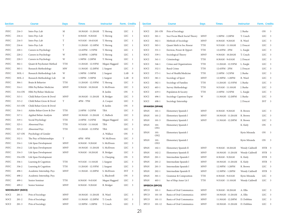| <b>Section</b>        |                         | <b>Course</b>             | <b>Days</b>          | <b>Times</b>      | <b>Instructor</b> | Form. Credits                         | <b>Section</b> |                            | <b>Course</b>                  | <b>Days</b> | <b>Times</b>      | <b>Instructor</b> | Form. Credits    |
|-----------------------|-------------------------|---------------------------|----------------------|-------------------|-------------------|---------------------------------------|----------------|----------------------------|--------------------------------|-------------|-------------------|-------------------|------------------|
| PSYC                  | $216-3$                 | Intro Psyc Lab            | М                    | 10:30AM - 11:20AM | T. Herzog         | LEC<br><sup>1</sup>                   | SOCI           | $201$ -ON                  | Prin of Sociology              |             |                   | J. Burke          | ON 3             |
| <b>PSYC</b>           | 216-4                   | Intro Psyc Lab            | $\mathbf T$          | 8:30AM - 9:20AM   | T. Herzog         | <b>LEC</b><br>$\overline{1}$          | SOCI           | $301 - 1$                  | Soci Focus Black Social Theory | <b>MWF</b>  | 1:30PM - 2:20PM   | T. Couch          | LEC 3            |
| <b>PSYC</b>           | $216 - 5$               | Intro Psyc Lab            | $\mathbf T$          | 9:55AM - 10:45AM  | T. Herzog         | LEC<br><sup>1</sup>                   | SOCI           | $302 - 1$                  | Methods of Sociology           | <b>MWF</b>  | 8:30AM - 9:20AM   | R. Ward           | LEC 3            |
| <b>PSYC</b>           | 216-6                   | Intro Psyc Lab            | $\mathbf T$          | 11:20AM - 12:10PM | T. Herzog         | <b>LEC</b><br><sup>1</sup>            | SOCI           | $303 - 1$                  | Quant Meth in Soc Resear       | <b>TTH</b>  | 9:55AM - 11:10AM  | J. Doucet         | $LEC = 3$        |
| <b>PSYC</b>           | $220 - 1$               | Careers in Psychology     | $\mathbf T$          | 12:45PM - 1:35PM  | T. Herzog         | LEC<br>$\overline{1}$                 | SOCI           | $331 - 1$                  | Environ, Power & Opport        | <b>TTH</b>  | 12:45PM - 2PM     | L. Eargle         | LEC 3            |
| <b>PSYC</b>           | $220 - 2$               | Careers in Psychology     | W                    | 12:30PM - 1:20PM  | T. Herzog         | <b>LEC</b><br>$\overline{1}$          | SOCI           | $339 - 1$                  | Sociological Theory            | <b>MWF</b>  | 9:30AM - 10:20AM  | T. Couch          | LEC 3            |
| <b>PSYC</b>           | $220 - 3$               | Careers in Psychology     | W                    | 1:30PM - 2:20PM   | T. Herzog         | LEC<br><sup>1</sup>                   | SOCI           | $341 - 1$                  | Criminology                    | <b>TTH</b>  | 8:30AM - 9:45AM   | J. Doucet         | LEC 3            |
| <b>PSYC</b>           | $302 - 1$               | Quant & Psychomet Method  | <b>TTH</b>           | 11:20AM - 12:35PM | Megan Haggard     | <b>LEC</b><br>$\overline{\mathbf{3}}$ | SOCI           | $346 - 1$                  | Crime and Organizations        | <b>TTH</b>  | 11:20AM - 12:35PM | L. Eargle         | LEC 3            |
| <b>PSYC</b>           | $303 - 1$               | Research Methodology      | MW                   | 11:30AM - 12:20PM | J. Sargent        | <b>LEC</b><br>$\overline{\mathbf{3}}$ | SOCI           | $352 - 1$                  | Rural Crime                    | <b>TTH</b>  | 12:45PM - 2PM     | J. Doucet         | LEC 3            |
| <b>PSYC</b>           | $303L - 1$              | Research Methodology Lab  | W                    | 1:30PM - 3:30PM   | J. Sargent        | LAB<br>$\overline{0}$                 | SOCI           | $375 - 1$                  | Soci of Health/Medicine        | <b>TTH</b>  | 2:10PM - 3:25PM   | J. Burke          | LEC 3            |
| <b>PSYC</b>           | 303L-2                  | Research Methodology Lab  | М                    | 1:30PM - 3:30PM   | J. Sargent        | LAB<br>$\overline{0}$                 | SOCI           | $381 - 1$                  | Sociology of Sport             | <b>MWF</b>  | 12:30PM - 1:20PM  | R. Ward           | LEC 3            |
| <b>PSYC</b>           | $304 - 1$               | Brain & Behavior          | <b>TTH</b>           | 11:20AM - 12:35PM | T. Herzog         | <b>LEC</b><br>$\overline{\mathbf{3}}$ | SOCI           | $382 - 1$                  | Sociology of Families          | <b>TTH</b>  | 11:20AM - 12:35PM | J. Burke          | LEC 3            |
| <b>PSYC</b>           | $314-1$                 | Hlth Psy/Behav Medicine   | <b>MWF</b>           | 9:30AM - 10:20AM  | S. McElveen       | LEC 3                                 | SOCI           | $403 - 1$                  | Survey Methodology             | <b>TTH</b>  | 9:55AM - 11:10AM  | J. Burke          | LEC 3            |
| <b>PSYC</b>           | 314-ON                  | Hlth Psy/Behav Medicine   |                      |                   | B. Jardin         | ON<br>$\overline{\mathbf{3}}$         | SOCI           | $419 - 1$                  | Population & Society           | <b>TTH</b>  | 2:10PM - 3:25PM   | L. Eargle         | LEC 3            |
| <b>PSYC</b>           | $315 - 1$               | Child Behav:Grow & Devel  | <b>MWF</b>           | 10:30AM - 11:20AM | R. Bridger        | <b>LEC</b><br>$\overline{\mathbf{3}}$ | SOCI           | $496 - 1$                  | Sociology Capstone Exper       | W           | 11:30AM - 12:20PM | J. Burke          | LEC 3            |
| $\operatorname{PSYC}$ | $315 - 2$               | Child Behav:Grow & Devel  | T                    | 4PM - 7PM         | A. Cooper         | LEC<br>$\overline{\mathbf{3}}$        | SOCI           | $498 - 1$                  | Sociology Internship           |             |                   | J. Doucet         | INT 3            |
| <b>PSYC</b>           | 315-ON                  | Child Behav:Grow & Devel  |                      |                   | B. Jardin         | ON<br>$\overline{\mathbf{3}}$         |                | <b>SPANISH (SPAN)</b>      |                                |             |                   |                   |                  |
| <b>PSYC</b>           | $316-1$                 | Adoles Behav:Grow & Dev   | <b>TTH</b>           | 2:10PM - 3:25PM   | TBA               | <b>LEC</b><br>$\overline{\mathbf{3}}$ | ${\rm SPAN}$   | $101 - 1$                  | Elementary Spanish I           | <b>MWF</b>  | 8:30AM - 9:20AM   | R. Brown          | LEC 3            |
| <b>PSYC</b>           | $317 - 1$               | Applied Behav Analysis    | <b>MWF</b>           | 10:30AM - 11:20AM | C. Bullock        | LEC<br>$\overline{\mathbf{3}}$        | <b>SPAN</b>    | $101 - 2$                  | Elementary Spanish I           | <b>MWF</b>  | 10:30AM - 11:20AM | R. Brown          | LEC 3            |
| PSYC                  | $319-1$                 | Social Psychology         | <b>TTH</b>           | 2:10PM - 3:25PM   | Megan Haggard     | LEC<br>$\overline{\mathbf{3}}$        | <b>SPAN</b>    | $101 - 3$                  | Elementary Spanish I           | <b>MWF</b>  | 11:30AM - 12:20PM | R. Brown          | LEC 3            |
| <b>PSYC</b>           | $325 - 1$               | Abnormal Psyc             | <b>TTH</b>           | 9:55AM - 11:10AM  | TBA               | LEC 3                                 | <b>SPAN</b>    | $101 -$                    | Elementary Spanish I           |             |                   | K. Kiely          | ON 3             |
| <b>PSYC</b>           | $325 - 2$               | Abnormal Psyc             | <b>TTH</b>           | 11:20AM - 12:35PM | TBA               | LEC 3                                 |                | ON1                        |                                |             |                   |                   |                  |
| <b>PSYC</b>           | 327-ON                  | Psychology of Gender      |                      |                   | A. Wallace        | ON<br>$\overline{\mathbf{3}}$         | SPAN           | $101 -$<br>ON <sub>2</sub> | Elementary Spanish I           |             |                   | Kyrie Miranda     | ON 3             |
| <b>PSYC</b>           | $332 - 1$               | The Psyc of Relationships | $\mathcal T$         | 6PM - 9PM         | W. McElveen       | <b>LEC</b><br>$\overline{\mathbf{3}}$ | SPAN           | $101 -$                    | Elementary Spanish I           |             |                   | Kyrie Miranda     | ON 3             |
| <b>PSYC</b>           | $334-1$                 | Life Span Development     | $\operatorname{MWF}$ | 8:30AM - 9:20AM   | S. McElveen       | <b>LEC</b><br>$\overline{\mathbf{3}}$ |                | ON3                        |                                |             |                   |                   |                  |
| <b>PSYC</b>           | $334 - 2$               | Life Span Development     | <b>MWF</b>           | 10:30AM - 11:20AM | S. McElveen       | <b>LEC</b><br>$\overline{\mathbf{3}}$ | SPAN           | $102 - 1$                  | Elementary Spanish II          | <b>MWF</b>  | 9:30AM - 10:20AM  | Wendy Caldwell    | HYB <sub>3</sub> |
| <b>PSYC</b>           | $334 - 3$               | Life Span Development     | <b>MWF</b>           | 9:30AM - 10:20AM  | R. Bridger        | <b>LEC</b><br>$\overline{\mathbf{3}}$ | <b>SPAN</b>    | $102 - 2$                  | Elementary Spanish II          | <b>MWF</b>  | 10:30AM - 11:20AM | Wendy Caldwell    | HYB 3            |
| <b>PSYC</b>           | 334-ON                  | Life Span Development     |                      |                   | L. Charping       | ON<br>$\overline{\mathbf{3}}$         | SPAN           | $201 - 1$                  | Intermediate Spanish I         | <b>MWF</b>  | 8:30AM - 9:20AM   | K. Kiely          | HYB 3            |
| <b>PSYC</b>           | $336 - 1$               | Learning & Cognition      | <b>TTH</b>           | 9:55AM - 11:10AM  | J. Sargent        | <b>LEC</b><br>$\overline{\mathbf{3}}$ | <b>SPAN</b>    | $201 - 2$                  | Intermediate Spanish I         | <b>MWF</b>  | 10:30AM - 11:20AM | K. Kiely          | HYB 3            |
| <b>PSYC</b>           | 336-2                   | Learning & Cognition      | <b>TTH</b>           | 11:20AM - 12:35PM | J. Sargent        | LEC 3                                 | SPAN           | $201-3$                    | Intermediate Spanish I         | <b>MWF</b>  | 12:30PM - 1:20PM  | R. Brown          | LEC 3            |
| <b>PSYC</b>           | $498 - 1$               | Academic Internship, Psyc | <b>MWF</b>           | 11:30AM - 12:20PM | S. McElveen       | <b>INT</b><br>$\overline{\mathbf{3}}$ | SPAN           | $202 - 1$                  | Intermediate Spanish II        | <b>MWF</b>  | 12:30PM - 1:20PM  | Wendy Caldwell    | HYB 3            |
| <b>PSYC</b>           | 498-2                   | Academic Internship, Psyc |                      |                   | L. Blackwell      | ON<br>$\overline{\mathbf{3}}$         | <b>SPAN</b>    | $301 - 1$                  | Grammar & Composition          | <b>TTH</b>  | 8:30AM - 9:45AM   | Kyrie Miranda     | LEC 3            |
| <b>PSYC</b>           | $499 - 1$               | Senior Seminar            | <b>TTH</b>           | 8:30AM - 9:45AM   | Megan Haggard     | <b>LEC</b><br>$\overline{\mathbf{3}}$ | <b>SPAN</b>    | $403 - 1$                  | Sur of Hisp Amer Lit I         | <b>TTH</b>  | 9:55AM - 11:10AM  | Wendy Caldwell    | LEC 3            |
| <b>PSYC</b>           | 499-2                   | Senior Seminar            | <b>MWF</b>           | 8:30AM - 9:20AM   | R. Bridger        | <b>LEC</b><br>$\overline{\mathbf{3}}$ |                | <b>SPEECH (SPCO)</b>       |                                |             |                   |                   |                  |
|                       | <b>SOCIOLOGY (SOCI)</b> |                           |                      |                   |                   |                                       | <b>SPCO</b>    | $101 - 1$                  | Basics of Oral Communica       | <b>MWF</b>  | 9:30AM - 10:20AM  | A. Ellis          | LEC 3            |
| SOCI                  | $201 - 1$               | Prin of Sociology         | <b>MWF</b>           | 10:30AM - 11:20AM | R. Ward           | <b>LEC</b><br>$\overline{\mathbf{3}}$ | <b>SPCO</b>    | $101 - 10$                 | Basics of Oral Communica       | <b>MWF</b>  | 10:30AM - 11:20AM | A. Ellis          | LEC 3            |
| SOCI                  | $201 - 2$               | Prin of Sociology         | <b>MWF</b>           | 11:30AM - 12:20PM | T. Couch          | <b>LEC</b><br>$\overline{\mathbf{3}}$ | SPCO           | $101 - 11$                 | Basics of Oral Communica       | <b>MWF</b>  | 11:30AM - 12:20PM | D. Dobbins        | LEC 3            |
| SOCI                  | $201 - 3$               | Prin of Sociology         | <b>MWF</b>           | 12:30PM - 1:20PM  | T. Couch          | <b>LEC</b><br>$\overline{\mathbf{3}}$ | <b>SPCO</b>    | $101 - 12$                 | Basics of Oral Communica       | <b>MWF</b>  | 10:30AM - 11:20AM | D. Dobbins        | LEC 3            |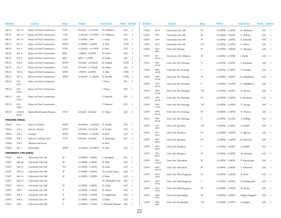| Section     |                               | <b>Course</b>            | <b>Days</b> | <b>Times</b>      | <b>Instructor</b>        | Form. Credits |                          | <b>Section</b> |                       | <b>Course</b>             | <b>Days</b> | <b>Times</b>     | <b>Instructor</b> | Form. Credits |
|-------------|-------------------------------|--------------------------|-------------|-------------------|--------------------------|---------------|--------------------------|----------------|-----------------------|---------------------------|-------------|------------------|-------------------|---------------|
| <b>SPCO</b> | $101 - 13$                    | Basics of Oral Communica | <b>TTH</b>  | 9:55AM - 11:10AM  | D. Dobbins               | LEC 3         |                          | <b>UNIV</b>    | $100 - 6$             | University Life 100       | W           | 12:30PM - 1:20PM | K. Molinari       | LEC 1         |
| <b>SPCO</b> | $101 - 14$                    | Basics of Oral Communica | TTH         | 11:20AM - 12:35PM | D. Dobbins               | LEC 3         |                          | <b>UNIV</b>    | $100 - 7$             | University Life 100       | W           | 12:30PM - 1:20PM | C. Wilson         | $LEC$ 1       |
| <b>SPCO</b> | $101 - 15$                    | Basics of Oral Communica | <b>TTH</b>  | 12:45PM - 2PM     | L. Diop                  | LEC 3         |                          | <b>UNIV</b>    | $100 - 8$             | University Life 100       | W           | 12:30PM - 1:20PM | E. Edwards        | $LEC$ 1       |
| <b>SPCO</b> | $101 - 2$                     | Basics of Oral Communica | <b>MWF</b>  | 12:30PM - 1:20PM  | A. Ellis                 | HYB 3         |                          | <b>UNIV</b>    | $100 - 9$             | University Life 100       | TH          | 12:45PM - 1:35PM | L. Fallon         | $LEC$ 1       |
| <b>SPCO</b> | $101 - 3$                     | Basics of Oral Communica | <b>TTH</b>  | 11:20AM - 12:35PM | S. Diel                  | LEC           | $\overline{\phantom{a}}$ | <b>UNIV</b>    | $100A-$               | Univ Life: Biology        | W           | 12:30PM - 1:20PM | N. Harness        | $LEC$ 1       |
| <b>SPCO</b> | $101 - 4$                     | Basics of Oral Communica | MW          | 2:30PM - 3:45PM   | B. Fisher                | <b>LEC</b>    | $\overline{\mathbf{3}}$  |                | 1BIO                  |                           |             |                  |                   |               |
| <b>SPCO</b> | $101 - 5$                     | Basics of Oral Communica | MW          | 4PM - 5:15PM      | B. Fisher                | <b>LEC</b>    | $\overline{\phantom{a}}$ | <b>UNIV</b>    | 100<br>ATHL-1         | University Life-Athletics | W           | 12:30PM - 1:20PM | J. Kirby          | $LEC$ 1       |
| SPCO        | $101 - 6$                     | Basics of Oral Communica | <b>MWF</b>  | 9:30AM - 10:20AM  | K. Packett               | HYB 3         |                          | <b>UNIV</b>    | $100B -$              | Univ Life: Pre-Nursing    | T           | 12:45PM - 1:35PM | S. Kershner       | $LEC$ 1       |
| <b>SPCO</b> | $101 - 7$                     | Basics of Oral Communica | <b>TTH</b>  | 9:55AM - 11:10AM  | B. Fisher                | LEC 3         |                          | <b>UNIV</b>    | 1NUR<br>$100B -$      | Univ Life: Pre-Nursing    | T           |                  | T. Pressley       | $LEC$ 1       |
| <b>SPCO</b> | $101 - 8$                     | Basics of Oral Communica | <b>MWF</b>  | 1:30PM - 2:20PM   | A. Ellis                 | HYB 3         |                          |                | $2{\rm NUR}$          |                           |             | 12:45PM - 1:35PM |                   |               |
| <b>SPCO</b> | $101-9$                       | Basics of Oral Communica | <b>MWF</b>  | 10:30AM - 11:20AM | K. Packett               | HYB 3         |                          | <b>UNIV</b>    | 100B-                 | Univ Life: Pre-Nursing    | W           | 12:30PM - 1:20PM | K. Middleton      | $LEC$ 1       |
| <b>SPCO</b> | $101 -$<br>ON1                | Basics of Oral Communica |             |                   | I. Perez                 | ON            | $\overline{\mathbf{3}}$  | <b>UNIV</b>    | 3NUR<br>100B-<br>4NUR | Univ Life: Pre-Nursing    | T           | 12:45PM - 1:35PM | K. Middleton      | $LEC$ 1       |
| <b>SPCO</b> | $101 -$<br>ON <sub>2</sub>    | Basics of Oral Communica |             |                   | I. Perez                 | ON 3          |                          | <b>UNIV</b>    | $100B -$<br>5NUR      | Univ Life: Pre-Nursing    | TH          | 12:45PM - 1:35PM | D. Weaver         | $LEC$ 1       |
| <b>SPCO</b> | $101 -$<br>ON3                | Basics of Oral Communica |             |                   | T. Hanson                | ON            | $\overline{\mathbf{3}}$  | <b>UNIV</b>    | $100B -$<br>6NUR      | Univ Life: Pre-Nursing    | W           | 12:30PM - 1:20PM | S. Kershner       | $LEC$ 1       |
| <b>SPCO</b> | $101 -$<br>ON4                | Basics of Oral Communica |             |                   | T. Hanson                | ON 3          |                          | <b>UNIV</b>    | $100B-$<br>7NUR       | Univ Life: Pre-Nursing    | TH          | 12:45PM - 1:35PM | T. George         | $LEC$ 1       |
| <b>SPCO</b> | 101HH<br>HON                  | Basics/Oral Comm.Honors  | <b>TTH</b>  | 8:30AM - 9:45AM   | B. Fisher                | LEC 3         |                          | <b>UNIV</b>    | $100B -$<br>8NUR      | Univ Life: Pre-Nursing    | W           | 12:30PM - 1:20PM | D. Weaver         | $LEC$ 1       |
|             | <b>THEATRE (THEA)</b>         |                          |             |                   |                          |               |                          | <b>UNIV</b>    | $100B -$<br>9NUR      | Univ Life: Pre-Nursing    | T           | 12:45PM - 1:35PM | T. Phillips       | $LEC$ 1       |
| THEA        | $101 - 1$                     | Intro to Theatre         | MWF         | 10:30AM - 11:20AM | A. Krohn                 | LEC 3         |                          | <b>UNIV</b>    | 100C-                 | Univ Life: Business       | TH          | 12:45PM - 1:35PM | J. Aniello        | $LEC$ 1       |
| THEA        | $101 - 2$                     | Intro to Theatre         | <b>MWF</b>  | 9:30AM - 10:20AM  | A. Krohn                 | LEC 3         |                          |                | $1 \, \mathrm{BUS}$   |                           |             |                  |                   |               |
| THEA        | $203 - 1$                     | Acting I                 | <b>MWF</b>  | 10:30AM - 11:20AM | D. Best                  | LEC 3         |                          | <b>UNIV</b>    | 100C-<br>2BUS         | Univ Life: Business       | W           | 12:30PM - 1:20PM | A. Iglesias       | $LEC$ 1       |
| THEA        | $209-1$                       | Intro to Costume Tech    | <b>TTH</b>  | 8:30AM - 9:45AM   | A. Steadman              | LEC 3         |                          | <b>UNIV</b>    | 100C-                 | Univ Life: Business       | W           | 12:30PM - 1:20PM | B. McLeod         | $LEC$ 1       |
| THEA        | $210-1$                       | Theatre Practicum        |             |                   | D. Best                  |               | <sup>1</sup>             |                | 3BUS                  |                           |             |                  |                   |               |
| THEA        | $301 - 1$                     | Directing I              | <b>MWF</b>  | 11:30AM - 12:20PM | D. Best                  | LEC           | $\overline{\mathbf{3}}$  | <b>UNIV</b>    | 100C-<br>4BUS         | Univ Life: Business       | $\mathbf T$ | 12:45PM - 1:35PM | J. Aniello        | LEC 1         |
|             | <b>UNIVERSITY LIFE (UNIV)</b> |                          |             |                   |                          |               |                          | <b>UNIV</b>    | 100C-                 | Univ Life: Business       | W           | 12:30PM - 1:20PM | M. Dittman        | LEC 1         |
| UNIV        | $100 - 1$                     | University Life 100      | W           | 12:30PM - 1:20PM  | L. Manglass              | $LEC = 1$     |                          | <b>UNIV</b>    | 5BUS<br>100E-         |                           |             |                  |                   |               |
| <b>UNIV</b> | $100 - 10$                    | University Life 100      | W           | 12:30PM - 1:20PM  | B. Hilb                  | LEC           | $\overline{1}$           |                | 1EDUC                 | Univ Life: Education      | W           | 12:30PM - 1:20PM | P. Boatwright     | LEC 1         |
| <b>UNIV</b> | $100 - 11$                    | University Life 100      | TH          | 12:45PM - 1:35PM  | H. Sims                  | LEC           | $\overline{1}$           | <b>UNIV</b>    | $100E-$               | Univ Life: Education      | W           | 12:30PM - 1:20PM | L. Simmons        | LEC 1         |
| <b>UNIV</b> | $100 - 12$                    | University Life 100      | W           | 12:30PM - 1:20PM  | Dr. Lauren Perez         | LEC           | $\overline{1}$           | <b>UNIV</b>    | 2EDUC<br>$100G -$     |                           |             |                  |                   |               |
| <b>UNIV</b> | $100 - 14$                    | University Life 100      | W           | 12:30PM - 1:20PM  | S. Sims                  | <b>LEC</b>    | $\overline{1}$           |                | 1PHY                  | Univ Life: Phys/Engineer  | W           | 12:30PM - 1:20PM | R. Renu           | LEC 1         |
| <b>UNIV</b> | $100 - 15$                    | University Life 100      |             |                   | Dr. Meredith Love        | ON            | $\overline{1}$           | <b>UNIV</b>    | $100G -$              | Univ Life: Phys/Engineer  | T           | 12:45PM - 1:35PM | M. Kanaparthi     | $LEC$ 1       |
| <b>UNIV</b> | $100 - 16$                    | University Life 100      | W           | 12:30PM - 1:20PM  | D. Clark                 | LEC           | $\overline{1}$           | <b>UNIV</b>    | 2PHY<br>$100G -$      |                           | W           |                  |                   | $LEC$ 1       |
| <b>UNIV</b> | $100 - 2$                     | University Life 100      | $\mathbf T$ | 12:45PM - 1:35PM  | D. Tatum                 | <b>LEC</b>    | $\overline{1}$           |                | 3PHY                  | Univ Life: Phys/Engineer  |             | 12:30PM - 1:20PM | M. Potter         |               |
| <b>UNIV</b> | $100-3$                       | University Life 100      | $\mathbf T$ | 12:45PM - 1:35PM  | T. Stephenson            | LEC           | $\overline{1}$           | <b>UNIV</b>    | 100K-                 | Univ Life: Psychology     | W           | 12:30PM - 1:20PM | Megan Haggard     | $LEC$ 1       |
| <b>UNIV</b> | $100 - 4$                     | University Life 100      | W           | 12:30PM - 1:20PM  | F. Keller                | LEC           | $\overline{1}$           | <b>UNIV</b>    | 1PSY<br>100K-         |                           |             |                  |                   |               |
| <b>UNIV</b> | $100 - 5$                     | University Life 100      | $\mathbf T$ | 12:45PM - 1:35PM  | J. Titanski-Hooper LEC 1 |               |                          |                | 2PSY                  | Univ Life: Psychology     | TH          | 12:45PM - 1:35PM | J. Sargent        | $LEC$ 1       |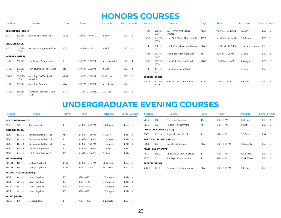## **HONORS COURSES**

| <b>Section</b> |                             | <b>Course</b>                     | <b>Days</b> | <b>Times</b>      | <b>Instructor</b> | Form. Credits |                         | <b>Section</b>       |                      | <b>Course</b>                    | <b>Days</b> | <b>Times</b>      | <b>Instructor</b>   | Form. Credits |  |
|----------------|-----------------------------|-----------------------------------|-------------|-------------------|-------------------|---------------|-------------------------|----------------------|----------------------|----------------------------------|-------------|-------------------|---------------------|---------------|--|
|                | <b>ECONOMICS (ECON)</b>     |                                   |             |                   |                   |               |                         | <b>HNRS</b>          | 268HH-<br><b>HON</b> | Intl Horror/ Unbelieved<br>Woman | MWF         | 9:30AM - 10:20AM  | K. Kiely            | LEC 3         |  |
| <b>ECON</b>    | 203HH-<br>HON               | Intro to Microecon-Hnrs           | <b>MWF</b>  | 8:30AM - 9:20AM   | B. Kyer           | <b>LEC</b>    | 3                       | <b>HNRS</b>          | 269HH-<br><b>HON</b> | Hnr: Skill Hands Think Minds     | TTH         | 9:55AM - 11:10AM  | C. Johnson          | LEC 3         |  |
|                | <b>ENGLISH (ENGL)</b>       |                                   |             |                   |                   |               |                         | <b>HNRS</b>          | 280HH-               | Hnr Sp Top: Biology of Cancer    | MWF         | 11:30AM - 12:20PM | L. Turner, E. Jones | LEC 4         |  |
| <b>ENGL</b>    | 101HH-                      | Analysis & Argument-Hnrs          | <b>TTH</b>  | 12:45PM - 2PM     | B. Hilb           | <b>LEC</b>    | $\overline{\mathbf{3}}$ |                      | <b>HON</b>           |                                  |             |                   |                     |               |  |
|                | HON<br><b>HONORS (HNRS)</b> |                                   |             |                   |                   |               |                         | <b>HNRS</b>          | 391HH-<br><b>HON</b> | Hnr Indep Study Workshop         | M           | 2:30PM - 3:20PM   | J. Tuttle           | LEC 1         |  |
| <b>HNRS</b>    | 200HH-<br><b>HON</b>        | Hnr Science Symposium             | T           | 2:10PM - 3:25PM   | M. Kanaparthi     | <b>LEC</b>    |                         | <b>HNRS</b>          | 397HH-<br><b>HON</b> | Hnrs Col: Brain and Mind         | <b>MWF</b>  | 12:30PM - 1:20PM  | S. Wrighten         | LEC 3         |  |
| <b>HNRS</b>    | 201HH-<br><b>HON</b>        | Hnrs Humani/Soc Sci Symp          | TH          | 2:10PM - 3:25PM   | B. Goff           | <b>LEC</b>    |                         | <b>HNRS</b>          | 491HH-<br><b>HON</b> | Hnr: Independent Study           |             |                   | J. Tuttle           | LEC 3         |  |
| <b>HNRS</b>    | 254HH-<br><b>HON</b>        | Spec Top: Do You Speak<br>America | <b>MWF</b>  | 1:30PM - 2:20PM   | C. Clayton        | LEC           | $\overline{\mathbf{3}}$ | <b>SPEECH (SPCO)</b> |                      |                                  |             |                   |                     |               |  |
| <b>HNRS</b>    | 259HH-<br><b>HON</b>        | Spec Top: Adulting                | MW          | 2:30PM - 3:45PM   | M. Dittman        | LEC           | $\overline{\mathbf{3}}$ | <b>SPCO</b>          | 101HH-<br><b>HON</b> | Basics of Oral Communica         | <b>TTH</b>  | 8:30AM - 9:45AM   | B. Fisher           | LEC 3         |  |
| <b>HNRS</b>    | 260HH<br><b>HON</b>         | Hnr Spec Top:video Games<br>& Lit | <b>TTH</b>  | 11:20AM - 12:35PM | . Marley          | LEC           | 3                       |                      |                      |                                  |             |                   |                     |               |  |

## **UNDERGRADUATE EVENING COURSES**

| <b>Section</b>      |                                | <b>Course</b>           | <b>Days</b> | <b>Times</b>    | <b>Instructor</b> | Form. Credits | <b>Section</b>       |                                | <b>Course</b>                   | <b>Days</b> | <b>Times</b> | <b>Instructor</b> | Form. Credits |
|---------------------|--------------------------------|-------------------------|-------------|-----------------|-------------------|---------------|----------------------|--------------------------------|---------------------------------|-------------|--------------|-------------------|---------------|
|                     | <b>ACCOUNTING (ACTG)</b>       |                         |             |                 |                   |               | MUSI                 | $180 - 1$                      | Percussion Ensemble             | TH          | 4PM - 5PM    | R. Reeves         | $LEC$ 1       |
| ACTG                | $429-1$                        | Tax Research            | T           | 5:30PM - 8:30PM | B. Johnson        | LEC 3         | MUSI                 | $372-1$                        | Principles Songwriting          | M           | 4PM - 7PM    | B. Goff           | LEC 3         |
|                     | <b>BIOLOGY (BIOL)</b>          |                         |             |                 |                   |               |                      | <b>PHYSICAL SCIENCE (PSCI)</b> |                                 |             |              |                   |               |
| BIOL                | $103L-1$                       | Environmental Biol Lab  | M           | 4:30PM - 7:20PM | J. Majors         | LAB 0         | PSCI                 | $101L-3$                       | Physical Science I Lab          | T           | 4PM - 7PM    | D. Woods          | LAB 0         |
| <b>BIOL</b>         | $103L-2$                       | Environmental Biol Lab  | T           | 4:30PM - 7:20PM | H. Camper         | LAB 0         |                      |                                | <b>POLITICAL SCIENCE (POLI)</b> |             |              |                   |               |
| <b>BIOL</b>         | $103L-3$                       | Environmental Biol Lab  | W           | 4:30PM - 7:20PM | H. Camper         | LAB 0         | POLI                 | $103 - 4$                      | Intro to Pol Science            | MW          | 4PM - 5:15PM | R. Doughty        | LEC 3         |
| <b>BIOL</b>         | $115L-3$                       | Lab for Biol Sciences I | T           | 4:30PM - 7:20PM | C. Beard          | $LAB \t1$     |                      | <b>PSYCHOLOGY (PSYC)</b>       |                                 |             |              |                   |               |
| <b>BIOL</b>         | $115L-6$                       | Lab for Biol Sciences I | TH          | 4:30PM - 7:20PM | C. Beard          | $LAB \t1$     | <b>PSYC</b>          | $315 - 2$                      | Child Behav:Grow & Devel        | T           | 4PM - 7PM    | A. Cooper         | LEC 3         |
| <b>MATH (MATH)</b>  |                                |                         |             |                 |                   |               | <b>PSYC</b>          | $332 - 1$                      | The Psyc of Relationships       | T           | 6PM - 9PM    | W. McElveen       | LEC 3         |
| MATH                | $105 - 7$                      | College Algebra I       | <b>TTH</b>  | 4:30PM - 5:45PM | M. Greene         | LEC 3         | <b>SPEECH (SPCO)</b> |                                |                                 |             |              |                   |               |
| MATH                | $105 - 8$                      | College Algebra I       | <b>TTH</b>  | 6PM - 7:15PM    | M. Greene         | LEC 3         | <b>SPCO</b>          | $101 - 5$                      | Basics of Oral Communica        | MW          | 4PM - 5:15PM | B. Fisher         | LEC 3         |
|                     | <b>MILITARY SCIENCE (MILI)</b> |                         |             |                 |                   |               |                      |                                |                                 |             |              |                   |               |
| MILI                | $101L-1$                       | Leadership Lab          | TH          | $4PM - 6PM$     | J. Thompson       | LAB 0         |                      |                                |                                 |             |              |                   |               |
| MILI                | $201L-1$                       | Leadership Lab          | TH          | $4PM - 6PM$     | J. Thompson       | LAB 0         |                      |                                |                                 |             |              |                   |               |
| MILI                | $301L-1$                       | Leadership Lab          | TH          | $4PM - 6PM$     | J. Thompson       | LAB 0         |                      |                                |                                 |             |              |                   |               |
| MILI                | $401L - 1$                     | Leadership Lab          | TH          | $4PM - 6PM$     | J. Thompson       | LAB 0         |                      |                                |                                 |             |              |                   |               |
| <b>MUSIC (MUSI)</b> |                                |                         |             |                 |                   |               |                      |                                |                                 |             |              |                   |               |
| <b>MUSI</b>         | $140 - 1$                      | Concert Band            | $\mathbf T$ | 7PM - 10PM      | T. Roberts        | <b>LEC</b>    |                      |                                |                                 |             |              |                   |               |
|                     |                                |                         |             |                 |                   |               |                      |                                |                                 |             |              |                   |               |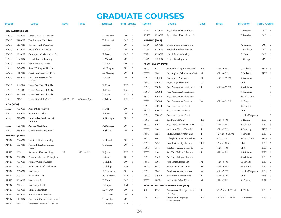## **GRADUATE COURSES**

| Section          |                         | <b>Course</b>                     | <b>Days</b>   | <b>Times</b> | <b>Instructor</b> | Form. Credits |                         | Section     |                          | <b>Course</b>                      | <b>Days</b>               | <b>Times</b>     | Instructor      | Form. Credits    |                          |
|------------------|-------------------------|-----------------------------------|---------------|--------------|-------------------|---------------|-------------------------|-------------|--------------------------|------------------------------------|---------------------------|------------------|-----------------|------------------|--------------------------|
|                  | <b>EDUCATION (EDUC)</b> |                                   |               |              |                   |               |                         | <b>APRN</b> | 722-ON                   | Psych Mental Nurse Intern I        |                           |                  | T. Pressley     | ON 4             |                          |
| EDUC             | 555-ON                  | Teach Children - Poverty          |               |              | T. Pawloski       | ON            | $\overline{\mathbf{3}}$ | <b>APRN</b> | 723-ON                   | Psych Mental Nurs Intern II        |                           |                  | T. Pressley     | ON 4             |                          |
| EDUC             | 599-ON                  | Teach Assess Child Pov            |               |              | T. Pawloski       | ON            | $\overline{\mathbf{3}}$ |             | <b>NURSING (DNP)</b>     |                                    |                           |                  |                 |                  |                          |
| <b>EDUC</b>      | 611-ON                  | Solv Inst Prob Using Tec          |               |              | D. Kaur           | ON            | $\overline{3}$          | <b>DNP</b>  | 800-ON                   | Doctoral Knowledge Devel           |                           |                  | K. Gittings     | ON               | $\overline{\phantom{a}}$ |
| EDUC             | 622-ON                  | Asses of Learn & Behav            |               |              | D. Kaur           | ON            | $\overline{\mathbf{3}}$ | <b>DNP</b>  | 801-ON                   | Research Epidem Practice           |                           |                  | S. Kershner     | ON <sub>3</sub>  |                          |
| EDUC             | 626-ON                  | Concepts and Methods in Edu       |               |              | E. Lowry          | ON            | $\overline{\mathbf{3}}$ | <b>DNP</b>  | 802-ON                   | Hlth Policy Leadership             |                           |                  | D. Hopla        | ON 3             |                          |
| EDUC             | 637-ON                  | Foundations of Reading            |               |              | L. Midcalf        | ON            | $\overline{\mathbf{3}}$ | DNP         | 805-ON                   | Project Development                |                           |                  | T. George       | ON 4             |                          |
| EDUC             | 648-ON                  | <b>Educational Research</b>       |               |              | D. Kaur           | ON            | $\overline{\mathbf{3}}$ |             | <b>PSYCHOLOGY (PSYC)</b> |                                    |                           |                  |                 |                  |                          |
| <b>EDUC</b>      | 745-ON                  | Read/Writing for Div/Exc          |               |              | M. Murphy         | ON            | $\overline{\mathbf{3}}$ | <b>PSYC</b> | $501 - 1$                | Principles of Appl Behavioral      | TH                        | $4PM - 6PM$      | C. Bullock      | HYB 3            |                          |
| EDUC             | 746-ON                  | Practicum:Teach Read/Wri          |               |              | M. Murphy         | ON            | -1                      | PSYC        | $574-1$                  | Adv Appl. of Behavior Analysis     | M                         | $4PM - 6PM$      | C. Bullock      | HYB <sub>3</sub> |                          |
| EDUC             | 759-ON                  | IEP Develop&Trans for             |               |              | K. Fries          | ON            | $\overline{\mathbf{3}}$ | <b>PSYC</b> | 600A-1                   | Psychology Practicum               | M                         | 4PM - 4:59PM     | S. Williams     |                  | $\mathbf{1}$             |
|                  |                         | Student                           |               |              |                   |               |                         | <b>PSYC</b> | 600A-2                   | Psychology Practicum               | W                         |                  | TBA             |                  | $\mathbf{1}$             |
| <b>EDUC</b>      | 761-ID1                 | Learn Dis:Char, Id & Pla          |               |              | K. Fries          | LEC 3         |                         | <b>PSYC</b> | 600B-1                   | Psyc Assessment Practicum          | T                         | 4PM - 4:59PM     | S. Williams     |                  | $\mathbf{1}$             |
| <b>EDUC</b>      | 761-ID2                 | Learn Dis:Char, Id & Pla          |               |              | K. Fries          | LEC 3         |                         | <b>PSYC</b> | 600B-2                   | Psyc Assessment Practicum          |                           |                  | S. Williams     |                  | $\mathbf{1}$             |
| EDUC             | 761-ID3                 | Learn Dis:Char, Id & Pla          |               |              | K. Fries          | LEC 3         |                         | <b>PSYC</b> | 600B-3                   | Psyc Assessment Practicum          |                           |                  | Erica L. James  |                  | $\mathbf{1}$             |
| <b>EDUC</b>      | $770-1$                 | Learn.Disabilities/Inter          | <b>MTWTHF</b> | 8:30am - 5pm | C. Nixon          | LEC           | $\overline{9}$          | <b>PSYC</b> | 600B-4                   | Psyc Assessment Practicum          | W                         | 4PM - 4:59PM     | A. Cooper       |                  | $\mathbf{1}$             |
| <b>MBA (MBA)</b> |                         |                                   |               |              |                   |               |                         | <b>PSYC</b> | 600C-1                   | Psyc Intervention Pract            |                           |                  | R. Murphy       |                  | 1                        |
| MBA              | 700-ON                  | <b>Accounting Analysis</b>        |               |              | S. Dell           | ON            | $\overline{\mathbf{3}}$ | <b>PSYC</b> | 600C-2                   | Psyc Intervention Pract            |                           |                  | <b>TBA</b>      |                  | $\mathbf{1}$             |
| MBA              | 705-ON                  | Economic Analysis                 |               |              | B. Kyer           | ON            | $\overline{\mathbf{3}}$ | PSYC        | 600C-3                   | Psyc Intervention Pract            |                           |                  | C. Hill-Chapman |                  | $\mathbf{1}$             |
| MBA              | 720-ON                  | Contem Iss: Leadership &<br>Commu |               |              | K. Belanger       | ON            | $\overline{\mathbf{3}}$ | <b>PSYC</b> | $602 - 1$                | Biol Basis of Behav                | TH                        | 4PM - 7PM        | T. Herzog       | LEC 3            |                          |
| MBA              | 725-ON                  | Applied Marketing                 |               |              | K. Belanger       | ON            | $\overline{\mathbf{3}}$ | <b>PSYC</b> | $606 - 1$                | Psyc Assess:Intel/ABI/ACH          | W                         | 5PM - 8PM        | A. Cooper       | LEC 3            |                          |
| MBA              | 735-ON                  | Operations Management             |               |              | E. Sharer         | ON            | $\overline{\mathbf{3}}$ | <b>PSYC</b> | $610-1$                  | Interview, Observ/Case Fo          | T                         | 3PM - 7PM        | R. Murphy       | HYB 3            |                          |
|                  | <b>NURSING (APRN)</b>   |                                   |               |              |                   |               |                         | PSYC        | 615-1                    | Child/Adoles Psychopatho           | T                         | 3:30PM - 6:30PM  | S. Faykus       | LEC 3            |                          |
| APRN             | 504-ON                  | Health Policy Leadership          |               |              | N. Russell        | ON            | $\overline{\mathbf{3}}$ | <b>PSYC</b> | 639-1                    | Lifestyles Career Counseling       | $\ensuremath{\mathrm{T}}$ | 9AM - 12PM       | Erica L. James  | HYB 3            |                          |
| APRN             | 507-ON                  | Patient Education and Ad-         |               |              | T. George         | ON            | $\overline{\mathbf{3}}$ | <b>PSYC</b> | $643 - 1$                | Couple & Family Therapy            | TH                        | 9AM - 12PM       | TBA             | LEC 3            |                          |
|                  |                         | vocacy                            |               |              |                   |               |                         | <b>PSYC</b> | $644 - 1$                | Substance Abuse Counseli           | W                         | $1PM - 4PM$      | TBA             | LEC 3            |                          |
| <b>APRN</b>      | $602 - 1$               | Advanced Pharmacology             | W             | 5PM - 8PM    | K. Jones          | LEC           | $\overline{\mathbf{3}}$ | <b>PSYC</b> | 646-1                    | Adv Top Child/Adolescent           | $\mathbf T$               | $5PM - 8PM$      | S. Williams     | LEC 3            |                          |
| APRN             | 606-ON                  | Pharma Effects on Pathophys       |               |              | G. Scott          | ON            | $\overline{\mathbf{3}}$ | <b>PSYC</b> | 646-2                    | Adv Top Child/Adolescent           |                           |                  | S. Williams     | LEC 3            |                          |
| APRN             | 701-ON                  | Primary Care of Adults            |               |              | T. Phillips       | ON            | - 5                     | <b>PSYC</b> | 650-1                    | Prof/Ethical Issues Sch            | M                         | 5PM - 8PM        | M. Bryant       | LEC 3            |                          |
| <b>APRN</b>      | $701L-1$                | Primary Care of Adults Lab        |               |              | T. Phillips       | LAB           | $\overline{0}$          | <b>PSYC</b> | $651 - 1$                | Prof/Ethic Issues Couns            | M                         | $3PM - 6PM$      | W. Hunter       | LEC 3            |                          |
| APRN             | 705-ON                  | Internship I                      |               |              | A. Townsend       | ON            | $\overline{4}$          | PSYC        | 674-1                    | Acad Assess/Intervention           | W                         | 4PM - 7PM        | C. Hill-Chapman | LEC 3            |                          |
| APRN             | 705L-1                  | Internship I Lab                  |               |              | A. Townsend       | LAB           | $\overline{0}$          | <b>PSYC</b> | 699A-1                   | Internship: Clinical Psyc          | T                         | $2PM - 5PM$      | TBA             | INT 3            |                          |
| <b>APRN</b>      | 706-ON                  | Internship II                     |               |              | D. Hopla          | ON            | $\overline{4}$          | <b>PSYC</b> | 799F-1                   | Internship: School Psych           | M                         | 4PM - 7PM        | A. Cooper       | INT 3            |                          |
| APRN             | 706L-1                  | Internship II Lab                 |               |              | D. Hopla          | LAB           | $\overline{0}$          |             |                          | SPEECH LANGUAGE PATHOLOGY (SLP)    |                           |                  |                 |                  |                          |
| APRN             | 709-ON                  | Clinical Practicum                |               |              | D. Weaver         | ON            | $\overline{\mathbf{3}}$ | <b>SLP</b>  | $401 - 1$                | Anatomy & Phys Speech and          | $\mathbf T$               | 8:30AM - 11:20AM | R. Wada         | LEC 3            |                          |
| APRN             | 710-ON                  | Educ Capstone Seminar             |               |              | D. Weaver         | ON            | $\overline{\mathbf{3}}$ |             |                          | Hearing                            |                           |                  |                 |                  |                          |
| APRN             | 719-ON                  | Psych and Mental Health Asmt      |               |              | T. Pressley       | ON            | 5                       | <b>SLP</b>  | $407 - 1$                | Speech and Language<br>Development | TH                        | 12:30PM - 3:20PM | M. Norman       | LEC 3            |                          |
| <b>APRN</b>      | 719L-1                  | Psychiatric Mental Health Lab     |               |              | T. Pressley       | LAB           | $\overline{0}$          |             |                          |                                    |                           |                  |                 |                  |                          |